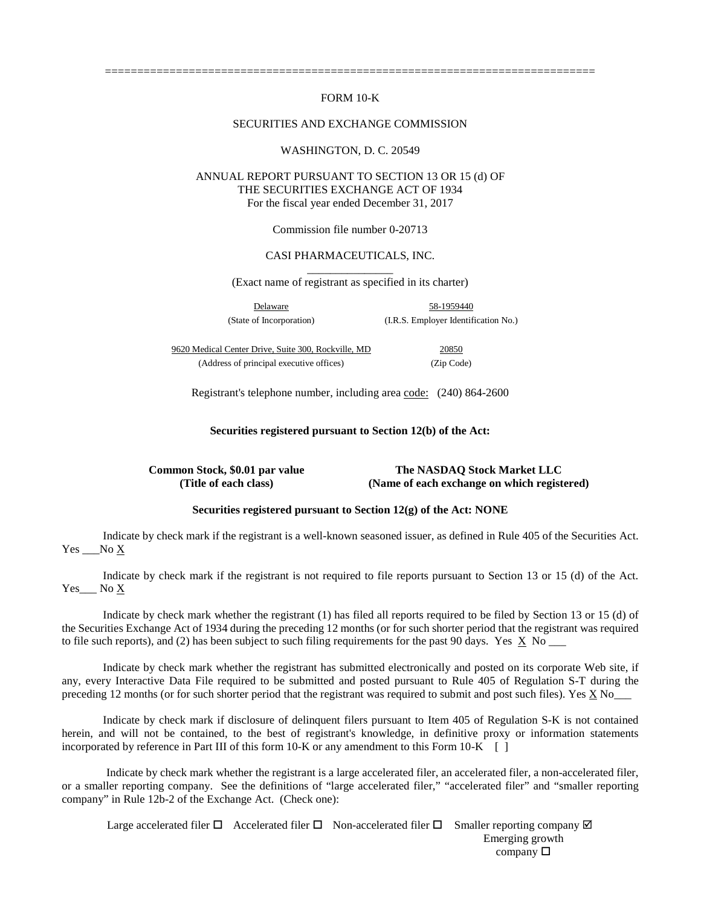## FORM 10-K

============================================================================

#### SECURITIES AND EXCHANGE COMMISSION

#### WASHINGTON, D. C. 20549

# ANNUAL REPORT PURSUANT TO SECTION 13 OR 15 (d) OF THE SECURITIES EXCHANGE ACT OF 1934 For the fiscal year ended December 31, 2017

Commission file number 0-20713

# CASI PHARMACEUTICALS, INC.

\_\_\_\_\_\_\_\_\_\_\_\_\_\_\_ (Exact name of registrant as specified in its charter)

Delaware 58-1959440 (State of Incorporation) (I.R.S. Employer Identification No.)

9620 Medical Center Drive, Suite 300, Rockville, MD 20850 (Address of principal executive offices) (Zip Code)

Registrant's telephone number, including area code: (240) 864-2600

**Securities registered pursuant to Section 12(b) of the Act:** 

**Common Stock, \$0.01 par value The NASDAQ Stock Market LLC (Title of each class) (Name of each exchange on which registered)**

# **Securities registered pursuant to Section 12(g) of the Act: NONE**

Indicate by check mark if the registrant is a well-known seasoned issuer, as defined in Rule 405 of the Securities Act. Yes No X

Indicate by check mark if the registrant is not required to file reports pursuant to Section 13 or 15 (d) of the Act. Yes No X

Indicate by check mark whether the registrant (1) has filed all reports required to be filed by Section 13 or 15 (d) of the Securities Exchange Act of 1934 during the preceding 12 months (or for such shorter period that the registrant was required to file such reports), and (2) has been subject to such filing requirements for the past 90 days. Yes  $\overline{X}$  No  $\overline{X}$ 

Indicate by check mark whether the registrant has submitted electronically and posted on its corporate Web site, if any, every Interactive Data File required to be submitted and posted pursuant to Rule 405 of Regulation S-T during the preceding 12 months (or for such shorter period that the registrant was required to submit and post such files). Yes X No\_\_\_

Indicate by check mark if disclosure of delinquent filers pursuant to Item 405 of Regulation S-K is not contained herein, and will not be contained, to the best of registrant's knowledge, in definitive proxy or information statements incorporated by reference in Part III of this form  $10-K$  or any amendment to this Form  $10-K$  [ ]

 Indicate by check mark whether the registrant is a large accelerated filer, an accelerated filer, a non-accelerated filer, or a smaller reporting company. See the definitions of "large accelerated filer," "accelerated filer" and "smaller reporting company" in Rule 12b-2 of the Exchange Act. (Check one):

Large accelerated filer  $\Box$  Accelerated filer  $\Box$  Non-accelerated filer  $\Box$  Smaller reporting company  $\Box$ Emerging growth company  $\square$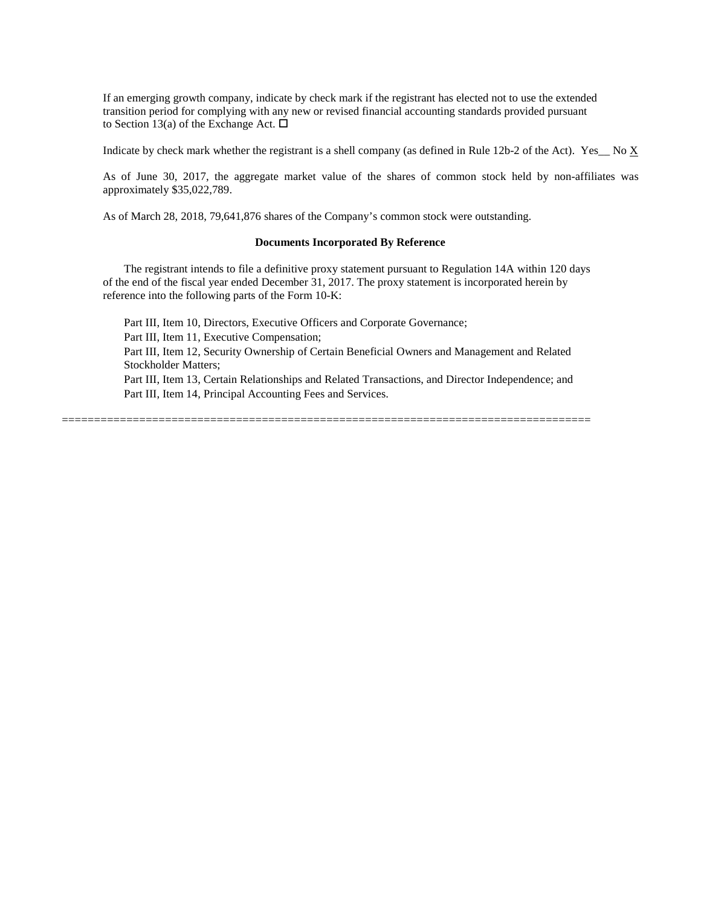If an emerging growth company, indicate by check mark if the registrant has elected not to use the extended transition period for complying with any new or revised financial accounting standards provided pursuant to Section 13(a) of the Exchange Act.  $\Box$ 

Indicate by check mark whether the registrant is a shell company (as defined in Rule 12b-2 of the Act). Yes\_ No  $\underline{X}$ 

As of June 30, 2017, the aggregate market value of the shares of common stock held by non-affiliates was approximately \$35,022,789.

As of March 28, 2018, 79,641,876 shares of the Company's common stock were outstanding.

### **Documents Incorporated By Reference**

The registrant intends to file a definitive proxy statement pursuant to Regulation 14A within 120 days of the end of the fiscal year ended December 31, 2017. The proxy statement is incorporated herein by reference into the following parts of the Form 10-K:

Part III, Item 10, Directors, Executive Officers and Corporate Governance; Part III, Item 11, Executive Compensation; Part III, Item 12, Security Ownership of Certain Beneficial Owners and Management and Related Stockholder Matters; Part III, Item 13, Certain Relationships and Related Transactions, and Director Independence; and Part III, Item 14, Principal Accounting Fees and Services.

==================================================================================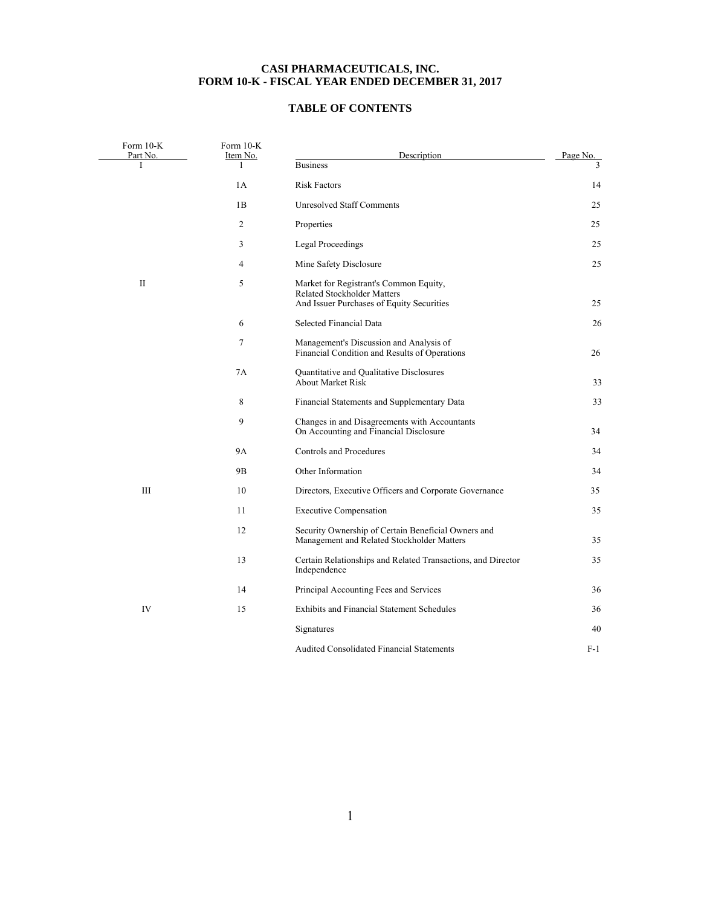# **CASI PHARMACEUTICALS, INC. FORM 10-K - FISCAL YEAR ENDED DECEMBER 31, 2017**

# **TABLE OF CONTENTS**

| Form $10-K$<br>Part No. | Form 10-K<br>Item No. | Description                                                                                                               | Page No.      |
|-------------------------|-----------------------|---------------------------------------------------------------------------------------------------------------------------|---------------|
| T                       | 1                     | <b>Business</b>                                                                                                           | $\mathcal{E}$ |
|                         | 1A                    | <b>Risk Factors</b>                                                                                                       | 14            |
|                         | 1B                    | <b>Unresolved Staff Comments</b>                                                                                          | 25            |
|                         | 2                     | Properties                                                                                                                | 25            |
|                         | 3                     | <b>Legal Proceedings</b>                                                                                                  | 25            |
|                         | 4                     | Mine Safety Disclosure                                                                                                    | 25            |
| $\mathbf{I}$            | 5                     | Market for Registrant's Common Equity,<br><b>Related Stockholder Matters</b><br>And Issuer Purchases of Equity Securities | 25            |
|                         | 6                     | Selected Financial Data                                                                                                   | 26            |
|                         | 7                     | Management's Discussion and Analysis of<br>Financial Condition and Results of Operations                                  | 26            |
|                         | 7A                    | Quantitative and Qualitative Disclosures<br><b>About Market Risk</b>                                                      | 33            |
|                         | 8                     | Financial Statements and Supplementary Data                                                                               | 33            |
|                         | 9                     | Changes in and Disagreements with Accountants<br>On Accounting and Financial Disclosure                                   | 34            |
|                         | <b>9A</b>             | <b>Controls and Procedures</b>                                                                                            | 34            |
|                         | 9B                    | Other Information                                                                                                         | 34            |
| III                     | 10                    | Directors, Executive Officers and Corporate Governance                                                                    | 35            |
|                         | 11                    | <b>Executive Compensation</b>                                                                                             | 35            |
|                         | 12                    | Security Ownership of Certain Beneficial Owners and<br>Management and Related Stockholder Matters                         | 35            |
|                         | 13                    | Certain Relationships and Related Transactions, and Director<br>Independence                                              | 35            |
|                         | 14                    | Principal Accounting Fees and Services                                                                                    | 36            |
| IV                      | 15                    | <b>Exhibits and Financial Statement Schedules</b>                                                                         | 36            |
|                         |                       | Signatures                                                                                                                | 40            |
|                         |                       | <b>Audited Consolidated Financial Statements</b>                                                                          | F-1           |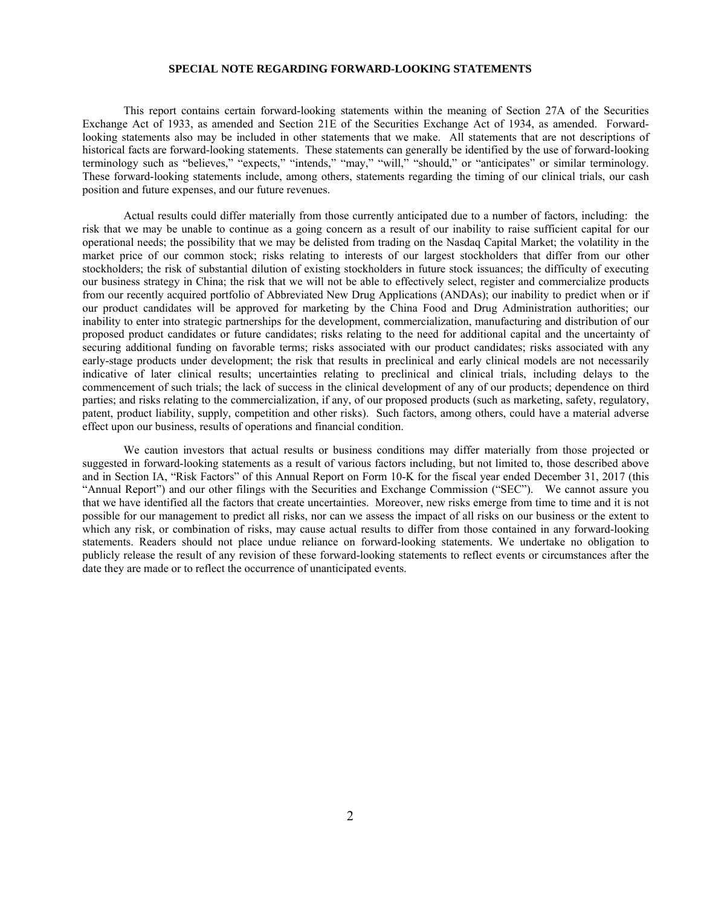#### **SPECIAL NOTE REGARDING FORWARD-LOOKING STATEMENTS**

 This report contains certain forward-looking statements within the meaning of Section 27A of the Securities Exchange Act of 1933, as amended and Section 21E of the Securities Exchange Act of 1934, as amended. Forwardlooking statements also may be included in other statements that we make. All statements that are not descriptions of historical facts are forward-looking statements. These statements can generally be identified by the use of forward-looking terminology such as "believes," "expects," "intends," "may," "will," "should," or "anticipates" or similar terminology. These forward-looking statements include, among others, statements regarding the timing of our clinical trials, our cash position and future expenses, and our future revenues.

Actual results could differ materially from those currently anticipated due to a number of factors, including: the risk that we may be unable to continue as a going concern as a result of our inability to raise sufficient capital for our operational needs; the possibility that we may be delisted from trading on the Nasdaq Capital Market; the volatility in the market price of our common stock; risks relating to interests of our largest stockholders that differ from our other stockholders; the risk of substantial dilution of existing stockholders in future stock issuances; the difficulty of executing our business strategy in China; the risk that we will not be able to effectively select, register and commercialize products from our recently acquired portfolio of Abbreviated New Drug Applications (ANDAs); our inability to predict when or if our product candidates will be approved for marketing by the China Food and Drug Administration authorities; our inability to enter into strategic partnerships for the development, commercialization, manufacturing and distribution of our proposed product candidates or future candidates; risks relating to the need for additional capital and the uncertainty of securing additional funding on favorable terms; risks associated with our product candidates; risks associated with any early-stage products under development; the risk that results in preclinical and early clinical models are not necessarily indicative of later clinical results; uncertainties relating to preclinical and clinical trials, including delays to the commencement of such trials; the lack of success in the clinical development of any of our products; dependence on third parties; and risks relating to the commercialization, if any, of our proposed products (such as marketing, safety, regulatory, patent, product liability, supply, competition and other risks). Such factors, among others, could have a material adverse effect upon our business, results of operations and financial condition.

We caution investors that actual results or business conditions may differ materially from those projected or suggested in forward-looking statements as a result of various factors including, but not limited to, those described above and in Section IA, "Risk Factors" of this Annual Report on Form 10-K for the fiscal year ended December 31, 2017 (this "Annual Report") and our other filings with the Securities and Exchange Commission ("SEC"). We cannot assure you that we have identified all the factors that create uncertainties. Moreover, new risks emerge from time to time and it is not possible for our management to predict all risks, nor can we assess the impact of all risks on our business or the extent to which any risk, or combination of risks, may cause actual results to differ from those contained in any forward-looking statements. Readers should not place undue reliance on forward-looking statements. We undertake no obligation to publicly release the result of any revision of these forward-looking statements to reflect events or circumstances after the date they are made or to reflect the occurrence of unanticipated events.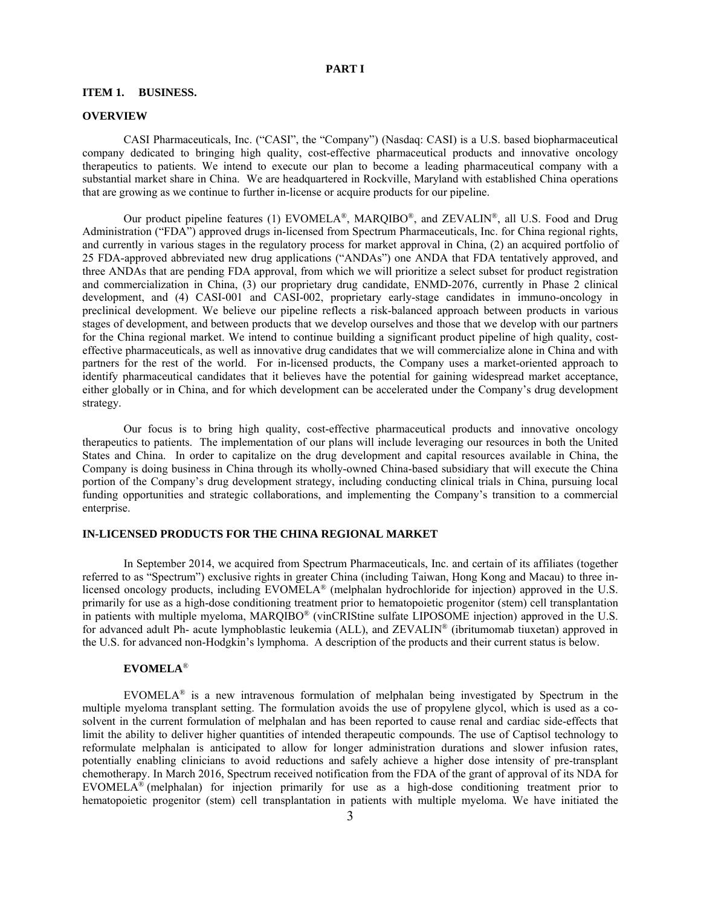### **PART I**

#### **ITEM 1. BUSINESS.**

#### **OVERVIEW**

CASI Pharmaceuticals, Inc. ("CASI", the "Company") (Nasdaq: CASI) is a U.S. based biopharmaceutical company dedicated to bringing high quality, cost-effective pharmaceutical products and innovative oncology therapeutics to patients. We intend to execute our plan to become a leading pharmaceutical company with a substantial market share in China. We are headquartered in Rockville, Maryland with established China operations that are growing as we continue to further in-license or acquire products for our pipeline.

Our product pipeline features (1) EVOMELA®, MARQIBO®, and ZEVALIN®, all U.S. Food and Drug Administration ("FDA") approved drugs in-licensed from Spectrum Pharmaceuticals, Inc. for China regional rights, and currently in various stages in the regulatory process for market approval in China, (2) an acquired portfolio of 25 FDA-approved abbreviated new drug applications ("ANDAs") one ANDA that FDA tentatively approved, and three ANDAs that are pending FDA approval, from which we will prioritize a select subset for product registration and commercialization in China, (3) our proprietary drug candidate, ENMD-2076, currently in Phase 2 clinical development, and (4) CASI-001 and CASI-002, proprietary early-stage candidates in immuno-oncology in preclinical development. We believe our pipeline reflects a risk-balanced approach between products in various stages of development, and between products that we develop ourselves and those that we develop with our partners for the China regional market. We intend to continue building a significant product pipeline of high quality, costeffective pharmaceuticals, as well as innovative drug candidates that we will commercialize alone in China and with partners for the rest of the world. For in-licensed products, the Company uses a market-oriented approach to identify pharmaceutical candidates that it believes have the potential for gaining widespread market acceptance, either globally or in China, and for which development can be accelerated under the Company's drug development strategy.

Our focus is to bring high quality, cost-effective pharmaceutical products and innovative oncology therapeutics to patients. The implementation of our plans will include leveraging our resources in both the United States and China. In order to capitalize on the drug development and capital resources available in China, the Company is doing business in China through its wholly-owned China-based subsidiary that will execute the China portion of the Company's drug development strategy, including conducting clinical trials in China, pursuing local funding opportunities and strategic collaborations, and implementing the Company's transition to a commercial enterprise.

# **IN-LICENSED PRODUCTS FOR THE CHINA REGIONAL MARKET**

In September 2014, we acquired from Spectrum Pharmaceuticals, Inc. and certain of its affiliates (together referred to as "Spectrum") exclusive rights in greater China (including Taiwan, Hong Kong and Macau) to three inlicensed oncology products, including EVOMELA® (melphalan hydrochloride for injection) approved in the U.S. primarily for use as a high-dose conditioning treatment prior to hematopoietic progenitor (stem) cell transplantation in patients with multiple myeloma, MARQIBO® (vinCRIStine sulfate LIPOSOME injection) approved in the U.S. for advanced adult Ph- acute lymphoblastic leukemia (ALL), and ZEVALIN® (ibritumomab tiuxetan) approved in the U.S. for advanced non-Hodgkin's lymphoma. A description of the products and their current status is below.

## **EVOMELA**®

EVOMELA<sup>®</sup> is a new intravenous formulation of melphalan being investigated by Spectrum in the multiple myeloma transplant setting. The formulation avoids the use of propylene glycol, which is used as a cosolvent in the current formulation of melphalan and has been reported to cause renal and cardiac side-effects that limit the ability to deliver higher quantities of intended therapeutic compounds. The use of Captisol technology to reformulate melphalan is anticipated to allow for longer administration durations and slower infusion rates, potentially enabling clinicians to avoid reductions and safely achieve a higher dose intensity of pre-transplant chemotherapy. In March 2016, Spectrum received notification from the FDA of the grant of approval of its NDA for EVOMELA<sup>®</sup> (melphalan) for injection primarily for use as a high-dose conditioning treatment prior to hematopoietic progenitor (stem) cell transplantation in patients with multiple myeloma. We have initiated the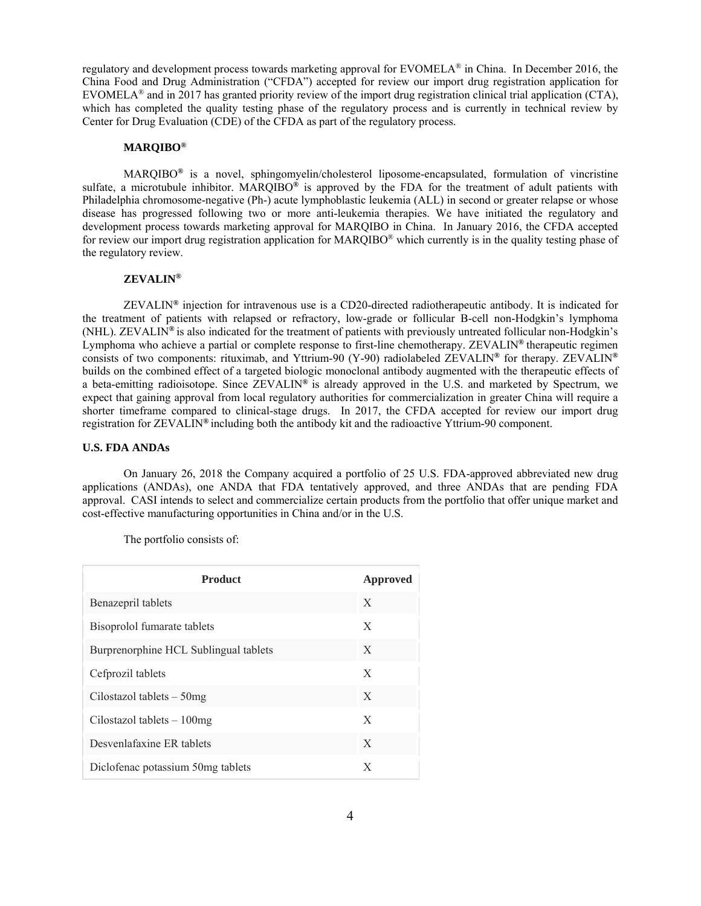regulatory and development process towards marketing approval for EVOMELA® in China. In December 2016, the China Food and Drug Administration ("CFDA") accepted for review our import drug registration application for EVOMELA<sup>®</sup> and in 2017 has granted priority review of the import drug registration clinical trial application (CTA), which has completed the quality testing phase of the regulatory process and is currently in technical review by Center for Drug Evaluation (CDE) of the CFDA as part of the regulatory process.

### **MARQIBO®**

MARQIBO**®** is a novel, sphingomyelin/cholesterol liposome-encapsulated, formulation of vincristine sulfate, a microtubule inhibitor. MARQIBO**®** is approved by the FDA for the treatment of adult patients with Philadelphia chromosome-negative (Ph-) acute lymphoblastic leukemia (ALL) in second or greater relapse or whose disease has progressed following two or more anti-leukemia therapies. We have initiated the regulatory and development process towards marketing approval for MARQIBO in China. In January 2016, the CFDA accepted for review our import drug registration application for MARQIBO® which currently is in the quality testing phase of the regulatory review.

## **ZEVALIN®**

ZEVALIN**®** injection for intravenous use is a CD20-directed radiotherapeutic antibody. It is indicated for the treatment of patients with relapsed or refractory, low-grade or follicular B-cell non-Hodgkin's lymphoma (NHL). ZEVALIN**®** is also indicated for the treatment of patients with previously untreated follicular non-Hodgkin's Lymphoma who achieve a partial or complete response to first-line chemotherapy. ZEVALIN**®** therapeutic regimen consists of two components: rituximab, and Yttrium-90 (Y-90) radiolabeled ZEVALIN**®** for therapy. ZEVALIN**®**  builds on the combined effect of a targeted biologic monoclonal antibody augmented with the therapeutic effects of a beta-emitting radioisotope. Since ZEVALIN**®** is already approved in the U.S. and marketed by Spectrum, we expect that gaining approval from local regulatory authorities for commercialization in greater China will require a shorter timeframe compared to clinical-stage drugs. In 2017, the CFDA accepted for review our import drug registration for ZEVALIN**®** including both the antibody kit and the radioactive Yttrium-90 component.

### **U.S. FDA ANDAs**

On January 26, 2018 the Company acquired a portfolio of 25 U.S. FDA-approved abbreviated new drug applications (ANDAs), one ANDA that FDA tentatively approved, and three ANDAs that are pending FDA approval. CASI intends to select and commercialize certain products from the portfolio that offer unique market and cost-effective manufacturing opportunities in China and/or in the U.S.

The portfolio consists of:

| <b>Product</b>                        | Approved |
|---------------------------------------|----------|
| Benazepril tablets                    | X        |
| Bisoprolol fumarate tablets           | X        |
| Burprenorphine HCL Sublingual tablets | X        |
| Cefprozil tablets                     | X        |
| Cilostazol tablets $-50$ mg           | X        |
| Cilostazol tablets $-100$ mg          | X        |
| Desvenlafaxine ER tablets             | X        |
| Diclofenac potassium 50mg tablets     | X        |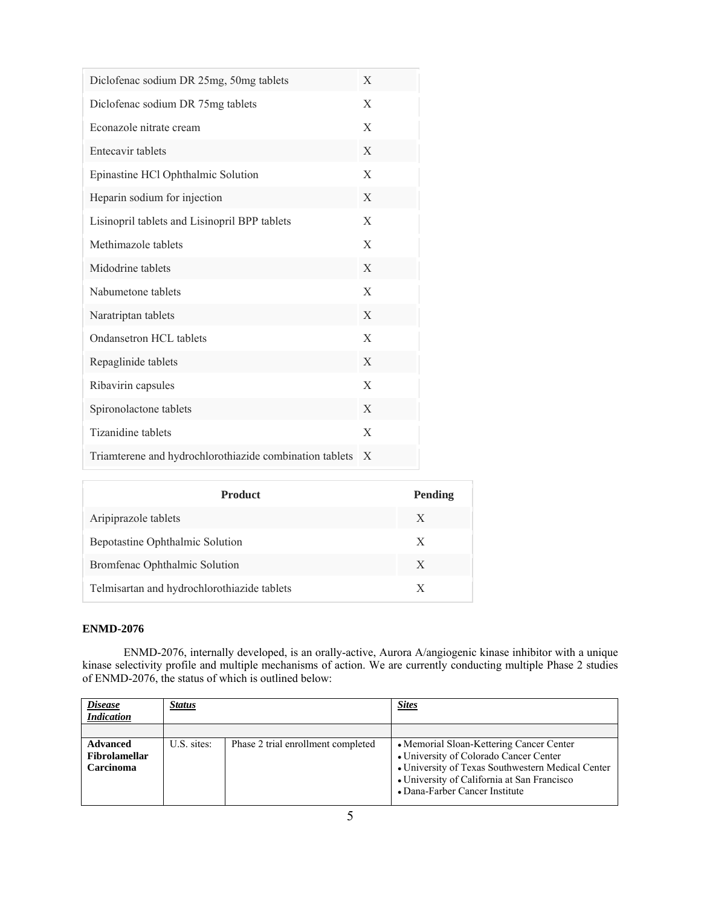| Diclofenac sodium DR 25mg, 50mg tablets                 | X |
|---------------------------------------------------------|---|
| Diclofenac sodium DR 75mg tablets                       | X |
| Econazole nitrate cream                                 | X |
| Entecavir tablets                                       | X |
| Epinastine HCl Ophthalmic Solution                      | X |
| Heparin sodium for injection                            | X |
| Lisinopril tablets and Lisinopril BPP tablets           | X |
| Methimazole tablets                                     | X |
| Midodrine tablets                                       | X |
| Nabumetone tablets                                      | X |
| Naratriptan tablets                                     | X |
| Ondansetron HCL tablets                                 | X |
| Repaglinide tablets                                     | X |
| Ribavirin capsules                                      | X |
| Spironolactone tablets                                  | X |
| Tizanidine tablets                                      | X |
| Triamterene and hydrochlorothiazide combination tablets | X |

| <b>Product</b>                              | Pending |
|---------------------------------------------|---------|
| Aripiprazole tablets                        | X       |
| Bepotastine Ophthalmic Solution             | X       |
| Bromfenac Ophthalmic Solution               | X       |
| Telmisartan and hydrochlorothiazide tablets | X       |

# **ENMD-2076**

r

ENMD-2076, internally developed, is an orally-active, Aurora A/angiogenic kinase inhibitor with a unique kinase selectivity profile and multiple mechanisms of action. We are currently conducting multiple Phase 2 studies of ENMD-2076, the status of which is outlined below:

| <b>Disease</b><br><b>Indication</b>                  | <u>Status</u> |                                    | <b>Sites</b>                                                                                                                                                                                                             |  |
|------------------------------------------------------|---------------|------------------------------------|--------------------------------------------------------------------------------------------------------------------------------------------------------------------------------------------------------------------------|--|
|                                                      |               |                                    |                                                                                                                                                                                                                          |  |
| <b>Advanced</b><br><b>Fibrolamellar</b><br>Carcinoma | U.S. sites:   | Phase 2 trial enrollment completed | • Memorial Sloan-Kettering Cancer Center<br>• University of Colorado Cancer Center<br>• University of Texas Southwestern Medical Center<br>• University of California at San Francisco<br>• Dana-Farber Cancer Institute |  |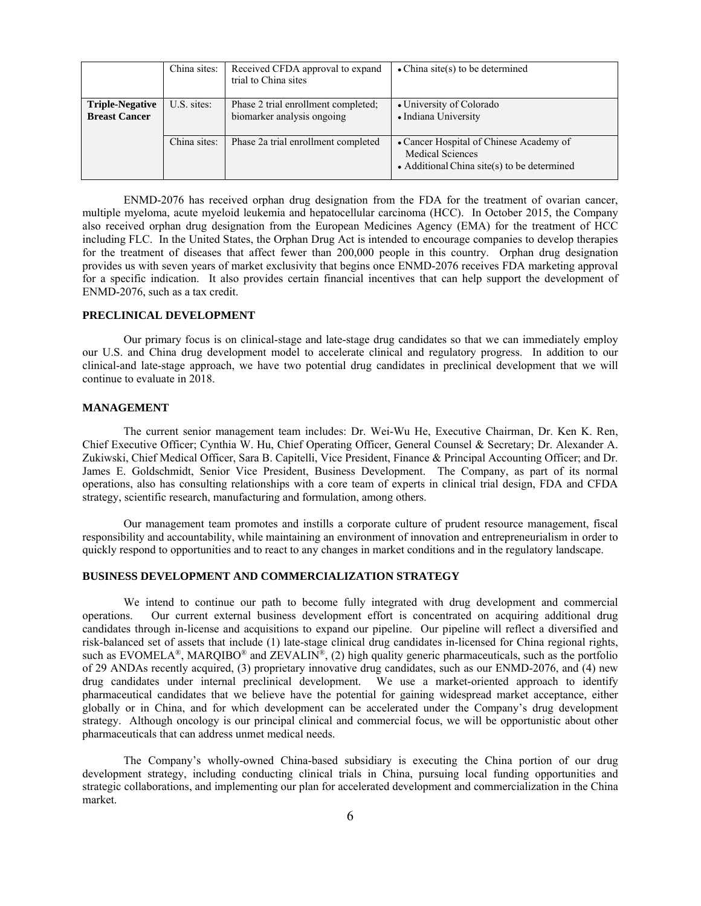|                                                | China sites: | Received CFDA approval to expand<br>trial to China sites          | $\bullet$ China site(s) to be determined                                                                           |
|------------------------------------------------|--------------|-------------------------------------------------------------------|--------------------------------------------------------------------------------------------------------------------|
| <b>Triple-Negative</b><br><b>Breast Cancer</b> | U.S. sites:  | Phase 2 trial enrollment completed;<br>biomarker analysis ongoing | • University of Colorado<br>• Indiana University                                                                   |
|                                                | China sites: | Phase 2a trial enrollment completed                               | • Cancer Hospital of Chinese Academy of<br>Medical Sciences<br>$\bullet$ Additional China site(s) to be determined |

ENMD-2076 has received orphan drug designation from the FDA for the treatment of ovarian cancer, multiple myeloma, acute myeloid leukemia and hepatocellular carcinoma (HCC). In October 2015, the Company also received orphan drug designation from the European Medicines Agency (EMA) for the treatment of HCC including FLC. In the United States, the Orphan Drug Act is intended to encourage companies to develop therapies for the treatment of diseases that affect fewer than 200,000 people in this country. Orphan drug designation provides us with seven years of market exclusivity that begins once ENMD-2076 receives FDA marketing approval for a specific indication. It also provides certain financial incentives that can help support the development of ENMD-2076, such as a tax credit.

### **PRECLINICAL DEVELOPMENT**

Our primary focus is on clinical-stage and late-stage drug candidates so that we can immediately employ our U.S. and China drug development model to accelerate clinical and regulatory progress. In addition to our clinical-and late-stage approach, we have two potential drug candidates in preclinical development that we will continue to evaluate in 2018.

### **MANAGEMENT**

The current senior management team includes: Dr. Wei-Wu He, Executive Chairman, Dr. Ken K. Ren, Chief Executive Officer; Cynthia W. Hu, Chief Operating Officer, General Counsel & Secretary; Dr. Alexander A. Zukiwski, Chief Medical Officer, Sara B. Capitelli, Vice President, Finance & Principal Accounting Officer; and Dr. James E. Goldschmidt, Senior Vice President, Business Development. The Company, as part of its normal operations, also has consulting relationships with a core team of experts in clinical trial design, FDA and CFDA strategy, scientific research, manufacturing and formulation, among others.

Our management team promotes and instills a corporate culture of prudent resource management, fiscal responsibility and accountability, while maintaining an environment of innovation and entrepreneurialism in order to quickly respond to opportunities and to react to any changes in market conditions and in the regulatory landscape.

#### **BUSINESS DEVELOPMENT AND COMMERCIALIZATION STRATEGY**

We intend to continue our path to become fully integrated with drug development and commercial operations. Our current external business development effort is concentrated on acquiring additional drug candidates through in-license and acquisitions to expand our pipeline. Our pipeline will reflect a diversified and risk-balanced set of assets that include (1) late-stage clinical drug candidates in-licensed for China regional rights, such as EVOMELA<sup>®</sup>, MARQIBO<sup>®</sup> and ZEVALIN<sup>®</sup>, (2) high quality generic pharmaceuticals, such as the portfolio of 29 ANDAs recently acquired, (3) proprietary innovative drug candidates, such as our ENMD-2076, and (4) new drug candidates under internal preclinical development. We use a market-oriented approach to identify pharmaceutical candidates that we believe have the potential for gaining widespread market acceptance, either globally or in China, and for which development can be accelerated under the Company's drug development strategy. Although oncology is our principal clinical and commercial focus, we will be opportunistic about other pharmaceuticals that can address unmet medical needs.

The Company's wholly-owned China-based subsidiary is executing the China portion of our drug development strategy, including conducting clinical trials in China, pursuing local funding opportunities and strategic collaborations, and implementing our plan for accelerated development and commercialization in the China market.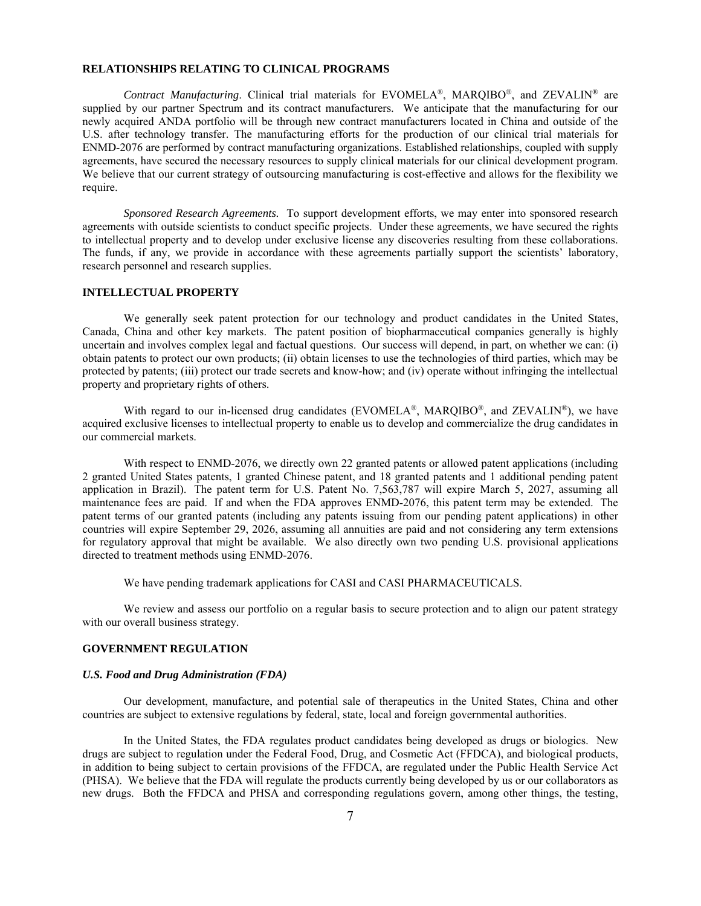### **RELATIONSHIPS RELATING TO CLINICAL PROGRAMS**

*Contract Manufacturing*. Clinical trial materials for EVOMELA®, MARQIBO®, and ZEVALIN® are supplied by our partner Spectrum and its contract manufacturers. We anticipate that the manufacturing for our newly acquired ANDA portfolio will be through new contract manufacturers located in China and outside of the U.S. after technology transfer. The manufacturing efforts for the production of our clinical trial materials for ENMD-2076 are performed by contract manufacturing organizations. Established relationships, coupled with supply agreements, have secured the necessary resources to supply clinical materials for our clinical development program. We believe that our current strategy of outsourcing manufacturing is cost-effective and allows for the flexibility we require.

*Sponsored Research Agreements.* To support development efforts, we may enter into sponsored research agreements with outside scientists to conduct specific projects. Under these agreements, we have secured the rights to intellectual property and to develop under exclusive license any discoveries resulting from these collaborations. The funds, if any, we provide in accordance with these agreements partially support the scientists' laboratory, research personnel and research supplies.

### **INTELLECTUAL PROPERTY**

We generally seek patent protection for our technology and product candidates in the United States, Canada, China and other key markets. The patent position of biopharmaceutical companies generally is highly uncertain and involves complex legal and factual questions. Our success will depend, in part, on whether we can: (i) obtain patents to protect our own products; (ii) obtain licenses to use the technologies of third parties, which may be protected by patents; (iii) protect our trade secrets and know-how; and (iv) operate without infringing the intellectual property and proprietary rights of others.

With regard to our in-licensed drug candidates (EVOMELA®, MARQIBO®, and ZEVALIN®), we have acquired exclusive licenses to intellectual property to enable us to develop and commercialize the drug candidates in our commercial markets.

With respect to ENMD-2076, we directly own 22 granted patents or allowed patent applications (including 2 granted United States patents, 1 granted Chinese patent, and 18 granted patents and 1 additional pending patent application in Brazil). The patent term for U.S. Patent No. 7,563,787 will expire March 5, 2027, assuming all maintenance fees are paid. If and when the FDA approves ENMD-2076, this patent term may be extended. The patent terms of our granted patents (including any patents issuing from our pending patent applications) in other countries will expire September 29, 2026, assuming all annuities are paid and not considering any term extensions for regulatory approval that might be available. We also directly own two pending U.S. provisional applications directed to treatment methods using ENMD-2076.

We have pending trademark applications for CASI and CASI PHARMACEUTICALS.

We review and assess our portfolio on a regular basis to secure protection and to align our patent strategy with our overall business strategy.

## **GOVERNMENT REGULATION**

#### *U.S. Food and Drug Administration (FDA)*

Our development, manufacture, and potential sale of therapeutics in the United States, China and other countries are subject to extensive regulations by federal, state, local and foreign governmental authorities.

In the United States, the FDA regulates product candidates being developed as drugs or biologics. New drugs are subject to regulation under the Federal Food, Drug, and Cosmetic Act (FFDCA), and biological products, in addition to being subject to certain provisions of the FFDCA, are regulated under the Public Health Service Act (PHSA). We believe that the FDA will regulate the products currently being developed by us or our collaborators as new drugs. Both the FFDCA and PHSA and corresponding regulations govern, among other things, the testing,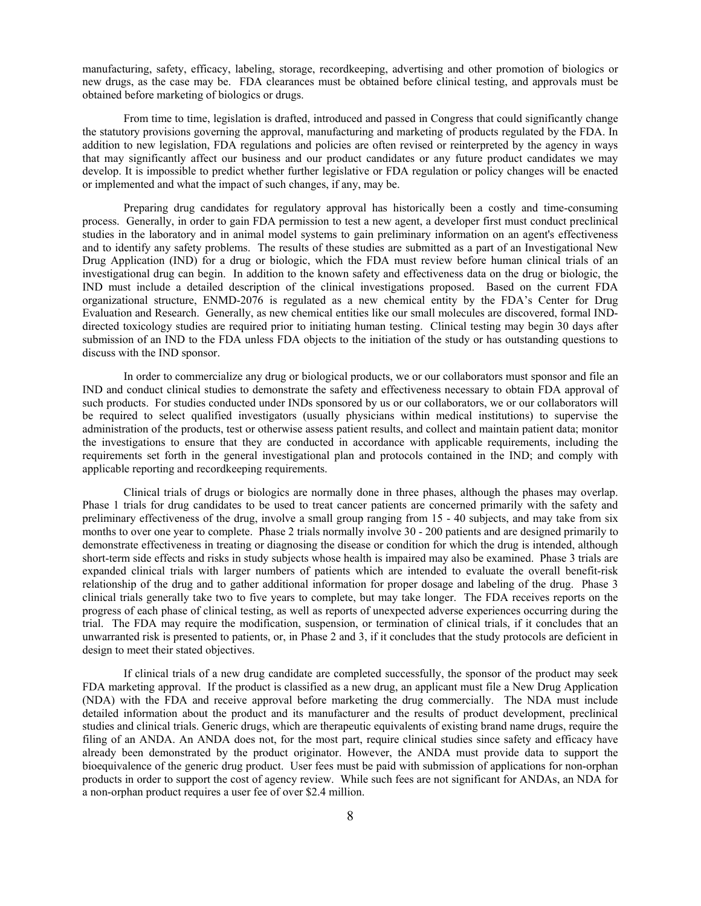manufacturing, safety, efficacy, labeling, storage, recordkeeping, advertising and other promotion of biologics or new drugs, as the case may be. FDA clearances must be obtained before clinical testing, and approvals must be obtained before marketing of biologics or drugs.

From time to time, legislation is drafted, introduced and passed in Congress that could significantly change the statutory provisions governing the approval, manufacturing and marketing of products regulated by the FDA. In addition to new legislation, FDA regulations and policies are often revised or reinterpreted by the agency in ways that may significantly affect our business and our product candidates or any future product candidates we may develop. It is impossible to predict whether further legislative or FDA regulation or policy changes will be enacted or implemented and what the impact of such changes, if any, may be.

Preparing drug candidates for regulatory approval has historically been a costly and time-consuming process. Generally, in order to gain FDA permission to test a new agent, a developer first must conduct preclinical studies in the laboratory and in animal model systems to gain preliminary information on an agent's effectiveness and to identify any safety problems. The results of these studies are submitted as a part of an Investigational New Drug Application (IND) for a drug or biologic, which the FDA must review before human clinical trials of an investigational drug can begin. In addition to the known safety and effectiveness data on the drug or biologic, the IND must include a detailed description of the clinical investigations proposed. Based on the current FDA organizational structure, ENMD-2076 is regulated as a new chemical entity by the FDA's Center for Drug Evaluation and Research. Generally, as new chemical entities like our small molecules are discovered, formal INDdirected toxicology studies are required prior to initiating human testing. Clinical testing may begin 30 days after submission of an IND to the FDA unless FDA objects to the initiation of the study or has outstanding questions to discuss with the IND sponsor.

In order to commercialize any drug or biological products, we or our collaborators must sponsor and file an IND and conduct clinical studies to demonstrate the safety and effectiveness necessary to obtain FDA approval of such products. For studies conducted under INDs sponsored by us or our collaborators, we or our collaborators will be required to select qualified investigators (usually physicians within medical institutions) to supervise the administration of the products, test or otherwise assess patient results, and collect and maintain patient data; monitor the investigations to ensure that they are conducted in accordance with applicable requirements, including the requirements set forth in the general investigational plan and protocols contained in the IND; and comply with applicable reporting and recordkeeping requirements.

Clinical trials of drugs or biologics are normally done in three phases, although the phases may overlap. Phase 1 trials for drug candidates to be used to treat cancer patients are concerned primarily with the safety and preliminary effectiveness of the drug, involve a small group ranging from 15 - 40 subjects, and may take from six months to over one year to complete. Phase 2 trials normally involve 30 - 200 patients and are designed primarily to demonstrate effectiveness in treating or diagnosing the disease or condition for which the drug is intended, although short-term side effects and risks in study subjects whose health is impaired may also be examined. Phase 3 trials are expanded clinical trials with larger numbers of patients which are intended to evaluate the overall benefit-risk relationship of the drug and to gather additional information for proper dosage and labeling of the drug. Phase 3 clinical trials generally take two to five years to complete, but may take longer. The FDA receives reports on the progress of each phase of clinical testing, as well as reports of unexpected adverse experiences occurring during the trial. The FDA may require the modification, suspension, or termination of clinical trials, if it concludes that an unwarranted risk is presented to patients, or, in Phase 2 and 3, if it concludes that the study protocols are deficient in design to meet their stated objectives.

If clinical trials of a new drug candidate are completed successfully, the sponsor of the product may seek FDA marketing approval. If the product is classified as a new drug, an applicant must file a New Drug Application (NDA) with the FDA and receive approval before marketing the drug commercially. The NDA must include detailed information about the product and its manufacturer and the results of product development, preclinical studies and clinical trials. Generic drugs, which are therapeutic equivalents of existing brand name drugs, require the filing of an ANDA. An ANDA does not, for the most part, require clinical studies since safety and efficacy have already been demonstrated by the product originator. However, the ANDA must provide data to support the bioequivalence of the generic drug product. User fees must be paid with submission of applications for non-orphan products in order to support the cost of agency review. While such fees are not significant for ANDAs, an NDA for a non-orphan product requires a user fee of over \$2.4 million.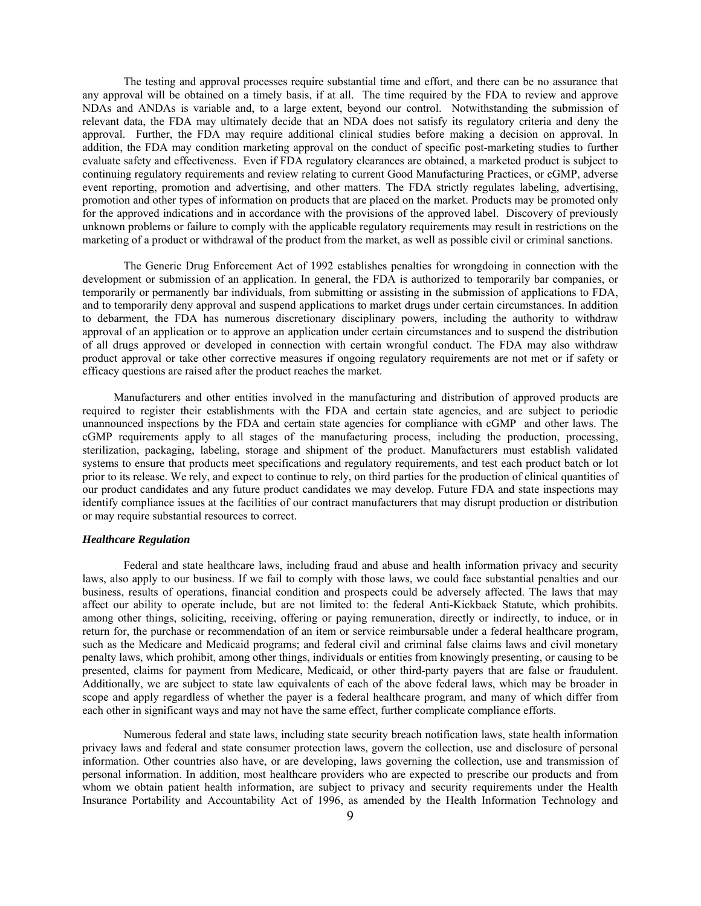The testing and approval processes require substantial time and effort, and there can be no assurance that any approval will be obtained on a timely basis, if at all. The time required by the FDA to review and approve NDAs and ANDAs is variable and, to a large extent, beyond our control. Notwithstanding the submission of relevant data, the FDA may ultimately decide that an NDA does not satisfy its regulatory criteria and deny the approval. Further, the FDA may require additional clinical studies before making a decision on approval. In addition, the FDA may condition marketing approval on the conduct of specific post-marketing studies to further evaluate safety and effectiveness. Even if FDA regulatory clearances are obtained, a marketed product is subject to continuing regulatory requirements and review relating to current Good Manufacturing Practices, or cGMP, adverse event reporting, promotion and advertising, and other matters. The FDA strictly regulates labeling, advertising, promotion and other types of information on products that are placed on the market. Products may be promoted only for the approved indications and in accordance with the provisions of the approved label. Discovery of previously unknown problems or failure to comply with the applicable regulatory requirements may result in restrictions on the marketing of a product or withdrawal of the product from the market, as well as possible civil or criminal sanctions.

The Generic Drug Enforcement Act of 1992 establishes penalties for wrongdoing in connection with the development or submission of an application. In general, the FDA is authorized to temporarily bar companies, or temporarily or permanently bar individuals, from submitting or assisting in the submission of applications to FDA, and to temporarily deny approval and suspend applications to market drugs under certain circumstances. In addition to debarment, the FDA has numerous discretionary disciplinary powers, including the authority to withdraw approval of an application or to approve an application under certain circumstances and to suspend the distribution of all drugs approved or developed in connection with certain wrongful conduct. The FDA may also withdraw product approval or take other corrective measures if ongoing regulatory requirements are not met or if safety or efficacy questions are raised after the product reaches the market.

Manufacturers and other entities involved in the manufacturing and distribution of approved products are required to register their establishments with the FDA and certain state agencies, and are subject to periodic unannounced inspections by the FDA and certain state agencies for compliance with cGMP and other laws. The cGMP requirements apply to all stages of the manufacturing process, including the production, processing, sterilization, packaging, labeling, storage and shipment of the product. Manufacturers must establish validated systems to ensure that products meet specifications and regulatory requirements, and test each product batch or lot prior to its release. We rely, and expect to continue to rely, on third parties for the production of clinical quantities of our product candidates and any future product candidates we may develop. Future FDA and state inspections may identify compliance issues at the facilities of our contract manufacturers that may disrupt production or distribution or may require substantial resources to correct.

#### *Healthcare Regulation*

Federal and state healthcare laws, including fraud and abuse and health information privacy and security laws, also apply to our business. If we fail to comply with those laws, we could face substantial penalties and our business, results of operations, financial condition and prospects could be adversely affected. The laws that may affect our ability to operate include, but are not limited to: the federal Anti-Kickback Statute, which prohibits. among other things, soliciting, receiving, offering or paying remuneration, directly or indirectly, to induce, or in return for, the purchase or recommendation of an item or service reimbursable under a federal healthcare program, such as the Medicare and Medicaid programs; and federal civil and criminal false claims laws and civil monetary penalty laws, which prohibit, among other things, individuals or entities from knowingly presenting, or causing to be presented, claims for payment from Medicare, Medicaid, or other third-party payers that are false or fraudulent. Additionally, we are subject to state law equivalents of each of the above federal laws, which may be broader in scope and apply regardless of whether the payer is a federal healthcare program, and many of which differ from each other in significant ways and may not have the same effect, further complicate compliance efforts.

Numerous federal and state laws, including state security breach notification laws, state health information privacy laws and federal and state consumer protection laws, govern the collection, use and disclosure of personal information. Other countries also have, or are developing, laws governing the collection, use and transmission of personal information. In addition, most healthcare providers who are expected to prescribe our products and from whom we obtain patient health information, are subject to privacy and security requirements under the Health Insurance Portability and Accountability Act of 1996, as amended by the Health Information Technology and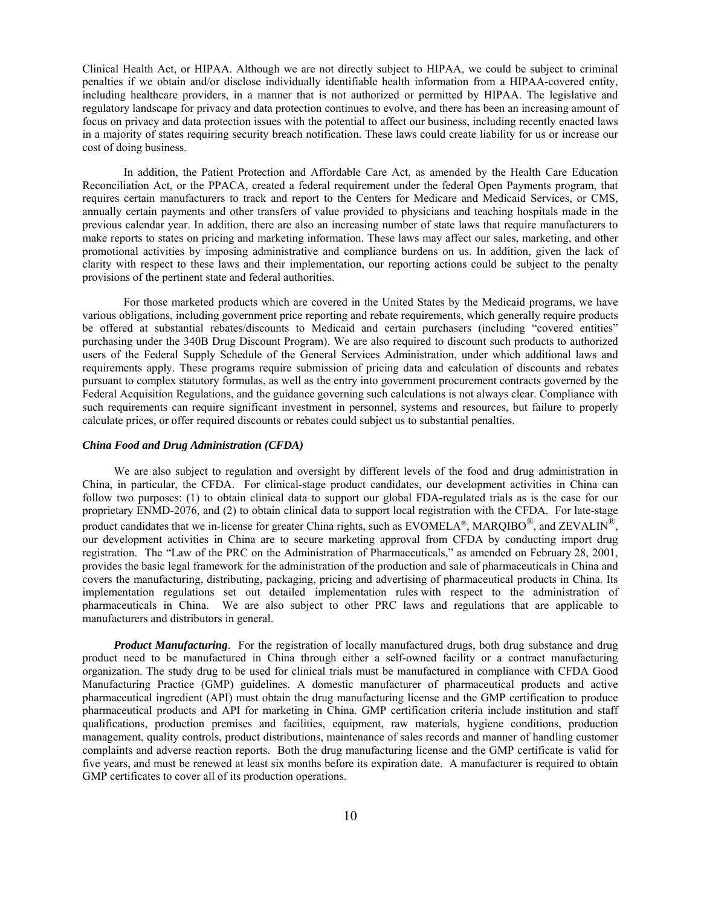Clinical Health Act, or HIPAA. Although we are not directly subject to HIPAA, we could be subject to criminal penalties if we obtain and/or disclose individually identifiable health information from a HIPAA-covered entity, including healthcare providers, in a manner that is not authorized or permitted by HIPAA. The legislative and regulatory landscape for privacy and data protection continues to evolve, and there has been an increasing amount of focus on privacy and data protection issues with the potential to affect our business, including recently enacted laws in a majority of states requiring security breach notification. These laws could create liability for us or increase our cost of doing business.

In addition, the Patient Protection and Affordable Care Act, as amended by the Health Care Education Reconciliation Act, or the PPACA, created a federal requirement under the federal Open Payments program, that requires certain manufacturers to track and report to the Centers for Medicare and Medicaid Services, or CMS, annually certain payments and other transfers of value provided to physicians and teaching hospitals made in the previous calendar year. In addition, there are also an increasing number of state laws that require manufacturers to make reports to states on pricing and marketing information. These laws may affect our sales, marketing, and other promotional activities by imposing administrative and compliance burdens on us. In addition, given the lack of clarity with respect to these laws and their implementation, our reporting actions could be subject to the penalty provisions of the pertinent state and federal authorities.

For those marketed products which are covered in the United States by the Medicaid programs, we have various obligations, including government price reporting and rebate requirements, which generally require products be offered at substantial rebates/discounts to Medicaid and certain purchasers (including "covered entities" purchasing under the 340B Drug Discount Program). We are also required to discount such products to authorized users of the Federal Supply Schedule of the General Services Administration, under which additional laws and requirements apply. These programs require submission of pricing data and calculation of discounts and rebates pursuant to complex statutory formulas, as well as the entry into government procurement contracts governed by the Federal Acquisition Regulations, and the guidance governing such calculations is not always clear. Compliance with such requirements can require significant investment in personnel, systems and resources, but failure to properly calculate prices, or offer required discounts or rebates could subject us to substantial penalties.

#### *China Food and Drug Administration (CFDA)*

We are also subject to regulation and oversight by different levels of the food and drug administration in China, in particular, the CFDA. For clinical-stage product candidates, our development activities in China can follow two purposes: (1) to obtain clinical data to support our global FDA-regulated trials as is the case for our proprietary ENMD-2076, and (2) to obtain clinical data to support local registration with the CFDA. For late-stage product candidates that we in-license for greater China rights, such as EVOMELA®, MARQIBO<sup>®</sup>, and ZEVALIN<sup>®</sup>, our development activities in China are to secure marketing approval from CFDA by conducting import drug registration. The "Law of the PRC on the Administration of Pharmaceuticals," as amended on February 28, 2001, provides the basic legal framework for the administration of the production and sale of pharmaceuticals in China and covers the manufacturing, distributing, packaging, pricing and advertising of pharmaceutical products in China. Its implementation regulations set out detailed implementation rules with respect to the administration of pharmaceuticals in China. We are also subject to other PRC laws and regulations that are applicable to manufacturers and distributors in general.

*Product Manufacturing.* For the registration of locally manufactured drugs, both drug substance and drug product need to be manufactured in China through either a self-owned facility or a contract manufacturing organization. The study drug to be used for clinical trials must be manufactured in compliance with CFDA Good Manufacturing Practice (GMP) guidelines. A domestic manufacturer of pharmaceutical products and active pharmaceutical ingredient (API) must obtain the drug manufacturing license and the GMP certification to produce pharmaceutical products and API for marketing in China. GMP certification criteria include institution and staff qualifications, production premises and facilities, equipment, raw materials, hygiene conditions, production management, quality controls, product distributions, maintenance of sales records and manner of handling customer complaints and adverse reaction reports. Both the drug manufacturing license and the GMP certificate is valid for five years, and must be renewed at least six months before its expiration date. A manufacturer is required to obtain GMP certificates to cover all of its production operations.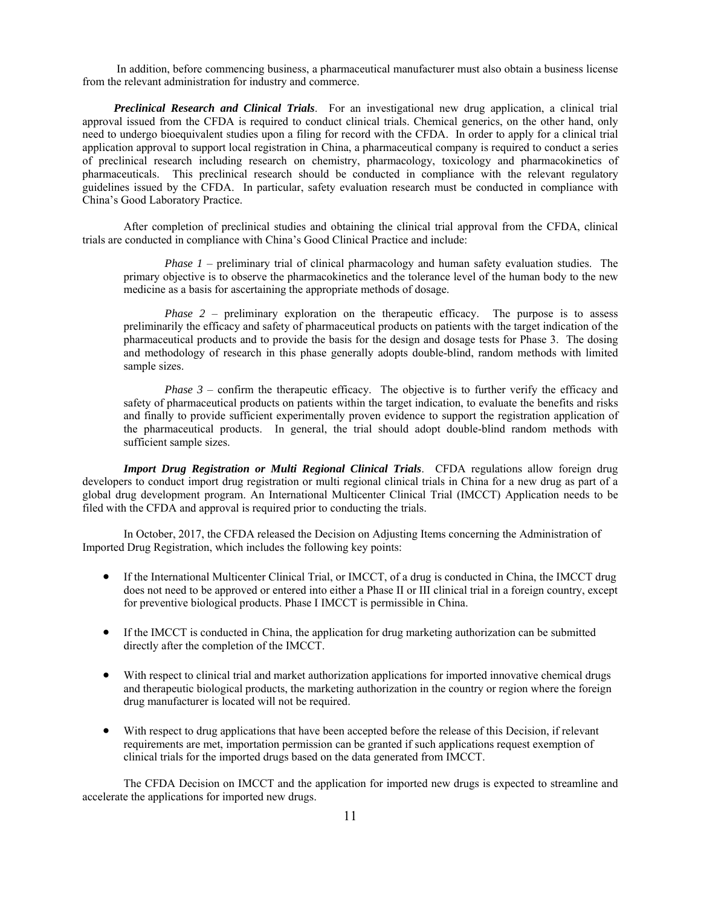In addition, before commencing business, a pharmaceutical manufacturer must also obtain a business license from the relevant administration for industry and commerce.

*Preclinical Research and Clinical Trials*. For an investigational new drug application, a clinical trial approval issued from the CFDA is required to conduct clinical trials. Chemical generics, on the other hand, only need to undergo bioequivalent studies upon a filing for record with the CFDA. In order to apply for a clinical trial application approval to support local registration in China, a pharmaceutical company is required to conduct a series of preclinical research including research on chemistry, pharmacology, toxicology and pharmacokinetics of pharmaceuticals. This preclinical research should be conducted in compliance with the relevant regulatory guidelines issued by the CFDA. In particular, safety evaluation research must be conducted in compliance with China's Good Laboratory Practice.

After completion of preclinical studies and obtaining the clinical trial approval from the CFDA, clinical trials are conducted in compliance with China's Good Clinical Practice and include:

*Phase 1* – preliminary trial of clinical pharmacology and human safety evaluation studies. The primary objective is to observe the pharmacokinetics and the tolerance level of the human body to the new medicine as a basis for ascertaining the appropriate methods of dosage.

*Phase 2* – preliminary exploration on the therapeutic efficacy. The purpose is to assess preliminarily the efficacy and safety of pharmaceutical products on patients with the target indication of the pharmaceutical products and to provide the basis for the design and dosage tests for Phase 3. The dosing and methodology of research in this phase generally adopts double-blind, random methods with limited sample sizes.

*Phase 3* – confirm the therapeutic efficacy. The objective is to further verify the efficacy and safety of pharmaceutical products on patients within the target indication, to evaluate the benefits and risks and finally to provide sufficient experimentally proven evidence to support the registration application of the pharmaceutical products. In general, the trial should adopt double-blind random methods with sufficient sample sizes.

*Import Drug Registration or Multi Regional Clinical Trials*. CFDA regulations allow foreign drug developers to conduct import drug registration or multi regional clinical trials in China for a new drug as part of a global drug development program. An International Multicenter Clinical Trial (IMCCT) Application needs to be filed with the CFDA and approval is required prior to conducting the trials.

In October, 2017, the CFDA released the Decision on Adjusting Items concerning the Administration of Imported Drug Registration, which includes the following key points:

- If the International Multicenter Clinical Trial, or IMCCT, of a drug is conducted in China, the IMCCT drug does not need to be approved or entered into either a Phase II or III clinical trial in a foreign country, except for preventive biological products. Phase I IMCCT is permissible in China.
- If the IMCCT is conducted in China, the application for drug marketing authorization can be submitted directly after the completion of the IMCCT.
- With respect to clinical trial and market authorization applications for imported innovative chemical drugs and therapeutic biological products, the marketing authorization in the country or region where the foreign drug manufacturer is located will not be required.
- With respect to drug applications that have been accepted before the release of this Decision, if relevant requirements are met, importation permission can be granted if such applications request exemption of clinical trials for the imported drugs based on the data generated from IMCCT.

The CFDA Decision on IMCCT and the application for imported new drugs is expected to streamline and accelerate the applications for imported new drugs.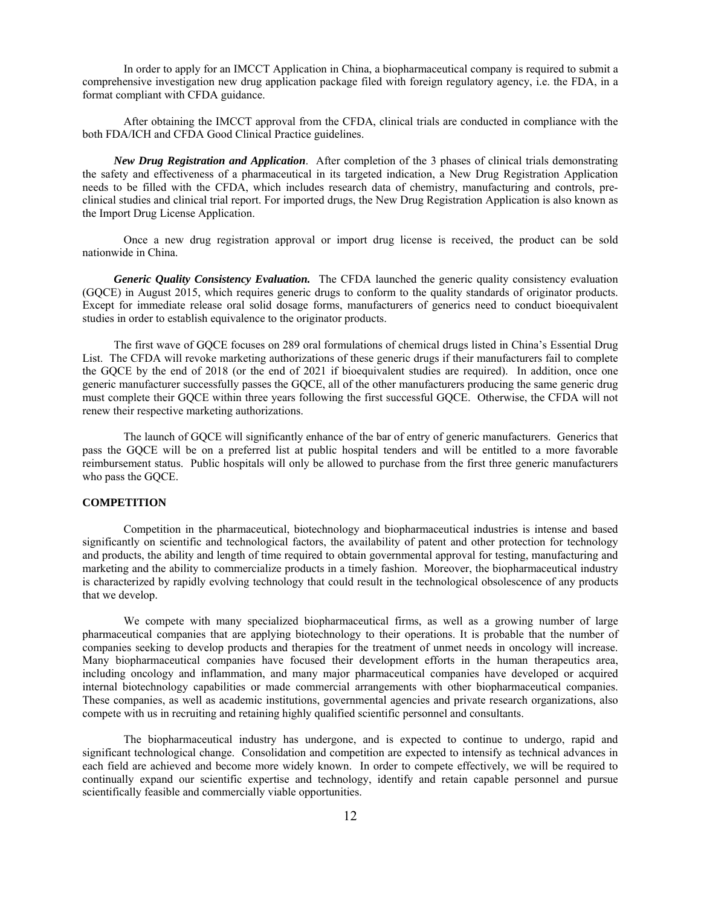In order to apply for an IMCCT Application in China, a biopharmaceutical company is required to submit a comprehensive investigation new drug application package filed with foreign regulatory agency, i.e. the FDA, in a format compliant with CFDA guidance.

After obtaining the IMCCT approval from the CFDA, clinical trials are conducted in compliance with the both FDA/ICH and CFDA Good Clinical Practice guidelines.

*New Drug Registration and Application*. After completion of the 3 phases of clinical trials demonstrating the safety and effectiveness of a pharmaceutical in its targeted indication, a New Drug Registration Application needs to be filled with the CFDA, which includes research data of chemistry, manufacturing and controls, preclinical studies and clinical trial report. For imported drugs, the New Drug Registration Application is also known as the Import Drug License Application.

Once a new drug registration approval or import drug license is received, the product can be sold nationwide in China.

*Generic Quality Consistency Evaluation.* The CFDA launched the generic quality consistency evaluation (GQCE) in August 2015, which requires generic drugs to conform to the quality standards of originator products. Except for immediate release oral solid dosage forms, manufacturers of generics need to conduct bioequivalent studies in order to establish equivalence to the originator products.

The first wave of GQCE focuses on 289 oral formulations of chemical drugs listed in China's Essential Drug List. The CFDA will revoke marketing authorizations of these generic drugs if their manufacturers fail to complete the GQCE by the end of 2018 (or the end of 2021 if bioequivalent studies are required). In addition, once one generic manufacturer successfully passes the GQCE, all of the other manufacturers producing the same generic drug must complete their GQCE within three years following the first successful GQCE. Otherwise, the CFDA will not renew their respective marketing authorizations.

The launch of GQCE will significantly enhance of the bar of entry of generic manufacturers. Generics that pass the GQCE will be on a preferred list at public hospital tenders and will be entitled to a more favorable reimbursement status. Public hospitals will only be allowed to purchase from the first three generic manufacturers who pass the GQCE.

# **COMPETITION**

Competition in the pharmaceutical, biotechnology and biopharmaceutical industries is intense and based significantly on scientific and technological factors, the availability of patent and other protection for technology and products, the ability and length of time required to obtain governmental approval for testing, manufacturing and marketing and the ability to commercialize products in a timely fashion. Moreover, the biopharmaceutical industry is characterized by rapidly evolving technology that could result in the technological obsolescence of any products that we develop.

We compete with many specialized biopharmaceutical firms, as well as a growing number of large pharmaceutical companies that are applying biotechnology to their operations. It is probable that the number of companies seeking to develop products and therapies for the treatment of unmet needs in oncology will increase. Many biopharmaceutical companies have focused their development efforts in the human therapeutics area, including oncology and inflammation, and many major pharmaceutical companies have developed or acquired internal biotechnology capabilities or made commercial arrangements with other biopharmaceutical companies. These companies, as well as academic institutions, governmental agencies and private research organizations, also compete with us in recruiting and retaining highly qualified scientific personnel and consultants.

The biopharmaceutical industry has undergone, and is expected to continue to undergo, rapid and significant technological change. Consolidation and competition are expected to intensify as technical advances in each field are achieved and become more widely known. In order to compete effectively, we will be required to continually expand our scientific expertise and technology, identify and retain capable personnel and pursue scientifically feasible and commercially viable opportunities.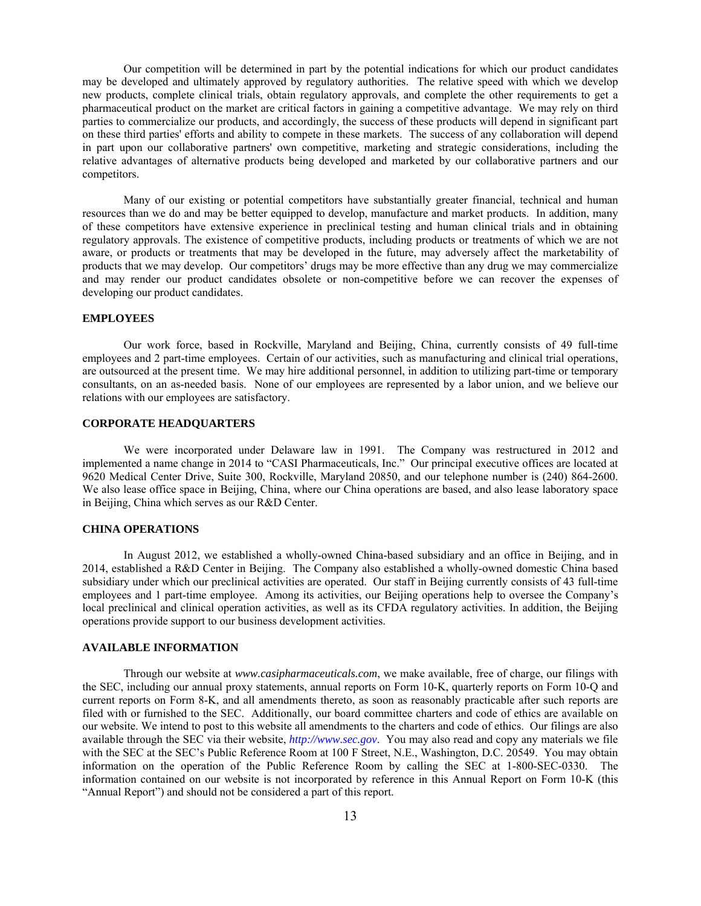Our competition will be determined in part by the potential indications for which our product candidates may be developed and ultimately approved by regulatory authorities. The relative speed with which we develop new products, complete clinical trials, obtain regulatory approvals, and complete the other requirements to get a pharmaceutical product on the market are critical factors in gaining a competitive advantage. We may rely on third parties to commercialize our products, and accordingly, the success of these products will depend in significant part on these third parties' efforts and ability to compete in these markets. The success of any collaboration will depend in part upon our collaborative partners' own competitive, marketing and strategic considerations, including the relative advantages of alternative products being developed and marketed by our collaborative partners and our competitors.

Many of our existing or potential competitors have substantially greater financial, technical and human resources than we do and may be better equipped to develop, manufacture and market products. In addition, many of these competitors have extensive experience in preclinical testing and human clinical trials and in obtaining regulatory approvals. The existence of competitive products, including products or treatments of which we are not aware, or products or treatments that may be developed in the future, may adversely affect the marketability of products that we may develop. Our competitors' drugs may be more effective than any drug we may commercialize and may render our product candidates obsolete or non-competitive before we can recover the expenses of developing our product candidates.

# **EMPLOYEES**

Our work force, based in Rockville, Maryland and Beijing, China, currently consists of 49 full-time employees and 2 part-time employees. Certain of our activities, such as manufacturing and clinical trial operations, are outsourced at the present time. We may hire additional personnel, in addition to utilizing part-time or temporary consultants, on an as-needed basis. None of our employees are represented by a labor union, and we believe our relations with our employees are satisfactory.

### **CORPORATE HEADQUARTERS**

We were incorporated under Delaware law in 1991. The Company was restructured in 2012 and implemented a name change in 2014 to "CASI Pharmaceuticals, Inc." Our principal executive offices are located at 9620 Medical Center Drive, Suite 300, Rockville, Maryland 20850, and our telephone number is (240) 864-2600. We also lease office space in Beijing, China, where our China operations are based, and also lease laboratory space in Beijing, China which serves as our R&D Center.

## **CHINA OPERATIONS**

In August 2012, we established a wholly-owned China-based subsidiary and an office in Beijing, and in 2014, established a R&D Center in Beijing. The Company also established a wholly-owned domestic China based subsidiary under which our preclinical activities are operated. Our staff in Beijing currently consists of 43 full-time employees and 1 part-time employee. Among its activities, our Beijing operations help to oversee the Company's local preclinical and clinical operation activities, as well as its CFDA regulatory activities. In addition, the Beijing operations provide support to our business development activities.

#### **AVAILABLE INFORMATION**

 Through our website at *www.casipharmaceuticals.com*, we make available, free of charge, our filings with the SEC, including our annual proxy statements, annual reports on Form 10-K, quarterly reports on Form 10-Q and current reports on Form 8-K, and all amendments thereto, as soon as reasonably practicable after such reports are filed with or furnished to the SEC. Additionally, our board committee charters and code of ethics are available on our website. We intend to post to this website all amendments to the charters and code of ethics. Our filings are also available through the SEC via their website, *http://www.sec.gov*. You may also read and copy any materials we file with the SEC at the SEC's Public Reference Room at 100 F Street, N.E., Washington, D.C. 20549. You may obtain information on the operation of the Public Reference Room by calling the SEC at 1-800-SEC-0330. The information contained on our website is not incorporated by reference in this Annual Report on Form 10-K (this "Annual Report") and should not be considered a part of this report.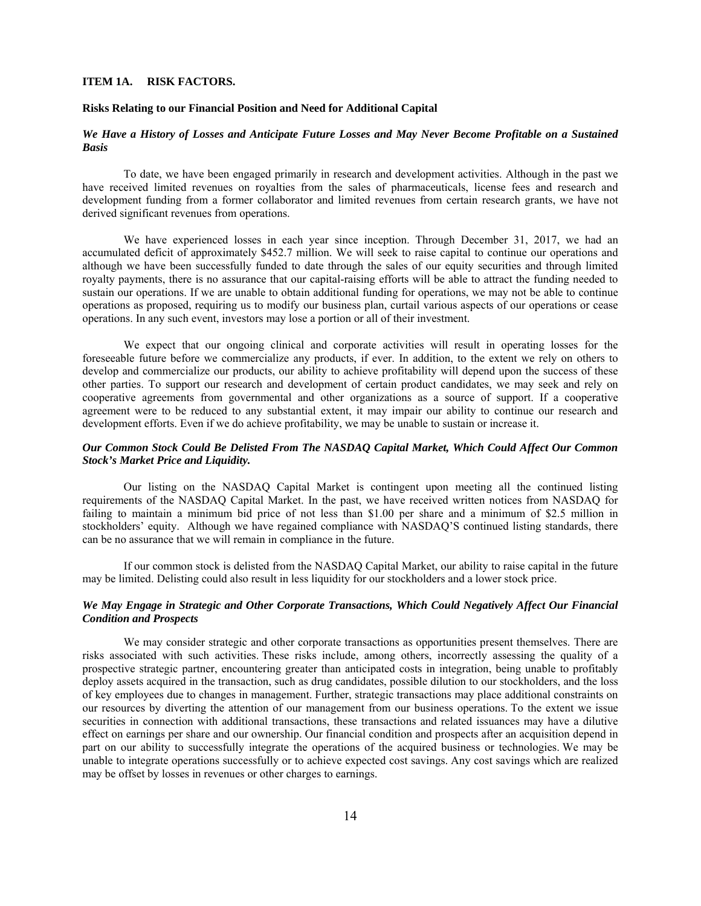### **ITEM 1A. RISK FACTORS.**

### **Risks Relating to our Financial Position and Need for Additional Capital**

# *We Have a History of Losses and Anticipate Future Losses and May Never Become Profitable on a Sustained Basis*

To date, we have been engaged primarily in research and development activities. Although in the past we have received limited revenues on royalties from the sales of pharmaceuticals, license fees and research and development funding from a former collaborator and limited revenues from certain research grants, we have not derived significant revenues from operations.

We have experienced losses in each year since inception. Through December 31, 2017, we had an accumulated deficit of approximately \$452.7 million. We will seek to raise capital to continue our operations and although we have been successfully funded to date through the sales of our equity securities and through limited royalty payments, there is no assurance that our capital-raising efforts will be able to attract the funding needed to sustain our operations. If we are unable to obtain additional funding for operations, we may not be able to continue operations as proposed, requiring us to modify our business plan, curtail various aspects of our operations or cease operations. In any such event, investors may lose a portion or all of their investment.

We expect that our ongoing clinical and corporate activities will result in operating losses for the foreseeable future before we commercialize any products, if ever. In addition, to the extent we rely on others to develop and commercialize our products, our ability to achieve profitability will depend upon the success of these other parties. To support our research and development of certain product candidates, we may seek and rely on cooperative agreements from governmental and other organizations as a source of support. If a cooperative agreement were to be reduced to any substantial extent, it may impair our ability to continue our research and development efforts. Even if we do achieve profitability, we may be unable to sustain or increase it.

# *Our Common Stock Could Be Delisted From The NASDAQ Capital Market, Which Could Affect Our Common Stock's Market Price and Liquidity.*

Our listing on the NASDAQ Capital Market is contingent upon meeting all the continued listing requirements of the NASDAQ Capital Market. In the past, we have received written notices from NASDAQ for failing to maintain a minimum bid price of not less than \$1.00 per share and a minimum of \$2.5 million in stockholders' equity. Although we have regained compliance with NASDAQ'S continued listing standards, there can be no assurance that we will remain in compliance in the future.

If our common stock is delisted from the NASDAQ Capital Market, our ability to raise capital in the future may be limited. Delisting could also result in less liquidity for our stockholders and a lower stock price.

## *We May Engage in Strategic and Other Corporate Transactions, Which Could Negatively Affect Our Financial Condition and Prospects*

We may consider strategic and other corporate transactions as opportunities present themselves. There are risks associated with such activities. These risks include, among others, incorrectly assessing the quality of a prospective strategic partner, encountering greater than anticipated costs in integration, being unable to profitably deploy assets acquired in the transaction, such as drug candidates, possible dilution to our stockholders, and the loss of key employees due to changes in management. Further, strategic transactions may place additional constraints on our resources by diverting the attention of our management from our business operations. To the extent we issue securities in connection with additional transactions, these transactions and related issuances may have a dilutive effect on earnings per share and our ownership. Our financial condition and prospects after an acquisition depend in part on our ability to successfully integrate the operations of the acquired business or technologies. We may be unable to integrate operations successfully or to achieve expected cost savings. Any cost savings which are realized may be offset by losses in revenues or other charges to earnings.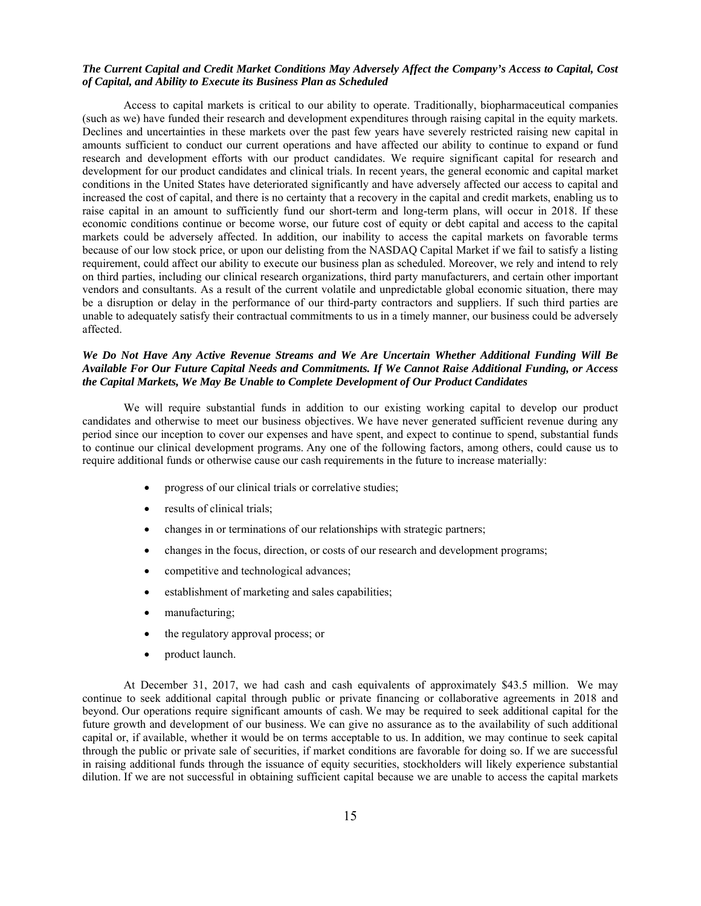# *The Current Capital and Credit Market Conditions May Adversely Affect the Company's Access to Capital, Cost of Capital, and Ability to Execute its Business Plan as Scheduled*

Access to capital markets is critical to our ability to operate. Traditionally, biopharmaceutical companies (such as we) have funded their research and development expenditures through raising capital in the equity markets. Declines and uncertainties in these markets over the past few years have severely restricted raising new capital in amounts sufficient to conduct our current operations and have affected our ability to continue to expand or fund research and development efforts with our product candidates. We require significant capital for research and development for our product candidates and clinical trials. In recent years, the general economic and capital market conditions in the United States have deteriorated significantly and have adversely affected our access to capital and increased the cost of capital, and there is no certainty that a recovery in the capital and credit markets, enabling us to raise capital in an amount to sufficiently fund our short-term and long-term plans, will occur in 2018. If these economic conditions continue or become worse, our future cost of equity or debt capital and access to the capital markets could be adversely affected. In addition, our inability to access the capital markets on favorable terms because of our low stock price, or upon our delisting from the NASDAQ Capital Market if we fail to satisfy a listing requirement, could affect our ability to execute our business plan as scheduled. Moreover, we rely and intend to rely on third parties, including our clinical research organizations, third party manufacturers, and certain other important vendors and consultants. As a result of the current volatile and unpredictable global economic situation, there may be a disruption or delay in the performance of our third-party contractors and suppliers. If such third parties are unable to adequately satisfy their contractual commitments to us in a timely manner, our business could be adversely affected.

### *We Do Not Have Any Active Revenue Streams and We Are Uncertain Whether Additional Funding Will Be Available For Our Future Capital Needs and Commitments. If We Cannot Raise Additional Funding, or Access the Capital Markets, We May Be Unable to Complete Development of Our Product Candidates*

We will require substantial funds in addition to our existing working capital to develop our product candidates and otherwise to meet our business objectives. We have never generated sufficient revenue during any period since our inception to cover our expenses and have spent, and expect to continue to spend, substantial funds to continue our clinical development programs. Any one of the following factors, among others, could cause us to require additional funds or otherwise cause our cash requirements in the future to increase materially:

- progress of our clinical trials or correlative studies;
- results of clinical trials;
- changes in or terminations of our relationships with strategic partners;
- changes in the focus, direction, or costs of our research and development programs;
- competitive and technological advances;
- establishment of marketing and sales capabilities;
- manufacturing;
- the regulatory approval process; or
- product launch.

At December 31, 2017, we had cash and cash equivalents of approximately \$43.5 million. We may continue to seek additional capital through public or private financing or collaborative agreements in 2018 and beyond. Our operations require significant amounts of cash. We may be required to seek additional capital for the future growth and development of our business. We can give no assurance as to the availability of such additional capital or, if available, whether it would be on terms acceptable to us. In addition, we may continue to seek capital through the public or private sale of securities, if market conditions are favorable for doing so. If we are successful in raising additional funds through the issuance of equity securities, stockholders will likely experience substantial dilution. If we are not successful in obtaining sufficient capital because we are unable to access the capital markets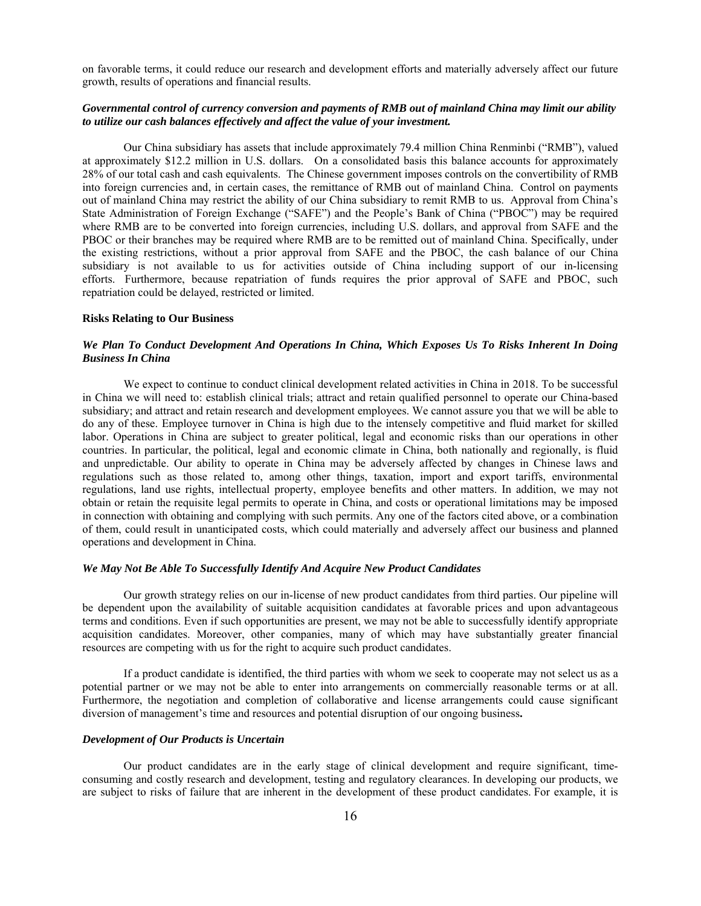on favorable terms, it could reduce our research and development efforts and materially adversely affect our future growth, results of operations and financial results.

# *Governmental control of currency conversion and payments of RMB out of mainland China may limit our ability to utilize our cash balances effectively and affect the value of your investment.*

Our China subsidiary has assets that include approximately 79.4 million China Renminbi ("RMB"), valued at approximately \$12.2 million in U.S. dollars. On a consolidated basis this balance accounts for approximately 28% of our total cash and cash equivalents. The Chinese government imposes controls on the convertibility of RMB into foreign currencies and, in certain cases, the remittance of RMB out of mainland China. Control on payments out of mainland China may restrict the ability of our China subsidiary to remit RMB to us. Approval from China's State Administration of Foreign Exchange ("SAFE") and the People's Bank of China ("PBOC") may be required where RMB are to be converted into foreign currencies, including U.S. dollars, and approval from SAFE and the PBOC or their branches may be required where RMB are to be remitted out of mainland China. Specifically, under the existing restrictions, without a prior approval from SAFE and the PBOC, the cash balance of our China subsidiary is not available to us for activities outside of China including support of our in-licensing efforts. Furthermore, because repatriation of funds requires the prior approval of SAFE and PBOC, such repatriation could be delayed, restricted or limited.

#### **Risks Relating to Our Business**

### *We Plan To Conduct Development And Operations In China, Which Exposes Us To Risks Inherent In Doing Business In China*

We expect to continue to conduct clinical development related activities in China in 2018. To be successful in China we will need to: establish clinical trials; attract and retain qualified personnel to operate our China-based subsidiary; and attract and retain research and development employees. We cannot assure you that we will be able to do any of these. Employee turnover in China is high due to the intensely competitive and fluid market for skilled labor. Operations in China are subject to greater political, legal and economic risks than our operations in other countries. In particular, the political, legal and economic climate in China, both nationally and regionally, is fluid and unpredictable. Our ability to operate in China may be adversely affected by changes in Chinese laws and regulations such as those related to, among other things, taxation, import and export tariffs, environmental regulations, land use rights, intellectual property, employee benefits and other matters. In addition, we may not obtain or retain the requisite legal permits to operate in China, and costs or operational limitations may be imposed in connection with obtaining and complying with such permits. Any one of the factors cited above, or a combination of them, could result in unanticipated costs, which could materially and adversely affect our business and planned operations and development in China.

#### *We May Not Be Able To Successfully Identify And Acquire New Product Candidates*

Our growth strategy relies on our in-license of new product candidates from third parties. Our pipeline will be dependent upon the availability of suitable acquisition candidates at favorable prices and upon advantageous terms and conditions. Even if such opportunities are present, we may not be able to successfully identify appropriate acquisition candidates. Moreover, other companies, many of which may have substantially greater financial resources are competing with us for the right to acquire such product candidates.

If a product candidate is identified, the third parties with whom we seek to cooperate may not select us as a potential partner or we may not be able to enter into arrangements on commercially reasonable terms or at all. Furthermore, the negotiation and completion of collaborative and license arrangements could cause significant diversion of management's time and resources and potential disruption of our ongoing business**.** 

#### *Development of Our Products is Uncertain*

Our product candidates are in the early stage of clinical development and require significant, timeconsuming and costly research and development, testing and regulatory clearances. In developing our products, we are subject to risks of failure that are inherent in the development of these product candidates. For example, it is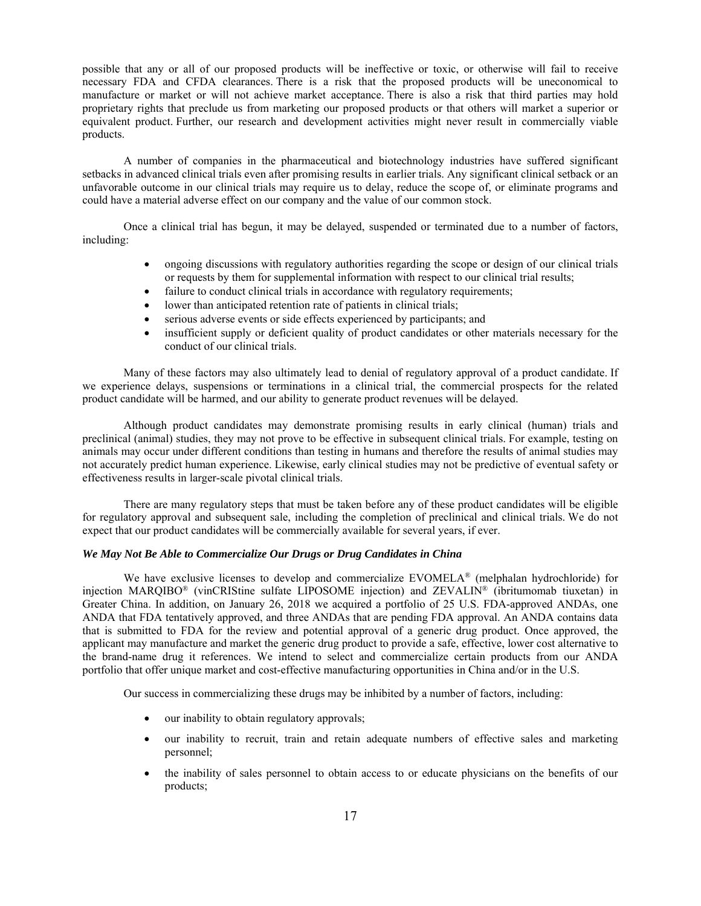possible that any or all of our proposed products will be ineffective or toxic, or otherwise will fail to receive necessary FDA and CFDA clearances. There is a risk that the proposed products will be uneconomical to manufacture or market or will not achieve market acceptance. There is also a risk that third parties may hold proprietary rights that preclude us from marketing our proposed products or that others will market a superior or equivalent product. Further, our research and development activities might never result in commercially viable products.

A number of companies in the pharmaceutical and biotechnology industries have suffered significant setbacks in advanced clinical trials even after promising results in earlier trials. Any significant clinical setback or an unfavorable outcome in our clinical trials may require us to delay, reduce the scope of, or eliminate programs and could have a material adverse effect on our company and the value of our common stock.

Once a clinical trial has begun, it may be delayed, suspended or terminated due to a number of factors, including:

- ongoing discussions with regulatory authorities regarding the scope or design of our clinical trials or requests by them for supplemental information with respect to our clinical trial results;
- failure to conduct clinical trials in accordance with regulatory requirements;
- lower than anticipated retention rate of patients in clinical trials;
- serious adverse events or side effects experienced by participants; and
- insufficient supply or deficient quality of product candidates or other materials necessary for the conduct of our clinical trials.

Many of these factors may also ultimately lead to denial of regulatory approval of a product candidate. If we experience delays, suspensions or terminations in a clinical trial, the commercial prospects for the related product candidate will be harmed, and our ability to generate product revenues will be delayed.

Although product candidates may demonstrate promising results in early clinical (human) trials and preclinical (animal) studies, they may not prove to be effective in subsequent clinical trials. For example, testing on animals may occur under different conditions than testing in humans and therefore the results of animal studies may not accurately predict human experience. Likewise, early clinical studies may not be predictive of eventual safety or effectiveness results in larger-scale pivotal clinical trials.

There are many regulatory steps that must be taken before any of these product candidates will be eligible for regulatory approval and subsequent sale, including the completion of preclinical and clinical trials. We do not expect that our product candidates will be commercially available for several years, if ever.

# *We May Not Be Able to Commercialize Our Drugs or Drug Candidates in China*

We have exclusive licenses to develop and commercialize EVOMELA<sup>®</sup> (melphalan hydrochloride) for injection MARQIBO® (vinCRIStine sulfate LIPOSOME injection) and ZEVALIN® (ibritumomab tiuxetan) in Greater China. In addition, on January 26, 2018 we acquired a portfolio of 25 U.S. FDA-approved ANDAs, one ANDA that FDA tentatively approved, and three ANDAs that are pending FDA approval. An ANDA contains data that is submitted to FDA for the review and potential approval of a generic drug product. Once approved, the applicant may manufacture and market the generic drug product to provide a safe, effective, lower cost alternative to the brand-name drug it references. We intend to select and commercialize certain products from our ANDA portfolio that offer unique market and cost-effective manufacturing opportunities in China and/or in the U.S.

Our success in commercializing these drugs may be inhibited by a number of factors, including:

- our inability to obtain regulatory approvals;
- our inability to recruit, train and retain adequate numbers of effective sales and marketing personnel;
- the inability of sales personnel to obtain access to or educate physicians on the benefits of our products;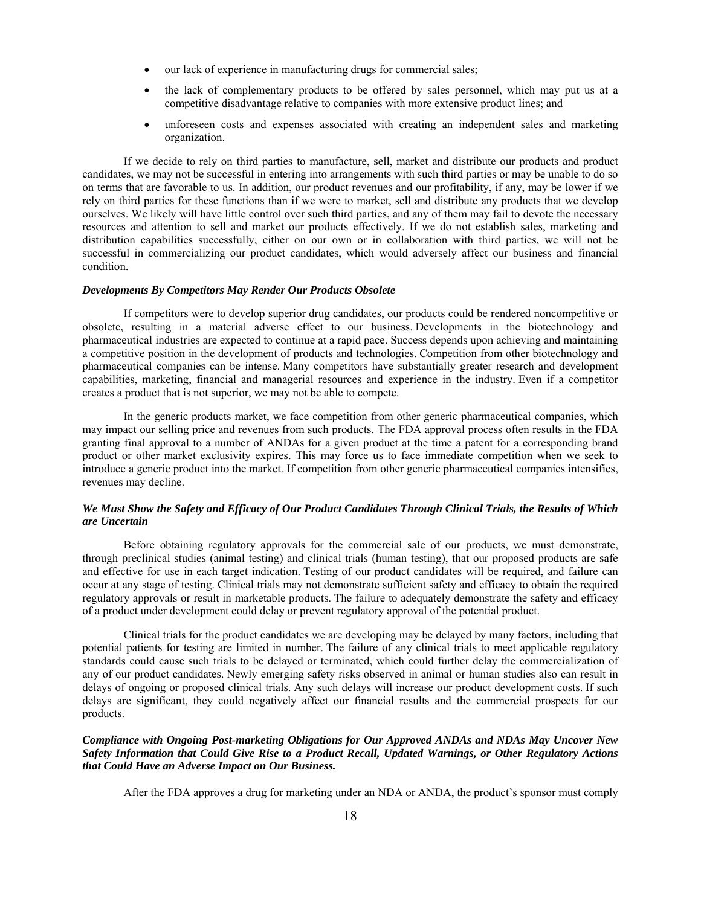- our lack of experience in manufacturing drugs for commercial sales;
- the lack of complementary products to be offered by sales personnel, which may put us at a competitive disadvantage relative to companies with more extensive product lines; and
- unforeseen costs and expenses associated with creating an independent sales and marketing organization.

If we decide to rely on third parties to manufacture, sell, market and distribute our products and product candidates, we may not be successful in entering into arrangements with such third parties or may be unable to do so on terms that are favorable to us. In addition, our product revenues and our profitability, if any, may be lower if we rely on third parties for these functions than if we were to market, sell and distribute any products that we develop ourselves. We likely will have little control over such third parties, and any of them may fail to devote the necessary resources and attention to sell and market our products effectively. If we do not establish sales, marketing and distribution capabilities successfully, either on our own or in collaboration with third parties, we will not be successful in commercializing our product candidates, which would adversely affect our business and financial condition.

#### *Developments By Competitors May Render Our Products Obsolete*

If competitors were to develop superior drug candidates, our products could be rendered noncompetitive or obsolete, resulting in a material adverse effect to our business. Developments in the biotechnology and pharmaceutical industries are expected to continue at a rapid pace. Success depends upon achieving and maintaining a competitive position in the development of products and technologies. Competition from other biotechnology and pharmaceutical companies can be intense. Many competitors have substantially greater research and development capabilities, marketing, financial and managerial resources and experience in the industry. Even if a competitor creates a product that is not superior, we may not be able to compete.

In the generic products market, we face competition from other generic pharmaceutical companies, which may impact our selling price and revenues from such products. The FDA approval process often results in the FDA granting final approval to a number of ANDAs for a given product at the time a patent for a corresponding brand product or other market exclusivity expires. This may force us to face immediate competition when we seek to introduce a generic product into the market. If competition from other generic pharmaceutical companies intensifies, revenues may decline.

# *We Must Show the Safety and Efficacy of Our Product Candidates Through Clinical Trials, the Results of Which are Uncertain*

Before obtaining regulatory approvals for the commercial sale of our products, we must demonstrate, through preclinical studies (animal testing) and clinical trials (human testing), that our proposed products are safe and effective for use in each target indication. Testing of our product candidates will be required, and failure can occur at any stage of testing. Clinical trials may not demonstrate sufficient safety and efficacy to obtain the required regulatory approvals or result in marketable products. The failure to adequately demonstrate the safety and efficacy of a product under development could delay or prevent regulatory approval of the potential product.

Clinical trials for the product candidates we are developing may be delayed by many factors, including that potential patients for testing are limited in number. The failure of any clinical trials to meet applicable regulatory standards could cause such trials to be delayed or terminated, which could further delay the commercialization of any of our product candidates. Newly emerging safety risks observed in animal or human studies also can result in delays of ongoing or proposed clinical trials. Any such delays will increase our product development costs. If such delays are significant, they could negatively affect our financial results and the commercial prospects for our products.

## *Compliance with Ongoing Post-marketing Obligations for Our Approved ANDAs and NDAs May Uncover New Safety Information that Could Give Rise to a Product Recall, Updated Warnings, or Other Regulatory Actions that Could Have an Adverse Impact on Our Business.*

After the FDA approves a drug for marketing under an NDA or ANDA, the product's sponsor must comply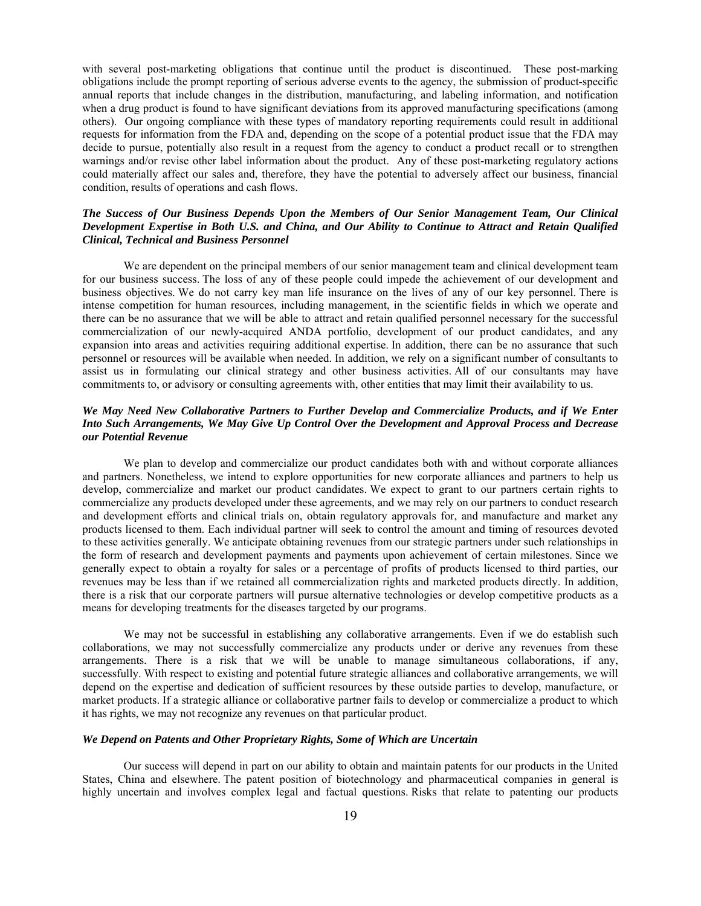with several post-marketing obligations that continue until the product is discontinued. These post-marking obligations include the prompt reporting of serious adverse events to the agency, the submission of product-specific annual reports that include changes in the distribution, manufacturing, and labeling information, and notification when a drug product is found to have significant deviations from its approved manufacturing specifications (among others). Our ongoing compliance with these types of mandatory reporting requirements could result in additional requests for information from the FDA and, depending on the scope of a potential product issue that the FDA may decide to pursue, potentially also result in a request from the agency to conduct a product recall or to strengthen warnings and/or revise other label information about the product. Any of these post-marketing regulatory actions could materially affect our sales and, therefore, they have the potential to adversely affect our business, financial condition, results of operations and cash flows.

# *The Success of Our Business Depends Upon the Members of Our Senior Management Team, Our Clinical Development Expertise in Both U.S. and China, and Our Ability to Continue to Attract and Retain Qualified Clinical, Technical and Business Personnel*

We are dependent on the principal members of our senior management team and clinical development team for our business success. The loss of any of these people could impede the achievement of our development and business objectives. We do not carry key man life insurance on the lives of any of our key personnel. There is intense competition for human resources, including management, in the scientific fields in which we operate and there can be no assurance that we will be able to attract and retain qualified personnel necessary for the successful commercialization of our newly-acquired ANDA portfolio, development of our product candidates, and any expansion into areas and activities requiring additional expertise. In addition, there can be no assurance that such personnel or resources will be available when needed. In addition, we rely on a significant number of consultants to assist us in formulating our clinical strategy and other business activities. All of our consultants may have commitments to, or advisory or consulting agreements with, other entities that may limit their availability to us.

# *We May Need New Collaborative Partners to Further Develop and Commercialize Products, and if We Enter Into Such Arrangements, We May Give Up Control Over the Development and Approval Process and Decrease our Potential Revenue*

We plan to develop and commercialize our product candidates both with and without corporate alliances and partners. Nonetheless, we intend to explore opportunities for new corporate alliances and partners to help us develop, commercialize and market our product candidates. We expect to grant to our partners certain rights to commercialize any products developed under these agreements, and we may rely on our partners to conduct research and development efforts and clinical trials on, obtain regulatory approvals for, and manufacture and market any products licensed to them. Each individual partner will seek to control the amount and timing of resources devoted to these activities generally. We anticipate obtaining revenues from our strategic partners under such relationships in the form of research and development payments and payments upon achievement of certain milestones. Since we generally expect to obtain a royalty for sales or a percentage of profits of products licensed to third parties, our revenues may be less than if we retained all commercialization rights and marketed products directly. In addition, there is a risk that our corporate partners will pursue alternative technologies or develop competitive products as a means for developing treatments for the diseases targeted by our programs.

We may not be successful in establishing any collaborative arrangements. Even if we do establish such collaborations, we may not successfully commercialize any products under or derive any revenues from these arrangements. There is a risk that we will be unable to manage simultaneous collaborations, if any, successfully. With respect to existing and potential future strategic alliances and collaborative arrangements, we will depend on the expertise and dedication of sufficient resources by these outside parties to develop, manufacture, or market products. If a strategic alliance or collaborative partner fails to develop or commercialize a product to which it has rights, we may not recognize any revenues on that particular product.

#### *We Depend on Patents and Other Proprietary Rights, Some of Which are Uncertain*

Our success will depend in part on our ability to obtain and maintain patents for our products in the United States, China and elsewhere. The patent position of biotechnology and pharmaceutical companies in general is highly uncertain and involves complex legal and factual questions. Risks that relate to patenting our products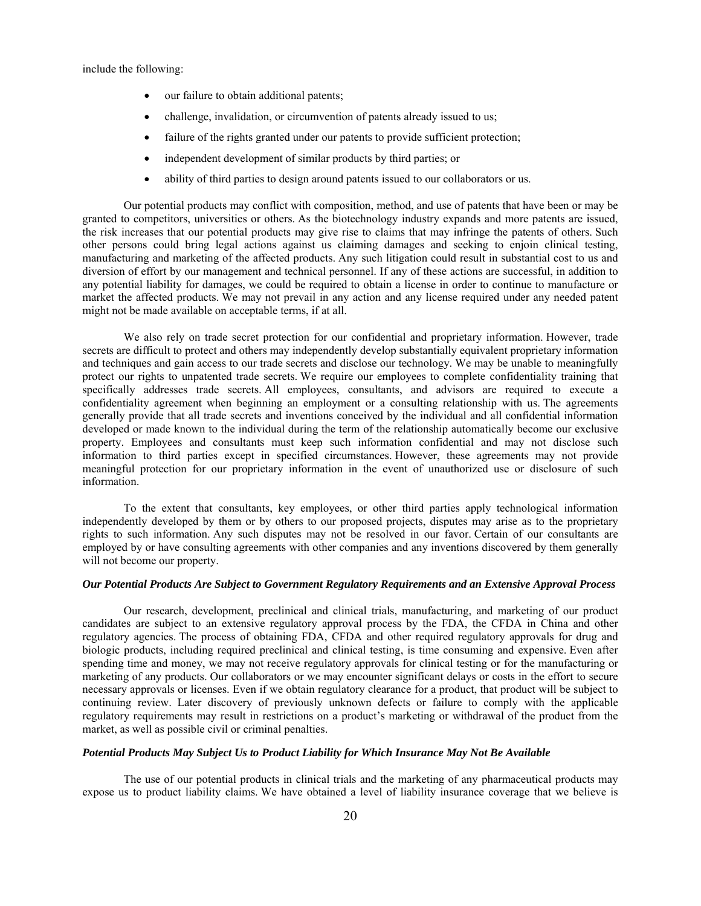include the following:

- our failure to obtain additional patents;
- challenge, invalidation, or circumvention of patents already issued to us;
- failure of the rights granted under our patents to provide sufficient protection;
- independent development of similar products by third parties; or
- ability of third parties to design around patents issued to our collaborators or us.

Our potential products may conflict with composition, method, and use of patents that have been or may be granted to competitors, universities or others. As the biotechnology industry expands and more patents are issued, the risk increases that our potential products may give rise to claims that may infringe the patents of others. Such other persons could bring legal actions against us claiming damages and seeking to enjoin clinical testing, manufacturing and marketing of the affected products. Any such litigation could result in substantial cost to us and diversion of effort by our management and technical personnel. If any of these actions are successful, in addition to any potential liability for damages, we could be required to obtain a license in order to continue to manufacture or market the affected products. We may not prevail in any action and any license required under any needed patent might not be made available on acceptable terms, if at all.

We also rely on trade secret protection for our confidential and proprietary information. However, trade secrets are difficult to protect and others may independently develop substantially equivalent proprietary information and techniques and gain access to our trade secrets and disclose our technology. We may be unable to meaningfully protect our rights to unpatented trade secrets. We require our employees to complete confidentiality training that specifically addresses trade secrets. All employees, consultants, and advisors are required to execute a confidentiality agreement when beginning an employment or a consulting relationship with us. The agreements generally provide that all trade secrets and inventions conceived by the individual and all confidential information developed or made known to the individual during the term of the relationship automatically become our exclusive property. Employees and consultants must keep such information confidential and may not disclose such information to third parties except in specified circumstances. However, these agreements may not provide meaningful protection for our proprietary information in the event of unauthorized use or disclosure of such information.

To the extent that consultants, key employees, or other third parties apply technological information independently developed by them or by others to our proposed projects, disputes may arise as to the proprietary rights to such information. Any such disputes may not be resolved in our favor. Certain of our consultants are employed by or have consulting agreements with other companies and any inventions discovered by them generally will not become our property.

# *Our Potential Products Are Subject to Government Regulatory Requirements and an Extensive Approval Process*

Our research, development, preclinical and clinical trials, manufacturing, and marketing of our product candidates are subject to an extensive regulatory approval process by the FDA, the CFDA in China and other regulatory agencies. The process of obtaining FDA, CFDA and other required regulatory approvals for drug and biologic products, including required preclinical and clinical testing, is time consuming and expensive. Even after spending time and money, we may not receive regulatory approvals for clinical testing or for the manufacturing or marketing of any products. Our collaborators or we may encounter significant delays or costs in the effort to secure necessary approvals or licenses. Even if we obtain regulatory clearance for a product, that product will be subject to continuing review. Later discovery of previously unknown defects or failure to comply with the applicable regulatory requirements may result in restrictions on a product's marketing or withdrawal of the product from the market, as well as possible civil or criminal penalties.

## *Potential Products May Subject Us to Product Liability for Which Insurance May Not Be Available*

The use of our potential products in clinical trials and the marketing of any pharmaceutical products may expose us to product liability claims. We have obtained a level of liability insurance coverage that we believe is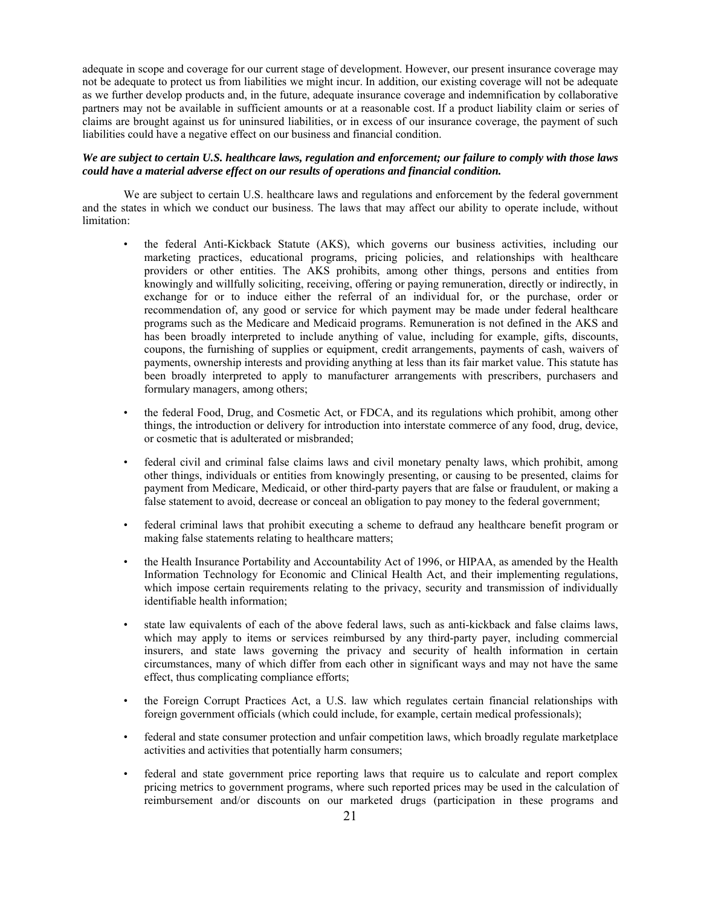adequate in scope and coverage for our current stage of development. However, our present insurance coverage may not be adequate to protect us from liabilities we might incur. In addition, our existing coverage will not be adequate as we further develop products and, in the future, adequate insurance coverage and indemnification by collaborative partners may not be available in sufficient amounts or at a reasonable cost. If a product liability claim or series of claims are brought against us for uninsured liabilities, or in excess of our insurance coverage, the payment of such liabilities could have a negative effect on our business and financial condition.

# *We are subject to certain U.S. healthcare laws, regulation and enforcement; our failure to comply with those laws could have a material adverse effect on our results of operations and financial condition.*

We are subject to certain U.S. healthcare laws and regulations and enforcement by the federal government and the states in which we conduct our business. The laws that may affect our ability to operate include, without limitation:

- the federal Anti-Kickback Statute (AKS), which governs our business activities, including our marketing practices, educational programs, pricing policies, and relationships with healthcare providers or other entities. The AKS prohibits, among other things, persons and entities from knowingly and willfully soliciting, receiving, offering or paying remuneration, directly or indirectly, in exchange for or to induce either the referral of an individual for, or the purchase, order or recommendation of, any good or service for which payment may be made under federal healthcare programs such as the Medicare and Medicaid programs. Remuneration is not defined in the AKS and has been broadly interpreted to include anything of value, including for example, gifts, discounts, coupons, the furnishing of supplies or equipment, credit arrangements, payments of cash, waivers of payments, ownership interests and providing anything at less than its fair market value. This statute has been broadly interpreted to apply to manufacturer arrangements with prescribers, purchasers and formulary managers, among others;
- the federal Food, Drug, and Cosmetic Act, or FDCA, and its regulations which prohibit, among other things, the introduction or delivery for introduction into interstate commerce of any food, drug, device, or cosmetic that is adulterated or misbranded;
- federal civil and criminal false claims laws and civil monetary penalty laws, which prohibit, among other things, individuals or entities from knowingly presenting, or causing to be presented, claims for payment from Medicare, Medicaid, or other third-party payers that are false or fraudulent, or making a false statement to avoid, decrease or conceal an obligation to pay money to the federal government;
- federal criminal laws that prohibit executing a scheme to defraud any healthcare benefit program or making false statements relating to healthcare matters;
- the Health Insurance Portability and Accountability Act of 1996, or HIPAA, as amended by the Health Information Technology for Economic and Clinical Health Act, and their implementing regulations, which impose certain requirements relating to the privacy, security and transmission of individually identifiable health information;
- state law equivalents of each of the above federal laws, such as anti-kickback and false claims laws, which may apply to items or services reimbursed by any third-party payer, including commercial insurers, and state laws governing the privacy and security of health information in certain circumstances, many of which differ from each other in significant ways and may not have the same effect, thus complicating compliance efforts;
- the Foreign Corrupt Practices Act, a U.S. law which regulates certain financial relationships with foreign government officials (which could include, for example, certain medical professionals);
- federal and state consumer protection and unfair competition laws, which broadly regulate marketplace activities and activities that potentially harm consumers;
- federal and state government price reporting laws that require us to calculate and report complex pricing metrics to government programs, where such reported prices may be used in the calculation of reimbursement and/or discounts on our marketed drugs (participation in these programs and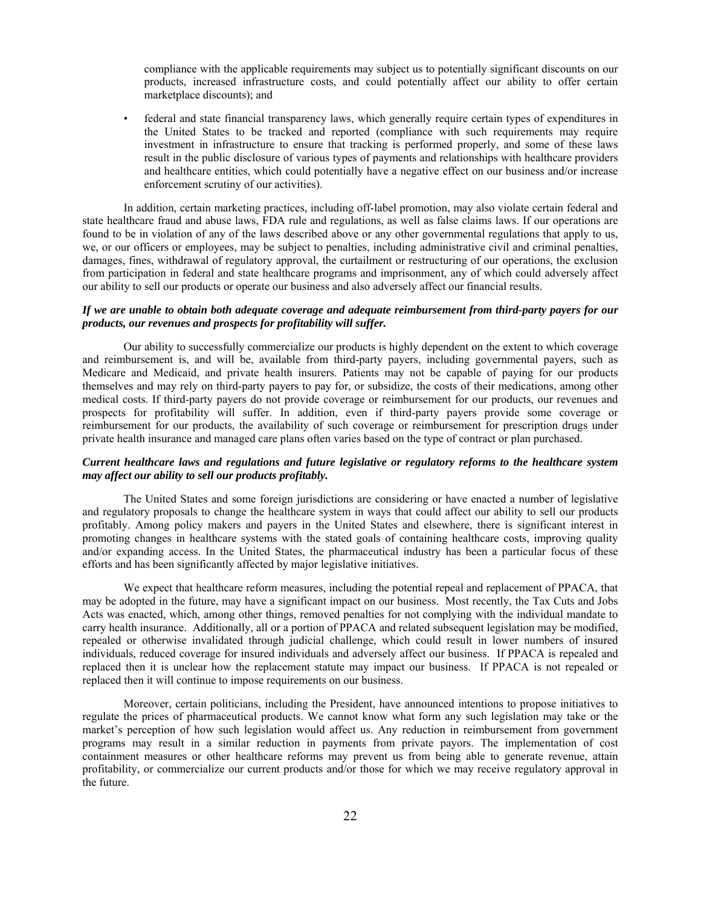compliance with the applicable requirements may subject us to potentially significant discounts on our products, increased infrastructure costs, and could potentially affect our ability to offer certain marketplace discounts); and

• federal and state financial transparency laws, which generally require certain types of expenditures in the United States to be tracked and reported (compliance with such requirements may require investment in infrastructure to ensure that tracking is performed properly, and some of these laws result in the public disclosure of various types of payments and relationships with healthcare providers and healthcare entities, which could potentially have a negative effect on our business and/or increase enforcement scrutiny of our activities).

In addition, certain marketing practices, including off-label promotion, may also violate certain federal and state healthcare fraud and abuse laws, FDA rule and regulations, as well as false claims laws. If our operations are found to be in violation of any of the laws described above or any other governmental regulations that apply to us, we, or our officers or employees, may be subject to penalties, including administrative civil and criminal penalties, damages, fines, withdrawal of regulatory approval, the curtailment or restructuring of our operations, the exclusion from participation in federal and state healthcare programs and imprisonment, any of which could adversely affect our ability to sell our products or operate our business and also adversely affect our financial results.

## *If we are unable to obtain both adequate coverage and adequate reimbursement from third-party payers for our products, our revenues and prospects for profitability will suffer.*

Our ability to successfully commercialize our products is highly dependent on the extent to which coverage and reimbursement is, and will be, available from third-party payers, including governmental payers, such as Medicare and Medicaid, and private health insurers. Patients may not be capable of paying for our products themselves and may rely on third-party payers to pay for, or subsidize, the costs of their medications, among other medical costs. If third-party payers do not provide coverage or reimbursement for our products, our revenues and prospects for profitability will suffer. In addition, even if third-party payers provide some coverage or reimbursement for our products, the availability of such coverage or reimbursement for prescription drugs under private health insurance and managed care plans often varies based on the type of contract or plan purchased.

# *Current healthcare laws and regulations and future legislative or regulatory reforms to the healthcare system may affect our ability to sell our products profitably.*

The United States and some foreign jurisdictions are considering or have enacted a number of legislative and regulatory proposals to change the healthcare system in ways that could affect our ability to sell our products profitably. Among policy makers and payers in the United States and elsewhere, there is significant interest in promoting changes in healthcare systems with the stated goals of containing healthcare costs, improving quality and/or expanding access. In the United States, the pharmaceutical industry has been a particular focus of these efforts and has been significantly affected by major legislative initiatives.

We expect that healthcare reform measures, including the potential repeal and replacement of PPACA, that may be adopted in the future, may have a significant impact on our business. Most recently, the Tax Cuts and Jobs Acts was enacted, which, among other things, removed penalties for not complying with the individual mandate to carry health insurance. Additionally, all or a portion of PPACA and related subsequent legislation may be modified, repealed or otherwise invalidated through judicial challenge, which could result in lower numbers of insured individuals, reduced coverage for insured individuals and adversely affect our business. If PPACA is repealed and replaced then it is unclear how the replacement statute may impact our business. If PPACA is not repealed or replaced then it will continue to impose requirements on our business.

Moreover, certain politicians, including the President, have announced intentions to propose initiatives to regulate the prices of pharmaceutical products. We cannot know what form any such legislation may take or the market's perception of how such legislation would affect us. Any reduction in reimbursement from government programs may result in a similar reduction in payments from private payors. The implementation of cost containment measures or other healthcare reforms may prevent us from being able to generate revenue, attain profitability, or commercialize our current products and/or those for which we may receive regulatory approval in the future.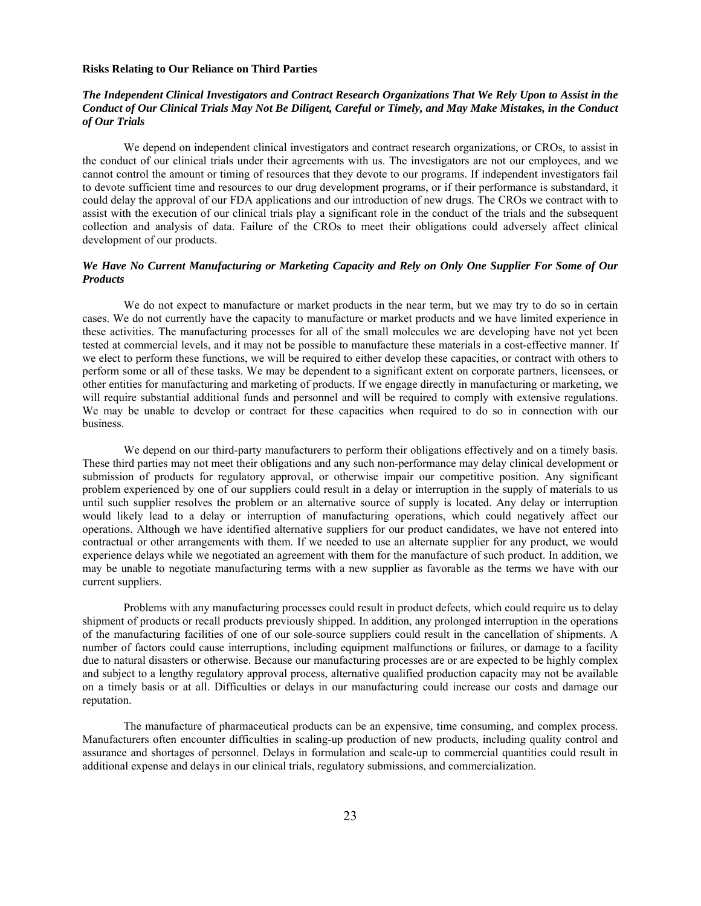#### **Risks Relating to Our Reliance on Third Parties**

# *The Independent Clinical Investigators and Contract Research Organizations That We Rely Upon to Assist in the Conduct of Our Clinical Trials May Not Be Diligent, Careful or Timely, and May Make Mistakes, in the Conduct of Our Trials*

We depend on independent clinical investigators and contract research organizations, or CROs, to assist in the conduct of our clinical trials under their agreements with us. The investigators are not our employees, and we cannot control the amount or timing of resources that they devote to our programs. If independent investigators fail to devote sufficient time and resources to our drug development programs, or if their performance is substandard, it could delay the approval of our FDA applications and our introduction of new drugs. The CROs we contract with to assist with the execution of our clinical trials play a significant role in the conduct of the trials and the subsequent collection and analysis of data. Failure of the CROs to meet their obligations could adversely affect clinical development of our products.

# *We Have No Current Manufacturing or Marketing Capacity and Rely on Only One Supplier For Some of Our Products*

We do not expect to manufacture or market products in the near term, but we may try to do so in certain cases. We do not currently have the capacity to manufacture or market products and we have limited experience in these activities. The manufacturing processes for all of the small molecules we are developing have not yet been tested at commercial levels, and it may not be possible to manufacture these materials in a cost-effective manner. If we elect to perform these functions, we will be required to either develop these capacities, or contract with others to perform some or all of these tasks. We may be dependent to a significant extent on corporate partners, licensees, or other entities for manufacturing and marketing of products. If we engage directly in manufacturing or marketing, we will require substantial additional funds and personnel and will be required to comply with extensive regulations. We may be unable to develop or contract for these capacities when required to do so in connection with our business.

We depend on our third-party manufacturers to perform their obligations effectively and on a timely basis. These third parties may not meet their obligations and any such non-performance may delay clinical development or submission of products for regulatory approval, or otherwise impair our competitive position. Any significant problem experienced by one of our suppliers could result in a delay or interruption in the supply of materials to us until such supplier resolves the problem or an alternative source of supply is located. Any delay or interruption would likely lead to a delay or interruption of manufacturing operations, which could negatively affect our operations. Although we have identified alternative suppliers for our product candidates, we have not entered into contractual or other arrangements with them. If we needed to use an alternate supplier for any product, we would experience delays while we negotiated an agreement with them for the manufacture of such product. In addition, we may be unable to negotiate manufacturing terms with a new supplier as favorable as the terms we have with our current suppliers.

Problems with any manufacturing processes could result in product defects, which could require us to delay shipment of products or recall products previously shipped. In addition, any prolonged interruption in the operations of the manufacturing facilities of one of our sole-source suppliers could result in the cancellation of shipments. A number of factors could cause interruptions, including equipment malfunctions or failures, or damage to a facility due to natural disasters or otherwise. Because our manufacturing processes are or are expected to be highly complex and subject to a lengthy regulatory approval process, alternative qualified production capacity may not be available on a timely basis or at all. Difficulties or delays in our manufacturing could increase our costs and damage our reputation.

The manufacture of pharmaceutical products can be an expensive, time consuming, and complex process. Manufacturers often encounter difficulties in scaling-up production of new products, including quality control and assurance and shortages of personnel. Delays in formulation and scale-up to commercial quantities could result in additional expense and delays in our clinical trials, regulatory submissions, and commercialization.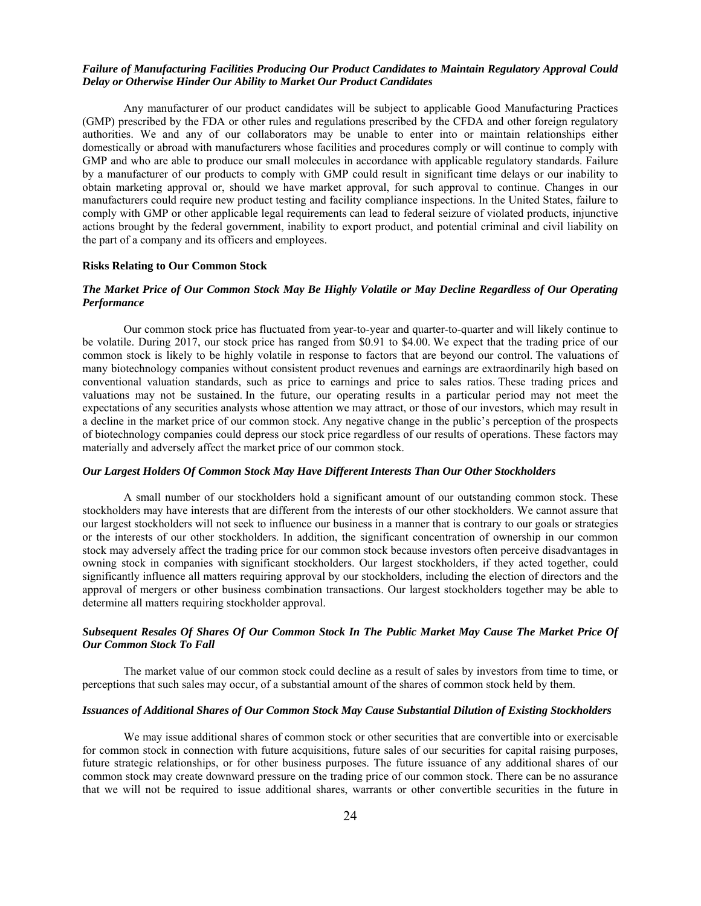# *Failure of Manufacturing Facilities Producing Our Product Candidates to Maintain Regulatory Approval Could Delay or Otherwise Hinder Our Ability to Market Our Product Candidates*

Any manufacturer of our product candidates will be subject to applicable Good Manufacturing Practices (GMP) prescribed by the FDA or other rules and regulations prescribed by the CFDA and other foreign regulatory authorities. We and any of our collaborators may be unable to enter into or maintain relationships either domestically or abroad with manufacturers whose facilities and procedures comply or will continue to comply with GMP and who are able to produce our small molecules in accordance with applicable regulatory standards. Failure by a manufacturer of our products to comply with GMP could result in significant time delays or our inability to obtain marketing approval or, should we have market approval, for such approval to continue. Changes in our manufacturers could require new product testing and facility compliance inspections. In the United States, failure to comply with GMP or other applicable legal requirements can lead to federal seizure of violated products, injunctive actions brought by the federal government, inability to export product, and potential criminal and civil liability on the part of a company and its officers and employees.

#### **Risks Relating to Our Common Stock**

# *The Market Price of Our Common Stock May Be Highly Volatile or May Decline Regardless of Our Operating Performance*

Our common stock price has fluctuated from year-to-year and quarter-to-quarter and will likely continue to be volatile. During 2017, our stock price has ranged from \$0.91 to \$4.00. We expect that the trading price of our common stock is likely to be highly volatile in response to factors that are beyond our control. The valuations of many biotechnology companies without consistent product revenues and earnings are extraordinarily high based on conventional valuation standards, such as price to earnings and price to sales ratios. These trading prices and valuations may not be sustained. In the future, our operating results in a particular period may not meet the expectations of any securities analysts whose attention we may attract, or those of our investors, which may result in a decline in the market price of our common stock. Any negative change in the public's perception of the prospects of biotechnology companies could depress our stock price regardless of our results of operations. These factors may materially and adversely affect the market price of our common stock.

## *Our Largest Holders Of Common Stock May Have Different Interests Than Our Other Stockholders*

A small number of our stockholders hold a significant amount of our outstanding common stock. These stockholders may have interests that are different from the interests of our other stockholders. We cannot assure that our largest stockholders will not seek to influence our business in a manner that is contrary to our goals or strategies or the interests of our other stockholders. In addition, the significant concentration of ownership in our common stock may adversely affect the trading price for our common stock because investors often perceive disadvantages in owning stock in companies with significant stockholders. Our largest stockholders, if they acted together, could significantly influence all matters requiring approval by our stockholders, including the election of directors and the approval of mergers or other business combination transactions. Our largest stockholders together may be able to determine all matters requiring stockholder approval.

# *Subsequent Resales Of Shares Of Our Common Stock In The Public Market May Cause The Market Price Of Our Common Stock To Fall*

The market value of our common stock could decline as a result of sales by investors from time to time, or perceptions that such sales may occur, of a substantial amount of the shares of common stock held by them.

## *Issuances of Additional Shares of Our Common Stock May Cause Substantial Dilution of Existing Stockholders*

We may issue additional shares of common stock or other securities that are convertible into or exercisable for common stock in connection with future acquisitions, future sales of our securities for capital raising purposes, future strategic relationships, or for other business purposes. The future issuance of any additional shares of our common stock may create downward pressure on the trading price of our common stock. There can be no assurance that we will not be required to issue additional shares, warrants or other convertible securities in the future in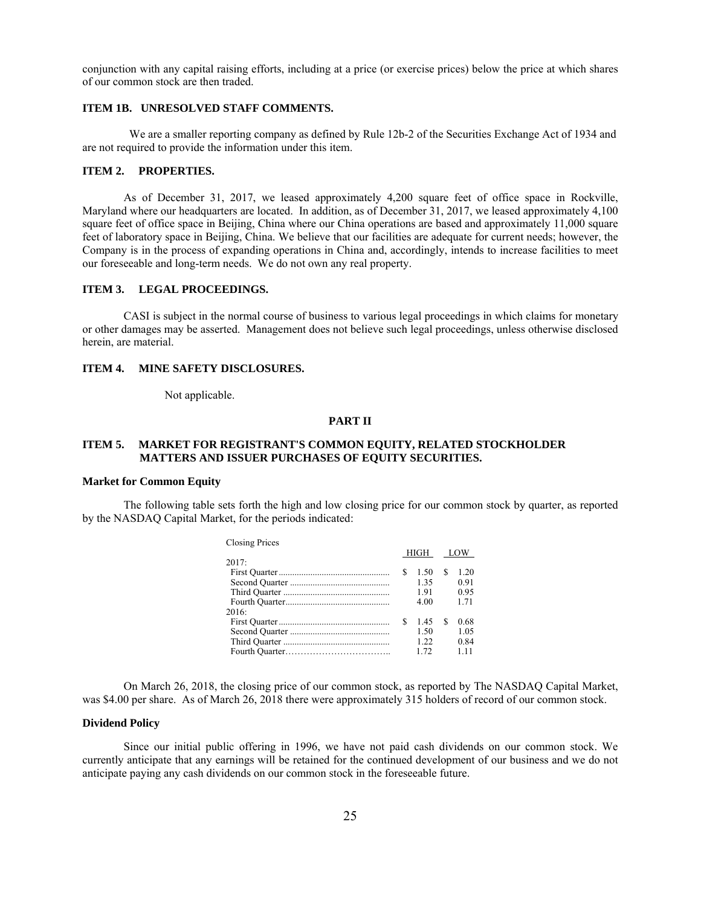conjunction with any capital raising efforts, including at a price (or exercise prices) below the price at which shares of our common stock are then traded.

## **ITEM 1B. UNRESOLVED STAFF COMMENTS.**

We are a smaller reporting company as defined by Rule 12b-2 of the Securities Exchange Act of 1934 and are not required to provide the information under this item.

### **ITEM 2. PROPERTIES.**

As of December 31, 2017, we leased approximately 4,200 square feet of office space in Rockville, Maryland where our headquarters are located. In addition, as of December 31, 2017, we leased approximately 4,100 square feet of office space in Beijing, China where our China operations are based and approximately 11,000 square feet of laboratory space in Beijing, China. We believe that our facilities are adequate for current needs; however, the Company is in the process of expanding operations in China and, accordingly, intends to increase facilities to meet our foreseeable and long-term needs. We do not own any real property.

### **ITEM 3. LEGAL PROCEEDINGS.**

CASI is subject in the normal course of business to various legal proceedings in which claims for monetary or other damages may be asserted. Management does not believe such legal proceedings, unless otherwise disclosed herein, are material.

#### **ITEM 4. MINE SAFETY DISCLOSURES.**

Not applicable.

### **PART II**

### **ITEM 5. MARKET FOR REGISTRANT'S COMMON EQUITY, RELATED STOCKHOLDER MATTERS AND ISSUER PURCHASES OF EQUITY SECURITIES.**

#### **Market for Common Equity**

The following table sets forth the high and low closing price for our common stock by quarter, as reported by the NASDAQ Capital Market, for the periods indicated:

| <b>Closing Prices</b> |
|-----------------------|
|-----------------------|

|       |   | HIGH LOW |    |      |  |
|-------|---|----------|----|------|--|
| 2017: |   |          |    |      |  |
|       | S | 1.50     |    | 1.20 |  |
|       |   | 1.35     |    | 0.91 |  |
|       |   | 191      |    | 0.95 |  |
|       |   | 4.00     |    | 1.71 |  |
| 2016: |   |          |    |      |  |
|       | S | 145      | S. | 0.68 |  |
|       |   | 1.50     |    | 1.05 |  |
|       |   | 122      |    | 0.84 |  |
|       |   | 1.72     |    | 1.11 |  |
|       |   |          |    |      |  |

On March 26, 2018, the closing price of our common stock, as reported by The NASDAQ Capital Market, was \$4.00 per share. As of March 26, 2018 there were approximately 315 holders of record of our common stock.

#### **Dividend Policy**

Since our initial public offering in 1996, we have not paid cash dividends on our common stock. We currently anticipate that any earnings will be retained for the continued development of our business and we do not anticipate paying any cash dividends on our common stock in the foreseeable future.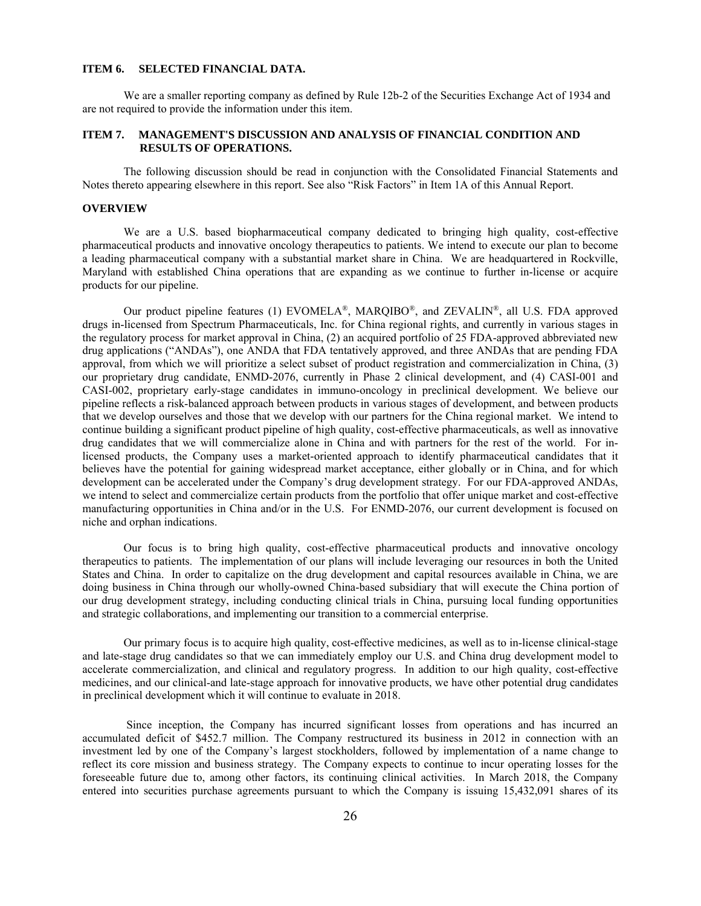#### **ITEM 6. SELECTED FINANCIAL DATA.**

We are a smaller reporting company as defined by Rule 12b-2 of the Securities Exchange Act of 1934 and are not required to provide the information under this item.

## **ITEM 7. MANAGEMENT'S DISCUSSION AND ANALYSIS OF FINANCIAL CONDITION AND RESULTS OF OPERATIONS.**

The following discussion should be read in conjunction with the Consolidated Financial Statements and Notes thereto appearing elsewhere in this report. See also "Risk Factors" in Item 1A of this Annual Report.

#### **OVERVIEW**

We are a U.S. based biopharmaceutical company dedicated to bringing high quality, cost-effective pharmaceutical products and innovative oncology therapeutics to patients. We intend to execute our plan to become a leading pharmaceutical company with a substantial market share in China. We are headquartered in Rockville, Maryland with established China operations that are expanding as we continue to further in-license or acquire products for our pipeline.

Our product pipeline features (1) EVOMELA<sup>®</sup>, MARQIBO<sup>®</sup>, and ZEVALIN<sup>®</sup>, all U.S. FDA approved drugs in-licensed from Spectrum Pharmaceuticals, Inc. for China regional rights, and currently in various stages in the regulatory process for market approval in China, (2) an acquired portfolio of 25 FDA-approved abbreviated new drug applications ("ANDAs"), one ANDA that FDA tentatively approved, and three ANDAs that are pending FDA approval, from which we will prioritize a select subset of product registration and commercialization in China, (3) our proprietary drug candidate, ENMD-2076, currently in Phase 2 clinical development, and (4) CASI-001 and CASI-002, proprietary early-stage candidates in immuno-oncology in preclinical development. We believe our pipeline reflects a risk-balanced approach between products in various stages of development, and between products that we develop ourselves and those that we develop with our partners for the China regional market. We intend to continue building a significant product pipeline of high quality, cost-effective pharmaceuticals, as well as innovative drug candidates that we will commercialize alone in China and with partners for the rest of the world. For inlicensed products, the Company uses a market-oriented approach to identify pharmaceutical candidates that it believes have the potential for gaining widespread market acceptance, either globally or in China, and for which development can be accelerated under the Company's drug development strategy. For our FDA-approved ANDAs, we intend to select and commercialize certain products from the portfolio that offer unique market and cost-effective manufacturing opportunities in China and/or in the U.S. For ENMD-2076, our current development is focused on niche and orphan indications.

Our focus is to bring high quality, cost-effective pharmaceutical products and innovative oncology therapeutics to patients. The implementation of our plans will include leveraging our resources in both the United States and China. In order to capitalize on the drug development and capital resources available in China, we are doing business in China through our wholly-owned China-based subsidiary that will execute the China portion of our drug development strategy, including conducting clinical trials in China, pursuing local funding opportunities and strategic collaborations, and implementing our transition to a commercial enterprise.

Our primary focus is to acquire high quality, cost-effective medicines, as well as to in-license clinical-stage and late-stage drug candidates so that we can immediately employ our U.S. and China drug development model to accelerate commercialization, and clinical and regulatory progress. In addition to our high quality, cost-effective medicines, and our clinical-and late-stage approach for innovative products, we have other potential drug candidates in preclinical development which it will continue to evaluate in 2018.

 Since inception, the Company has incurred significant losses from operations and has incurred an accumulated deficit of \$452.7 million. The Company restructured its business in 2012 in connection with an investment led by one of the Company's largest stockholders, followed by implementation of a name change to reflect its core mission and business strategy. The Company expects to continue to incur operating losses for the foreseeable future due to, among other factors, its continuing clinical activities. In March 2018, the Company entered into securities purchase agreements pursuant to which the Company is issuing 15,432,091 shares of its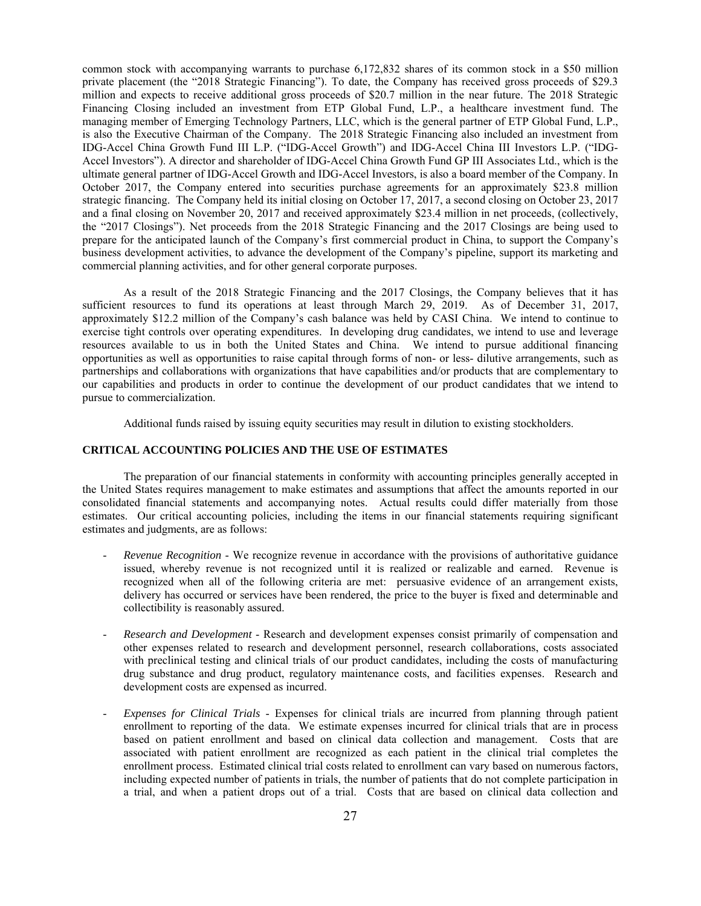common stock with accompanying warrants to purchase 6,172,832 shares of its common stock in a \$50 million private placement (the "2018 Strategic Financing"). To date, the Company has received gross proceeds of \$29.3 million and expects to receive additional gross proceeds of \$20.7 million in the near future. The 2018 Strategic Financing Closing included an investment from ETP Global Fund, L.P., a healthcare investment fund. The managing member of Emerging Technology Partners, LLC, which is the general partner of ETP Global Fund, L.P., is also the Executive Chairman of the Company. The 2018 Strategic Financing also included an investment from IDG-Accel China Growth Fund III L.P. ("IDG-Accel Growth") and IDG-Accel China III Investors L.P. ("IDG-Accel Investors"). A director and shareholder of IDG-Accel China Growth Fund GP III Associates Ltd., which is the ultimate general partner of IDG-Accel Growth and IDG-Accel Investors, is also a board member of the Company. In October 2017, the Company entered into securities purchase agreements for an approximately \$23.8 million strategic financing. The Company held its initial closing on October 17, 2017, a second closing on October 23, 2017 and a final closing on November 20, 2017 and received approximately \$23.4 million in net proceeds, (collectively, the "2017 Closings"). Net proceeds from the 2018 Strategic Financing and the 2017 Closings are being used to prepare for the anticipated launch of the Company's first commercial product in China, to support the Company's business development activities, to advance the development of the Company's pipeline, support its marketing and commercial planning activities, and for other general corporate purposes.

As a result of the 2018 Strategic Financing and the 2017 Closings, the Company believes that it has sufficient resources to fund its operations at least through March 29, 2019. As of December 31, 2017, approximately \$12.2 million of the Company's cash balance was held by CASI China. We intend to continue to exercise tight controls over operating expenditures. In developing drug candidates, we intend to use and leverage resources available to us in both the United States and China. We intend to pursue additional financing opportunities as well as opportunities to raise capital through forms of non- or less- dilutive arrangements, such as partnerships and collaborations with organizations that have capabilities and/or products that are complementary to our capabilities and products in order to continue the development of our product candidates that we intend to pursue to commercialization.

Additional funds raised by issuing equity securities may result in dilution to existing stockholders.

# **CRITICAL ACCOUNTING POLICIES AND THE USE OF ESTIMATES**

The preparation of our financial statements in conformity with accounting principles generally accepted in the United States requires management to make estimates and assumptions that affect the amounts reported in our consolidated financial statements and accompanying notes. Actual results could differ materially from those estimates. Our critical accounting policies, including the items in our financial statements requiring significant estimates and judgments, are as follows:

- *Revenue Recognition* We recognize revenue in accordance with the provisions of authoritative guidance issued, whereby revenue is not recognized until it is realized or realizable and earned. Revenue is recognized when all of the following criteria are met: persuasive evidence of an arrangement exists, delivery has occurred or services have been rendered, the price to the buyer is fixed and determinable and collectibility is reasonably assured.
- *Research and Development* Research and development expenses consist primarily of compensation and other expenses related to research and development personnel, research collaborations, costs associated with preclinical testing and clinical trials of our product candidates, including the costs of manufacturing drug substance and drug product, regulatory maintenance costs, and facilities expenses. Research and development costs are expensed as incurred.
- *Expenses for Clinical Trials* Expenses for clinical trials are incurred from planning through patient enrollment to reporting of the data. We estimate expenses incurred for clinical trials that are in process based on patient enrollment and based on clinical data collection and management. Costs that are associated with patient enrollment are recognized as each patient in the clinical trial completes the enrollment process. Estimated clinical trial costs related to enrollment can vary based on numerous factors, including expected number of patients in trials, the number of patients that do not complete participation in a trial, and when a patient drops out of a trial. Costs that are based on clinical data collection and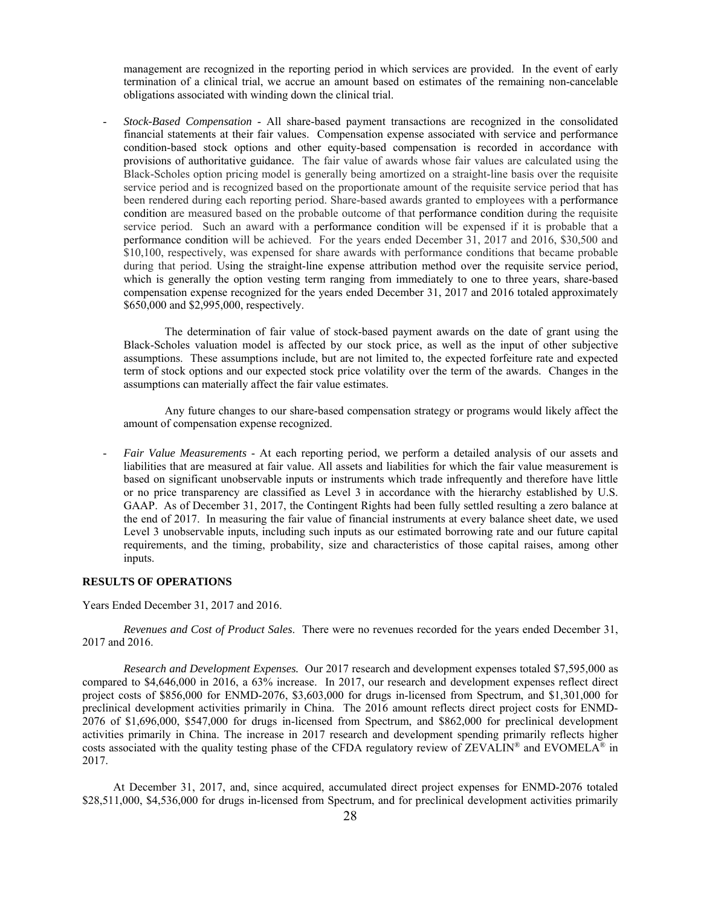management are recognized in the reporting period in which services are provided. In the event of early termination of a clinical trial, we accrue an amount based on estimates of the remaining non-cancelable obligations associated with winding down the clinical trial.

- *Stock-Based Compensation* - All share-based payment transactions are recognized in the consolidated financial statements at their fair values. Compensation expense associated with service and performance condition-based stock options and other equity-based compensation is recorded in accordance with provisions of authoritative guidance. The fair value of awards whose fair values are calculated using the Black-Scholes option pricing model is generally being amortized on a straight-line basis over the requisite service period and is recognized based on the proportionate amount of the requisite service period that has been rendered during each reporting period. Share-based awards granted to employees with a performance condition are measured based on the probable outcome of that performance condition during the requisite service period. Such an award with a performance condition will be expensed if it is probable that a performance condition will be achieved. For the years ended December 31, 2017 and 2016, \$30,500 and \$10,100, respectively, was expensed for share awards with performance conditions that became probable during that period. Using the straight-line expense attribution method over the requisite service period, which is generally the option vesting term ranging from immediately to one to three years, share-based compensation expense recognized for the years ended December 31, 2017 and 2016 totaled approximately \$650,000 and \$2,995,000, respectively.

The determination of fair value of stock-based payment awards on the date of grant using the Black-Scholes valuation model is affected by our stock price, as well as the input of other subjective assumptions. These assumptions include, but are not limited to, the expected forfeiture rate and expected term of stock options and our expected stock price volatility over the term of the awards. Changes in the assumptions can materially affect the fair value estimates.

Any future changes to our share-based compensation strategy or programs would likely affect the amount of compensation expense recognized.

- *Fair Value Measurements* - At each reporting period, we perform a detailed analysis of our assets and liabilities that are measured at fair value. All assets and liabilities for which the fair value measurement is based on significant unobservable inputs or instruments which trade infrequently and therefore have little or no price transparency are classified as Level 3 in accordance with the hierarchy established by U.S. GAAP. As of December 31, 2017, the Contingent Rights had been fully settled resulting a zero balance at the end of 2017. In measuring the fair value of financial instruments at every balance sheet date, we used Level 3 unobservable inputs, including such inputs as our estimated borrowing rate and our future capital requirements, and the timing, probability, size and characteristics of those capital raises, among other inputs.

# **RESULTS OF OPERATIONS**

Years Ended December 31, 2017 and 2016.

*Revenues and Cost of Product Sales*. There were no revenues recorded for the years ended December 31, 2017 and 2016.

*Research and Development Expenses.* Our 2017 research and development expenses totaled \$7,595,000 as compared to \$4,646,000 in 2016, a 63% increase. In 2017, our research and development expenses reflect direct project costs of \$856,000 for ENMD-2076, \$3,603,000 for drugs in-licensed from Spectrum, and \$1,301,000 for preclinical development activities primarily in China. The 2016 amount reflects direct project costs for ENMD-2076 of \$1,696,000, \$547,000 for drugs in-licensed from Spectrum, and \$862,000 for preclinical development activities primarily in China. The increase in 2017 research and development spending primarily reflects higher costs associated with the quality testing phase of the CFDA regulatory review of ZEVALIN® and EVOMELA® in 2017.

 At December 31, 2017, and, since acquired, accumulated direct project expenses for ENMD-2076 totaled \$28,511,000, \$4,536,000 for drugs in-licensed from Spectrum, and for preclinical development activities primarily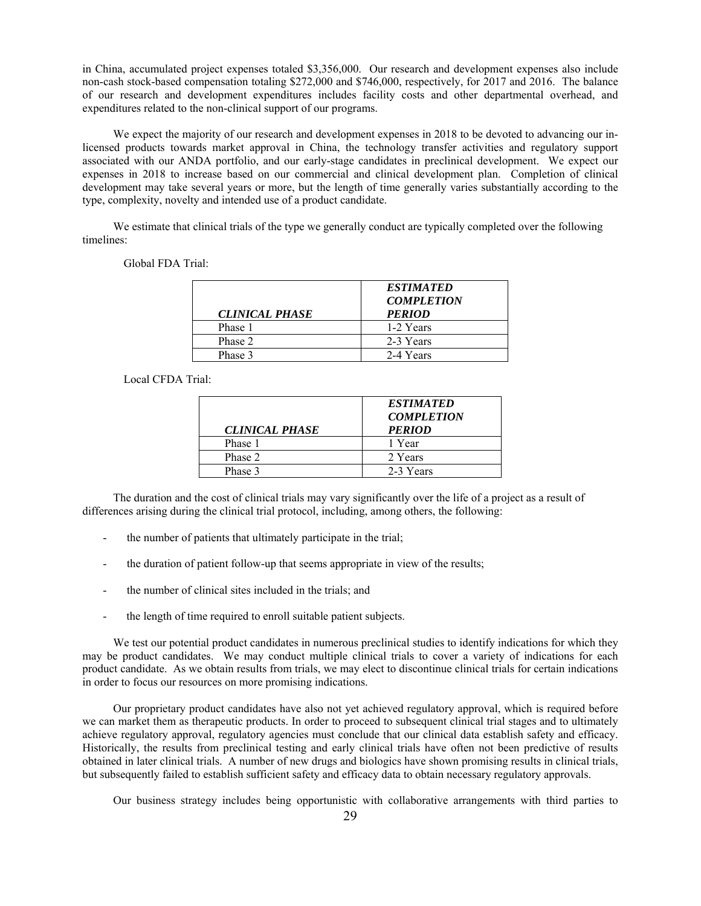in China, accumulated project expenses totaled \$3,356,000. Our research and development expenses also include non-cash stock-based compensation totaling \$272,000 and \$746,000, respectively, for 2017 and 2016. The balance of our research and development expenditures includes facility costs and other departmental overhead, and expenditures related to the non-clinical support of our programs.

We expect the majority of our research and development expenses in 2018 to be devoted to advancing our inlicensed products towards market approval in China, the technology transfer activities and regulatory support associated with our ANDA portfolio, and our early-stage candidates in preclinical development. We expect our expenses in 2018 to increase based on our commercial and clinical development plan. Completion of clinical development may take several years or more, but the length of time generally varies substantially according to the type, complexity, novelty and intended use of a product candidate.

 We estimate that clinical trials of the type we generally conduct are typically completed over the following timelines:

Global FDA Trial:

|                       | <i><b>ESTIMATED</b></i><br><b>COMPLETION</b> |
|-----------------------|----------------------------------------------|
| <b>CLINICAL PHASE</b> | <b>PERIOD</b>                                |
| Phase 1               | 1-2 Years                                    |
| Phase 2               | 2-3 Years                                    |
| Phase 3               | 2-4 Years                                    |

Local CFDA Trial:

| <b>CLINICAL PHASE</b> | <b>ESTIMATED</b><br><b>COMPLETION</b><br><b>PERIOD</b> |
|-----------------------|--------------------------------------------------------|
| Phase 1               | 1 Year                                                 |
| Phase 2               | 2 Years                                                |
| Phase 3               | 2-3 Years                                              |

 The duration and the cost of clinical trials may vary significantly over the life of a project as a result of differences arising during the clinical trial protocol, including, among others, the following:

- the number of patients that ultimately participate in the trial;
- the duration of patient follow-up that seems appropriate in view of the results;
- the number of clinical sites included in the trials; and
- the length of time required to enroll suitable patient subjects.

We test our potential product candidates in numerous preclinical studies to identify indications for which they may be product candidates. We may conduct multiple clinical trials to cover a variety of indications for each product candidate. As we obtain results from trials, we may elect to discontinue clinical trials for certain indications in order to focus our resources on more promising indications.

 Our proprietary product candidates have also not yet achieved regulatory approval, which is required before we can market them as therapeutic products. In order to proceed to subsequent clinical trial stages and to ultimately achieve regulatory approval, regulatory agencies must conclude that our clinical data establish safety and efficacy. Historically, the results from preclinical testing and early clinical trials have often not been predictive of results obtained in later clinical trials. A number of new drugs and biologics have shown promising results in clinical trials, but subsequently failed to establish sufficient safety and efficacy data to obtain necessary regulatory approvals.

Our business strategy includes being opportunistic with collaborative arrangements with third parties to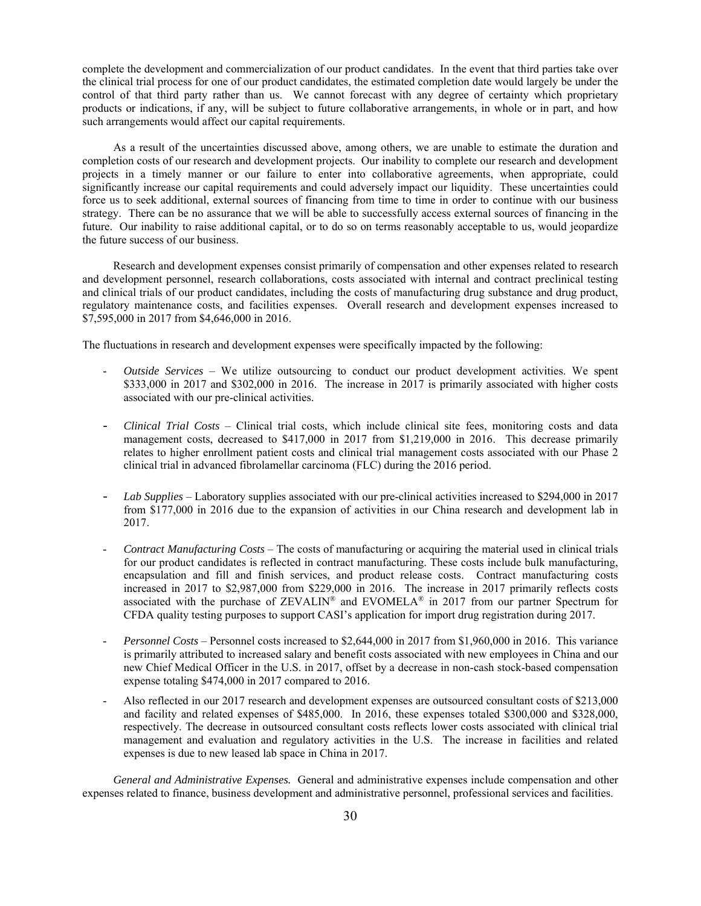complete the development and commercialization of our product candidates. In the event that third parties take over the clinical trial process for one of our product candidates, the estimated completion date would largely be under the control of that third party rather than us. We cannot forecast with any degree of certainty which proprietary products or indications, if any, will be subject to future collaborative arrangements, in whole or in part, and how such arrangements would affect our capital requirements.

 As a result of the uncertainties discussed above, among others, we are unable to estimate the duration and completion costs of our research and development projects. Our inability to complete our research and development projects in a timely manner or our failure to enter into collaborative agreements, when appropriate, could significantly increase our capital requirements and could adversely impact our liquidity. These uncertainties could force us to seek additional, external sources of financing from time to time in order to continue with our business strategy. There can be no assurance that we will be able to successfully access external sources of financing in the future. Our inability to raise additional capital, or to do so on terms reasonably acceptable to us, would jeopardize the future success of our business.

 Research and development expenses consist primarily of compensation and other expenses related to research and development personnel, research collaborations, costs associated with internal and contract preclinical testing and clinical trials of our product candidates, including the costs of manufacturing drug substance and drug product, regulatory maintenance costs, and facilities expenses. Overall research and development expenses increased to \$7,595,000 in 2017 from \$4,646,000 in 2016.

The fluctuations in research and development expenses were specifically impacted by the following:

- *Outside Services* We utilize outsourcing to conduct our product development activities. We spent \$333,000 in 2017 and \$302,000 in 2016. The increase in 2017 is primarily associated with higher costs associated with our pre-clinical activities.
- *Clinical Trial Costs* Clinical trial costs, which include clinical site fees, monitoring costs and data management costs, decreased to \$417,000 in 2017 from \$1,219,000 in 2016. This decrease primarily relates to higher enrollment patient costs and clinical trial management costs associated with our Phase 2 clinical trial in advanced fibrolamellar carcinoma (FLC) during the 2016 period.
- *Lab Supplies* Laboratory supplies associated with our pre-clinical activities increased to \$294,000 in 2017 from \$177,000 in 2016 due to the expansion of activities in our China research and development lab in 2017.
- *Contract Manufacturing Costs* The costs of manufacturing or acquiring the material used in clinical trials for our product candidates is reflected in contract manufacturing. These costs include bulk manufacturing, encapsulation and fill and finish services, and product release costs. Contract manufacturing costs increased in 2017 to \$2,987,000 from \$229,000 in 2016. The increase in 2017 primarily reflects costs associated with the purchase of  $ZEVALIN^{\circledast}$  and  $EVOMELA^{\circledast}$  in 2017 from our partner Spectrum for CFDA quality testing purposes to support CASI's application for import drug registration during 2017.
- *Personnel Costs* Personnel costs increased to \$2,644,000 in 2017 from \$1,960,000 in 2016. This variance is primarily attributed to increased salary and benefit costs associated with new employees in China and our new Chief Medical Officer in the U.S. in 2017, offset by a decrease in non-cash stock-based compensation expense totaling \$474,000 in 2017 compared to 2016.
- Also reflected in our 2017 research and development expenses are outsourced consultant costs of \$213,000 and facility and related expenses of \$485,000. In 2016, these expenses totaled \$300,000 and \$328,000, respectively. The decrease in outsourced consultant costs reflects lower costs associated with clinical trial management and evaluation and regulatory activities in the U.S. The increase in facilities and related expenses is due to new leased lab space in China in 2017.

 *General and Administrative Expenses.* General and administrative expenses include compensation and other expenses related to finance, business development and administrative personnel, professional services and facilities.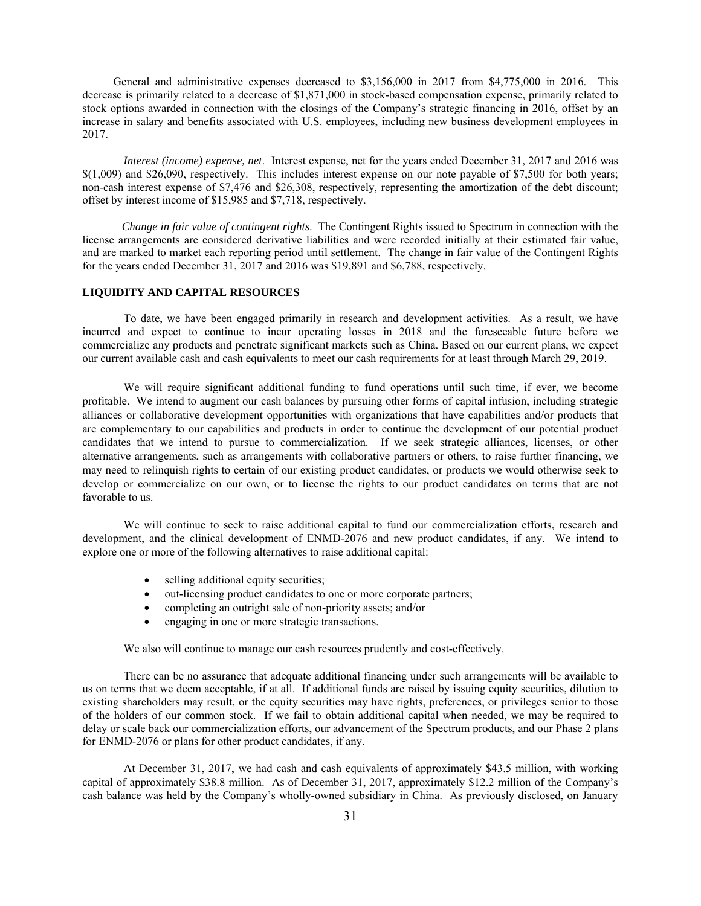General and administrative expenses decreased to \$3,156,000 in 2017 from \$4,775,000 in 2016. This decrease is primarily related to a decrease of \$1,871,000 in stock-based compensation expense, primarily related to stock options awarded in connection with the closings of the Company's strategic financing in 2016, offset by an increase in salary and benefits associated with U.S. employees, including new business development employees in 2017.

*Interest (income) expense, net*. Interest expense, net for the years ended December 31, 2017 and 2016 was \$(1,009) and \$26,090, respectively. This includes interest expense on our note payable of \$7,500 for both years; non-cash interest expense of \$7,476 and \$26,308, respectively, representing the amortization of the debt discount; offset by interest income of \$15,985 and \$7,718, respectively.

 *Change in fair value of contingent rights*. The Contingent Rights issued to Spectrum in connection with the license arrangements are considered derivative liabilities and were recorded initially at their estimated fair value, and are marked to market each reporting period until settlement. The change in fair value of the Contingent Rights for the years ended December 31, 2017 and 2016 was \$19,891 and \$6,788, respectively.

## **LIQUIDITY AND CAPITAL RESOURCES**

 To date, we have been engaged primarily in research and development activities. As a result, we have incurred and expect to continue to incur operating losses in 2018 and the foreseeable future before we commercialize any products and penetrate significant markets such as China. Based on our current plans, we expect our current available cash and cash equivalents to meet our cash requirements for at least through March 29, 2019.

We will require significant additional funding to fund operations until such time, if ever, we become profitable. We intend to augment our cash balances by pursuing other forms of capital infusion, including strategic alliances or collaborative development opportunities with organizations that have capabilities and/or products that are complementary to our capabilities and products in order to continue the development of our potential product candidates that we intend to pursue to commercialization. If we seek strategic alliances, licenses, or other alternative arrangements, such as arrangements with collaborative partners or others, to raise further financing, we may need to relinquish rights to certain of our existing product candidates, or products we would otherwise seek to develop or commercialize on our own, or to license the rights to our product candidates on terms that are not favorable to us.

We will continue to seek to raise additional capital to fund our commercialization efforts, research and development, and the clinical development of ENMD-2076 and new product candidates, if any. We intend to explore one or more of the following alternatives to raise additional capital:

- selling additional equity securities;
- $\bullet$  out-licensing product candidates to one or more corporate partners;
- completing an outright sale of non-priority assets; and/or
- engaging in one or more strategic transactions.

We also will continue to manage our cash resources prudently and cost-effectively.

There can be no assurance that adequate additional financing under such arrangements will be available to us on terms that we deem acceptable, if at all. If additional funds are raised by issuing equity securities, dilution to existing shareholders may result, or the equity securities may have rights, preferences, or privileges senior to those of the holders of our common stock. If we fail to obtain additional capital when needed, we may be required to delay or scale back our commercialization efforts, our advancement of the Spectrum products, and our Phase 2 plans for ENMD-2076 or plans for other product candidates, if any.

At December 31, 2017, we had cash and cash equivalents of approximately \$43.5 million, with working capital of approximately \$38.8 million. As of December 31, 2017, approximately \$12.2 million of the Company's cash balance was held by the Company's wholly-owned subsidiary in China. As previously disclosed, on January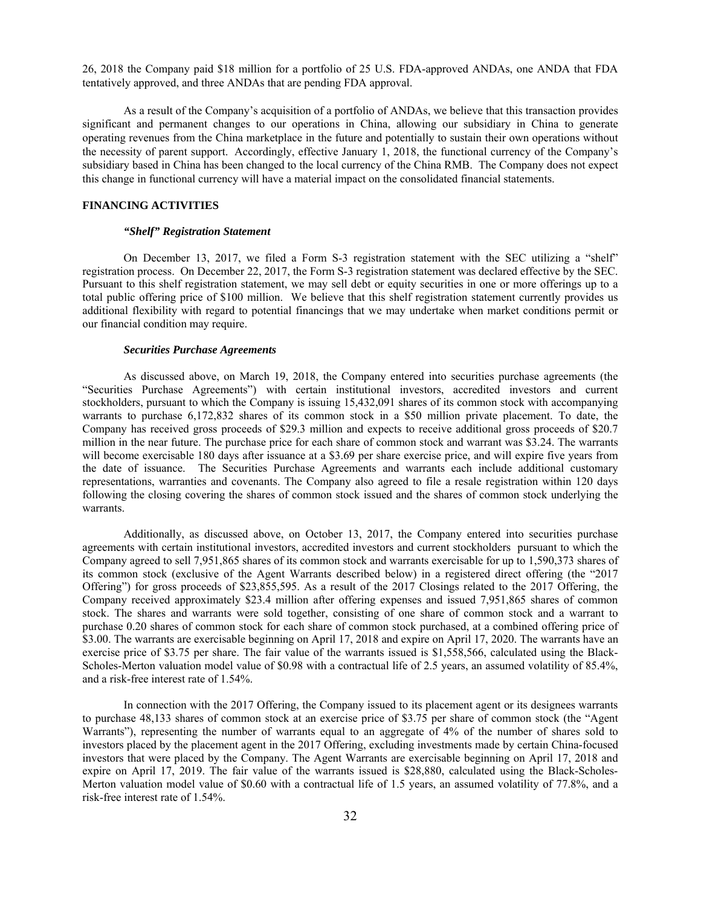26, 2018 the Company paid \$18 million for a portfolio of 25 U.S. FDA-approved ANDAs, one ANDA that FDA tentatively approved, and three ANDAs that are pending FDA approval.

As a result of the Company's acquisition of a portfolio of ANDAs, we believe that this transaction provides significant and permanent changes to our operations in China, allowing our subsidiary in China to generate operating revenues from the China marketplace in the future and potentially to sustain their own operations without the necessity of parent support. Accordingly, effective January 1, 2018, the functional currency of the Company's subsidiary based in China has been changed to the local currency of the China RMB. The Company does not expect this change in functional currency will have a material impact on the consolidated financial statements.

#### **FINANCING ACTIVITIES**

#### *"Shelf" Registration Statement*

On December 13, 2017, we filed a Form S-3 registration statement with the SEC utilizing a "shelf" registration process. On December 22, 2017, the Form S-3 registration statement was declared effective by the SEC. Pursuant to this shelf registration statement, we may sell debt or equity securities in one or more offerings up to a total public offering price of \$100 million. We believe that this shelf registration statement currently provides us additional flexibility with regard to potential financings that we may undertake when market conditions permit or our financial condition may require.

#### *Securities Purchase Agreements*

As discussed above, on March 19, 2018, the Company entered into securities purchase agreements (the "Securities Purchase Agreements") with certain institutional investors, accredited investors and current stockholders, pursuant to which the Company is issuing 15,432,091 shares of its common stock with accompanying warrants to purchase 6,172,832 shares of its common stock in a \$50 million private placement. To date, the Company has received gross proceeds of \$29.3 million and expects to receive additional gross proceeds of \$20.7 million in the near future. The purchase price for each share of common stock and warrant was \$3.24. The warrants will become exercisable 180 days after issuance at a \$3.69 per share exercise price, and will expire five years from the date of issuance. The Securities Purchase Agreements and warrants each include additional customary representations, warranties and covenants. The Company also agreed to file a resale registration within 120 days following the closing covering the shares of common stock issued and the shares of common stock underlying the warrants.

Additionally, as discussed above, on October 13, 2017, the Company entered into securities purchase agreements with certain institutional investors, accredited investors and current stockholders pursuant to which the Company agreed to sell 7,951,865 shares of its common stock and warrants exercisable for up to 1,590,373 shares of its common stock (exclusive of the Agent Warrants described below) in a registered direct offering (the "2017 Offering") for gross proceeds of \$23,855,595. As a result of the 2017 Closings related to the 2017 Offering, the Company received approximately \$23.4 million after offering expenses and issued 7,951,865 shares of common stock. The shares and warrants were sold together, consisting of one share of common stock and a warrant to purchase 0.20 shares of common stock for each share of common stock purchased, at a combined offering price of \$3.00. The warrants are exercisable beginning on April 17, 2018 and expire on April 17, 2020. The warrants have an exercise price of \$3.75 per share. The fair value of the warrants issued is \$1,558,566, calculated using the Black-Scholes-Merton valuation model value of \$0.98 with a contractual life of 2.5 years, an assumed volatility of 85.4%, and a risk-free interest rate of 1.54%.

In connection with the 2017 Offering, the Company issued to its placement agent or its designees warrants to purchase 48,133 shares of common stock at an exercise price of \$3.75 per share of common stock (the "Agent Warrants"), representing the number of warrants equal to an aggregate of 4% of the number of shares sold to investors placed by the placement agent in the 2017 Offering, excluding investments made by certain China-focused investors that were placed by the Company. The Agent Warrants are exercisable beginning on April 17, 2018 and expire on April 17, 2019. The fair value of the warrants issued is \$28,880, calculated using the Black-Scholes-Merton valuation model value of \$0.60 with a contractual life of 1.5 years, an assumed volatility of 77.8%, and a risk-free interest rate of 1.54%.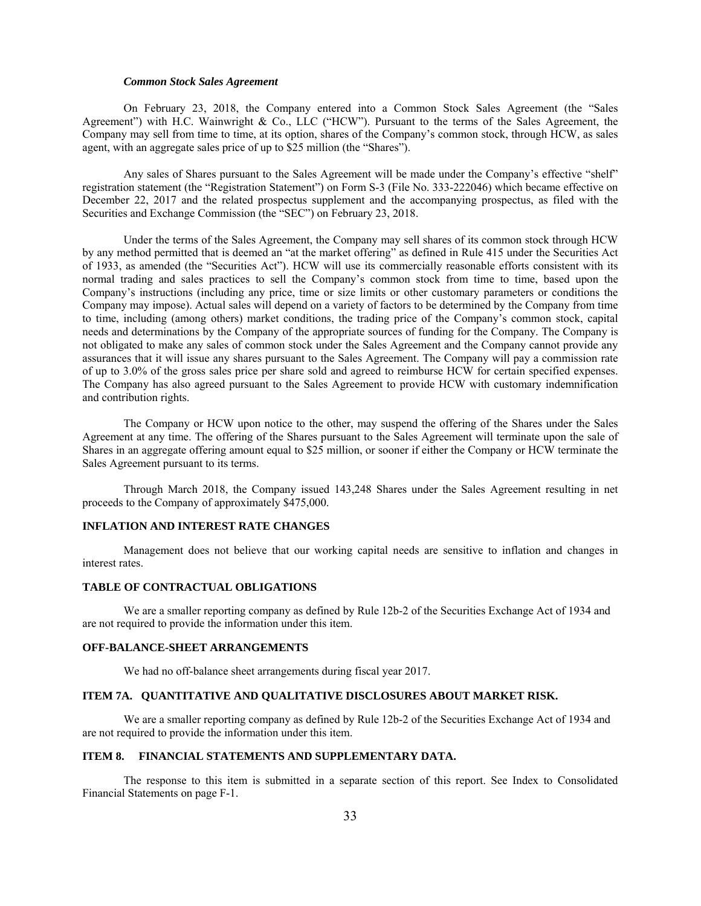### *Common Stock Sales Agreement*

On February 23, 2018, the Company entered into a Common Stock Sales Agreement (the "Sales Agreement") with H.C. Wainwright & Co., LLC ("HCW"). Pursuant to the terms of the Sales Agreement, the Company may sell from time to time, at its option, shares of the Company's common stock, through HCW, as sales agent, with an aggregate sales price of up to \$25 million (the "Shares").

Any sales of Shares pursuant to the Sales Agreement will be made under the Company's effective "shelf" registration statement (the "Registration Statement") on Form S-3 (File No. 333-222046) which became effective on December 22, 2017 and the related prospectus supplement and the accompanying prospectus, as filed with the Securities and Exchange Commission (the "SEC") on February 23, 2018.

Under the terms of the Sales Agreement, the Company may sell shares of its common stock through HCW by any method permitted that is deemed an "at the market offering" as defined in Rule 415 under the Securities Act of 1933, as amended (the "Securities Act"). HCW will use its commercially reasonable efforts consistent with its normal trading and sales practices to sell the Company's common stock from time to time, based upon the Company's instructions (including any price, time or size limits or other customary parameters or conditions the Company may impose). Actual sales will depend on a variety of factors to be determined by the Company from time to time, including (among others) market conditions, the trading price of the Company's common stock, capital needs and determinations by the Company of the appropriate sources of funding for the Company. The Company is not obligated to make any sales of common stock under the Sales Agreement and the Company cannot provide any assurances that it will issue any shares pursuant to the Sales Agreement. The Company will pay a commission rate of up to 3.0% of the gross sales price per share sold and agreed to reimburse HCW for certain specified expenses. The Company has also agreed pursuant to the Sales Agreement to provide HCW with customary indemnification and contribution rights.

The Company or HCW upon notice to the other, may suspend the offering of the Shares under the Sales Agreement at any time. The offering of the Shares pursuant to the Sales Agreement will terminate upon the sale of Shares in an aggregate offering amount equal to \$25 million, or sooner if either the Company or HCW terminate the Sales Agreement pursuant to its terms.

Through March 2018, the Company issued 143,248 Shares under the Sales Agreement resulting in net proceeds to the Company of approximately \$475,000.

## **INFLATION AND INTEREST RATE CHANGES**

Management does not believe that our working capital needs are sensitive to inflation and changes in interest rates.

#### **TABLE OF CONTRACTUAL OBLIGATIONS**

We are a smaller reporting company as defined by Rule 12b-2 of the Securities Exchange Act of 1934 and are not required to provide the information under this item.

#### **OFF-BALANCE-SHEET ARRANGEMENTS**

We had no off-balance sheet arrangements during fiscal year 2017.

## **ITEM 7A. QUANTITATIVE AND QUALITATIVE DISCLOSURES ABOUT MARKET RISK.**

We are a smaller reporting company as defined by Rule 12b-2 of the Securities Exchange Act of 1934 and are not required to provide the information under this item.

### **ITEM 8. FINANCIAL STATEMENTS AND SUPPLEMENTARY DATA.**

The response to this item is submitted in a separate section of this report. See Index to Consolidated Financial Statements on page F-1.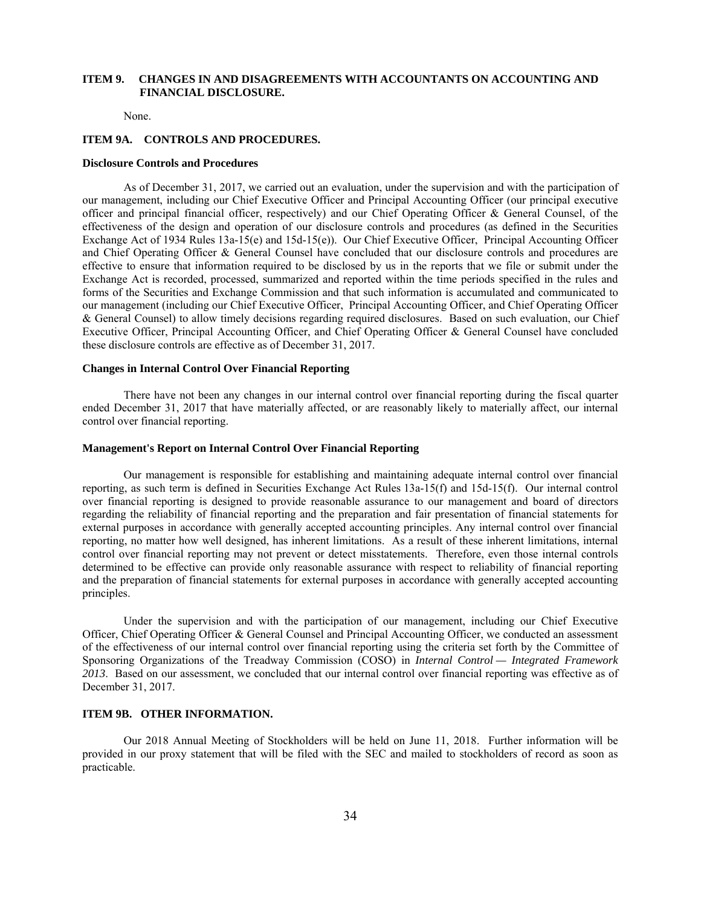## **ITEM 9. CHANGES IN AND DISAGREEMENTS WITH ACCOUNTANTS ON ACCOUNTING AND FINANCIAL DISCLOSURE.**

None.

### **ITEM 9A. CONTROLS AND PROCEDURES.**

#### **Disclosure Controls and Procedures**

As of December 31, 2017, we carried out an evaluation, under the supervision and with the participation of our management, including our Chief Executive Officer and Principal Accounting Officer (our principal executive officer and principal financial officer, respectively) and our Chief Operating Officer & General Counsel, of the effectiveness of the design and operation of our disclosure controls and procedures (as defined in the Securities Exchange Act of 1934 Rules 13a-15(e) and 15d-15(e)). Our Chief Executive Officer, Principal Accounting Officer and Chief Operating Officer & General Counsel have concluded that our disclosure controls and procedures are effective to ensure that information required to be disclosed by us in the reports that we file or submit under the Exchange Act is recorded, processed, summarized and reported within the time periods specified in the rules and forms of the Securities and Exchange Commission and that such information is accumulated and communicated to our management (including our Chief Executive Officer, Principal Accounting Officer, and Chief Operating Officer & General Counsel) to allow timely decisions regarding required disclosures. Based on such evaluation, our Chief Executive Officer, Principal Accounting Officer, and Chief Operating Officer & General Counsel have concluded these disclosure controls are effective as of December 31, 2017.

#### **Changes in Internal Control Over Financial Reporting**

There have not been any changes in our internal control over financial reporting during the fiscal quarter ended December 31, 2017 that have materially affected, or are reasonably likely to materially affect, our internal control over financial reporting.

#### **Management's Report on Internal Control Over Financial Reporting**

Our management is responsible for establishing and maintaining adequate internal control over financial reporting, as such term is defined in Securities Exchange Act Rules 13a-15(f) and 15d-15(f). Our internal control over financial reporting is designed to provide reasonable assurance to our management and board of directors regarding the reliability of financial reporting and the preparation and fair presentation of financial statements for external purposes in accordance with generally accepted accounting principles. Any internal control over financial reporting, no matter how well designed, has inherent limitations. As a result of these inherent limitations, internal control over financial reporting may not prevent or detect misstatements. Therefore, even those internal controls determined to be effective can provide only reasonable assurance with respect to reliability of financial reporting and the preparation of financial statements for external purposes in accordance with generally accepted accounting principles.

Under the supervision and with the participation of our management, including our Chief Executive Officer, Chief Operating Officer & General Counsel and Principal Accounting Officer, we conducted an assessment of the effectiveness of our internal control over financial reporting using the criteria set forth by the Committee of Sponsoring Organizations of the Treadway Commission (COSO) in *Internal Control — Integrated Framework 2013*. Based on our assessment, we concluded that our internal control over financial reporting was effective as of December 31, 2017.

### **ITEM 9B. OTHER INFORMATION.**

 Our 2018 Annual Meeting of Stockholders will be held on June 11, 2018. Further information will be provided in our proxy statement that will be filed with the SEC and mailed to stockholders of record as soon as practicable.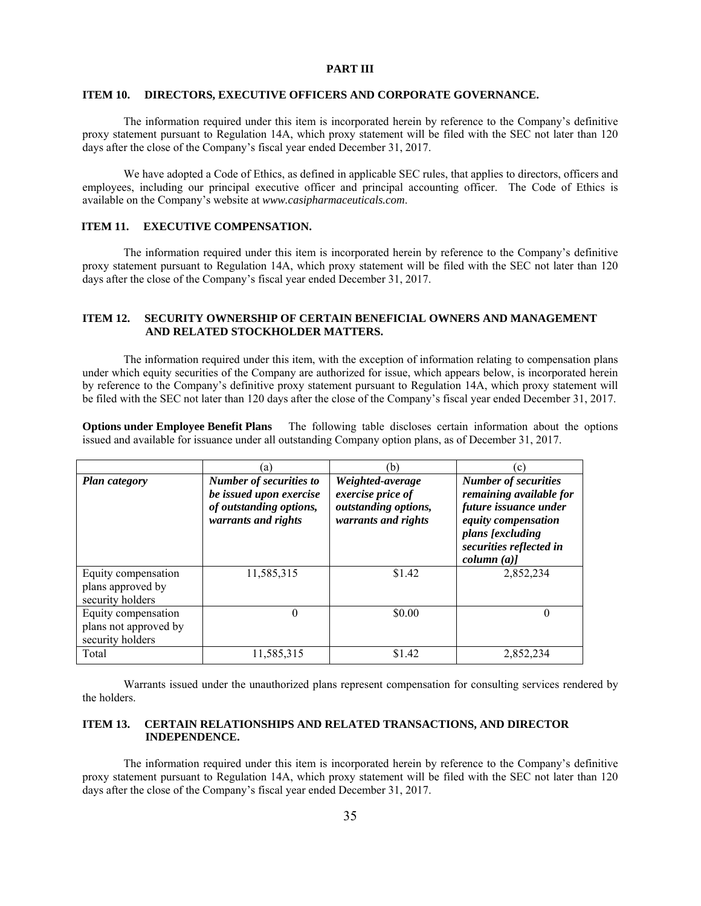### **PART III**

### **ITEM 10. DIRECTORS, EXECUTIVE OFFICERS AND CORPORATE GOVERNANCE.**

 The information required under this item is incorporated herein by reference to the Company's definitive proxy statement pursuant to Regulation 14A, which proxy statement will be filed with the SEC not later than 120 days after the close of the Company's fiscal year ended December 31, 2017.

 We have adopted a Code of Ethics, as defined in applicable SEC rules, that applies to directors, officers and employees, including our principal executive officer and principal accounting officer. The Code of Ethics is available on the Company's website at *www.casipharmaceuticals.com*.

# **ITEM 11. EXECUTIVE COMPENSATION.**

 The information required under this item is incorporated herein by reference to the Company's definitive proxy statement pursuant to Regulation 14A, which proxy statement will be filed with the SEC not later than 120 days after the close of the Company's fiscal year ended December 31, 2017.

## **ITEM 12. SECURITY OWNERSHIP OF CERTAIN BENEFICIAL OWNERS AND MANAGEMENT AND RELATED STOCKHOLDER MATTERS.**

The information required under this item, with the exception of information relating to compensation plans under which equity securities of the Company are authorized for issue, which appears below, is incorporated herein by reference to the Company's definitive proxy statement pursuant to Regulation 14A, which proxy statement will be filed with the SEC not later than 120 days after the close of the Company's fiscal year ended December 31, 2017.

**Options under Employee Benefit Plans** The following table discloses certain information about the options issued and available for issuance under all outstanding Company option plans, as of December 31, 2017.

|                                                                  | (a)                                                                                                         | (b)                                                                                  | $\mathcal{C}$ )                                                                                                                                                     |
|------------------------------------------------------------------|-------------------------------------------------------------------------------------------------------------|--------------------------------------------------------------------------------------|---------------------------------------------------------------------------------------------------------------------------------------------------------------------|
| <b>Plan category</b>                                             | <b>Number of securities to</b><br>be issued upon exercise<br>of outstanding options,<br>warrants and rights | Weighted-average<br>exercise price of<br>outstanding options,<br>warrants and rights | <b>Number of securities</b><br>remaining available for<br>future issuance under<br>equity compensation<br>plans [excluding<br>securities reflected in<br>column (a) |
| Equity compensation<br>plans approved by<br>security holders     | 11,585,315                                                                                                  | \$1.42                                                                               | 2,852,234                                                                                                                                                           |
| Equity compensation<br>plans not approved by<br>security holders | $\Omega$                                                                                                    | \$0.00                                                                               | $\Omega$                                                                                                                                                            |
| Total                                                            | 11,585,315                                                                                                  | \$1.42                                                                               | 2,852,234                                                                                                                                                           |

Warrants issued under the unauthorized plans represent compensation for consulting services rendered by the holders.

# **ITEM 13. CERTAIN RELATIONSHIPS AND RELATED TRANSACTIONS, AND DIRECTOR INDEPENDENCE.**

The information required under this item is incorporated herein by reference to the Company's definitive proxy statement pursuant to Regulation 14A, which proxy statement will be filed with the SEC not later than 120 days after the close of the Company's fiscal year ended December 31, 2017.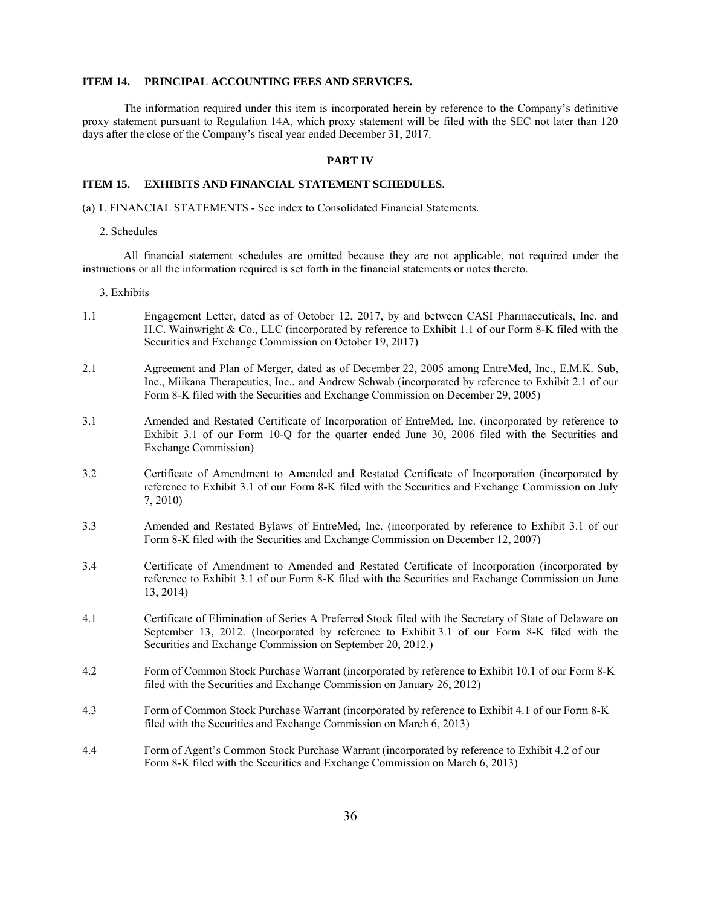## **ITEM 14. PRINCIPAL ACCOUNTING FEES AND SERVICES.**

The information required under this item is incorporated herein by reference to the Company's definitive proxy statement pursuant to Regulation 14A, which proxy statement will be filed with the SEC not later than 120 days after the close of the Company's fiscal year ended December 31, 2017.

#### **PART IV**

#### **ITEM 15. EXHIBITS AND FINANCIAL STATEMENT SCHEDULES.**

(a) 1. FINANCIAL STATEMENTS - See index to Consolidated Financial Statements.

#### 2. Schedules

All financial statement schedules are omitted because they are not applicable, not required under the instructions or all the information required is set forth in the financial statements or notes thereto.

#### 3. Exhibits

- 1.1 Engagement Letter, dated as of October 12, 2017, by and between CASI Pharmaceuticals, Inc. and H.C. Wainwright & Co., LLC (incorporated by reference to Exhibit 1.1 of our Form 8-K filed with the Securities and Exchange Commission on October 19, 2017)
- 2.1 Agreement and Plan of Merger, dated as of December 22, 2005 among EntreMed, Inc., E.M.K. Sub, Inc., Miikana Therapeutics, Inc., and Andrew Schwab (incorporated by reference to Exhibit 2.1 of our Form 8-K filed with the Securities and Exchange Commission on December 29, 2005)
- 3.1 Amended and Restated Certificate of Incorporation of EntreMed, Inc. (incorporated by reference to Exhibit 3.1 of our Form 10-Q for the quarter ended June 30, 2006 filed with the Securities and Exchange Commission)
- 3.2 Certificate of Amendment to Amended and Restated Certificate of Incorporation (incorporated by reference to Exhibit 3.1 of our Form 8-K filed with the Securities and Exchange Commission on July 7, 2010)
- 3.3 Amended and Restated Bylaws of EntreMed, Inc. (incorporated by reference to Exhibit 3.1 of our Form 8-K filed with the Securities and Exchange Commission on December 12, 2007)
- 3.4 Certificate of Amendment to Amended and Restated Certificate of Incorporation (incorporated by reference to Exhibit 3.1 of our Form 8-K filed with the Securities and Exchange Commission on June 13, 2014)
- 4.1 Certificate of Elimination of Series A Preferred Stock filed with the Secretary of State of Delaware on September 13, 2012. (Incorporated by reference to Exhibit 3.1 of our Form 8-K filed with the Securities and Exchange Commission on September 20, 2012.)
- 4.2 Form of Common Stock Purchase Warrant (incorporated by reference to Exhibit 10.1 of our Form 8-K filed with the Securities and Exchange Commission on January 26, 2012)
- 4.3 Form of Common Stock Purchase Warrant (incorporated by reference to Exhibit 4.1 of our Form 8-K filed with the Securities and Exchange Commission on March 6, 2013)
- 4.4 Form of Agent's Common Stock Purchase Warrant (incorporated by reference to Exhibit 4.2 of our Form 8-K filed with the Securities and Exchange Commission on March 6, 2013)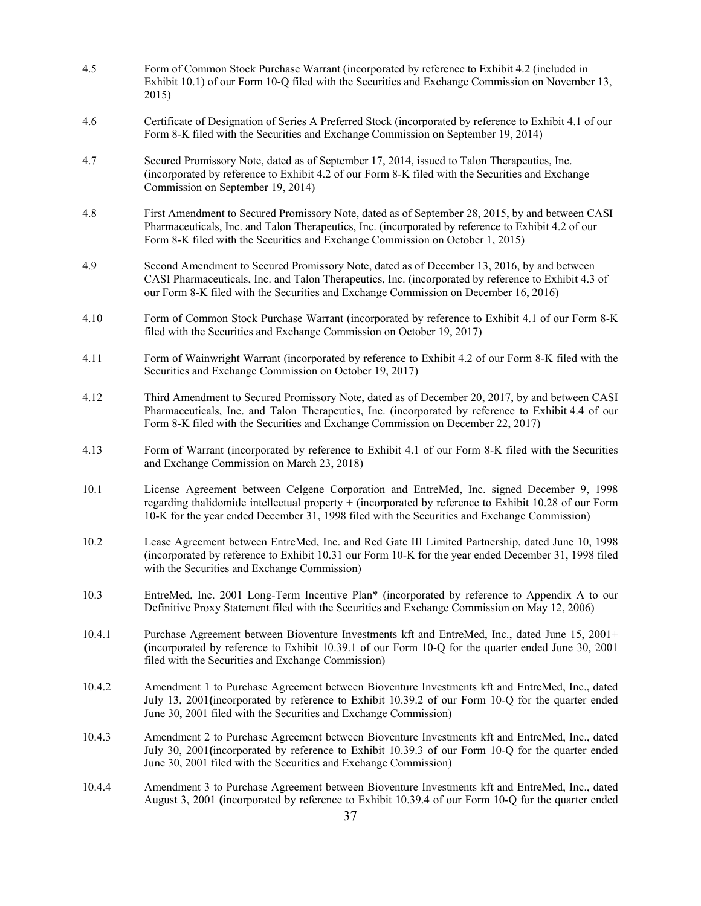| 4.5    | Form of Common Stock Purchase Warrant (incorporated by reference to Exhibit 4.2 (included in<br>Exhibit 10.1) of our Form 10-Q filed with the Securities and Exchange Commission on November 13,<br>2015)                                                                                         |
|--------|---------------------------------------------------------------------------------------------------------------------------------------------------------------------------------------------------------------------------------------------------------------------------------------------------|
| 4.6    | Certificate of Designation of Series A Preferred Stock (incorporated by reference to Exhibit 4.1 of our<br>Form 8-K filed with the Securities and Exchange Commission on September 19, 2014)                                                                                                      |
| 4.7    | Secured Promissory Note, dated as of September 17, 2014, issued to Talon Therapeutics, Inc.<br>(incorporated by reference to Exhibit 4.2 of our Form 8-K filed with the Securities and Exchange<br>Commission on September 19, 2014)                                                              |
| 4.8    | First Amendment to Secured Promissory Note, dated as of September 28, 2015, by and between CASI<br>Pharmaceuticals, Inc. and Talon Therapeutics, Inc. (incorporated by reference to Exhibit 4.2 of our<br>Form 8-K filed with the Securities and Exchange Commission on October 1, 2015)          |
| 4.9    | Second Amendment to Secured Promissory Note, dated as of December 13, 2016, by and between<br>CASI Pharmaceuticals, Inc. and Talon Therapeutics, Inc. (incorporated by reference to Exhibit 4.3 of<br>our Form 8-K filed with the Securities and Exchange Commission on December 16, 2016)        |
| 4.10   | Form of Common Stock Purchase Warrant (incorporated by reference to Exhibit 4.1 of our Form 8-K<br>filed with the Securities and Exchange Commission on October 19, 2017)                                                                                                                         |
| 4.11   | Form of Wainwright Warrant (incorporated by reference to Exhibit 4.2 of our Form 8-K filed with the<br>Securities and Exchange Commission on October 19, 2017)                                                                                                                                    |
| 4.12   | Third Amendment to Secured Promissory Note, dated as of December 20, 2017, by and between CASI<br>Pharmaceuticals, Inc. and Talon Therapeutics, Inc. (incorporated by reference to Exhibit 4.4 of our<br>Form 8-K filed with the Securities and Exchange Commission on December 22, 2017)         |
| 4.13   | Form of Warrant (incorporated by reference to Exhibit 4.1 of our Form 8-K filed with the Securities<br>and Exchange Commission on March 23, 2018)                                                                                                                                                 |
| 10.1   | License Agreement between Celgene Corporation and EntreMed, Inc. signed December 9, 1998<br>regarding thalidomide intellectual property + (incorporated by reference to Exhibit 10.28 of our Form<br>10-K for the year ended December 31, 1998 filed with the Securities and Exchange Commission) |
| 10.2   | Lease Agreement between EntreMed, Inc. and Red Gate III Limited Partnership, dated June 10, 1998<br>(incorporated by reference to Exhibit 10.31 our Form 10-K for the year ended December 31, 1998 filed<br>with the Securities and Exchange Commission)                                          |
| 10.3   | EntreMed, Inc. 2001 Long-Term Incentive Plan* (incorporated by reference to Appendix A to our<br>Definitive Proxy Statement filed with the Securities and Exchange Commission on May 12, 2006)                                                                                                    |
| 10.4.1 | Purchase Agreement between Bioventure Investments kft and EntreMed, Inc., dated June 15, 2001+<br>(incorporated by reference to Exhibit 10.39.1 of our Form 10-Q for the quarter ended June 30, 2001<br>filed with the Securities and Exchange Commission)                                        |
| 10.4.2 | Amendment 1 to Purchase Agreement between Bioventure Investments kft and EntreMed, Inc., dated<br>July 13, 2001 (incorporated by reference to Exhibit 10.39.2 of our Form 10-Q for the quarter ended<br>June 30, 2001 filed with the Securities and Exchange Commission)                          |
| 10.4.3 | Amendment 2 to Purchase Agreement between Bioventure Investments kft and EntreMed, Inc., dated<br>July 30, 2001 (incorporated by reference to Exhibit 10.39.3 of our Form 10-Q for the quarter ended<br>June 30, 2001 filed with the Securities and Exchange Commission)                          |
| 10.4.4 | Amendment 3 to Purchase Agreement between Bioventure Investments kft and EntreMed, Inc., dated<br>August 3, 2001 (incorporated by reference to Exhibit 10.39.4 of our Form 10-Q for the quarter ended                                                                                             |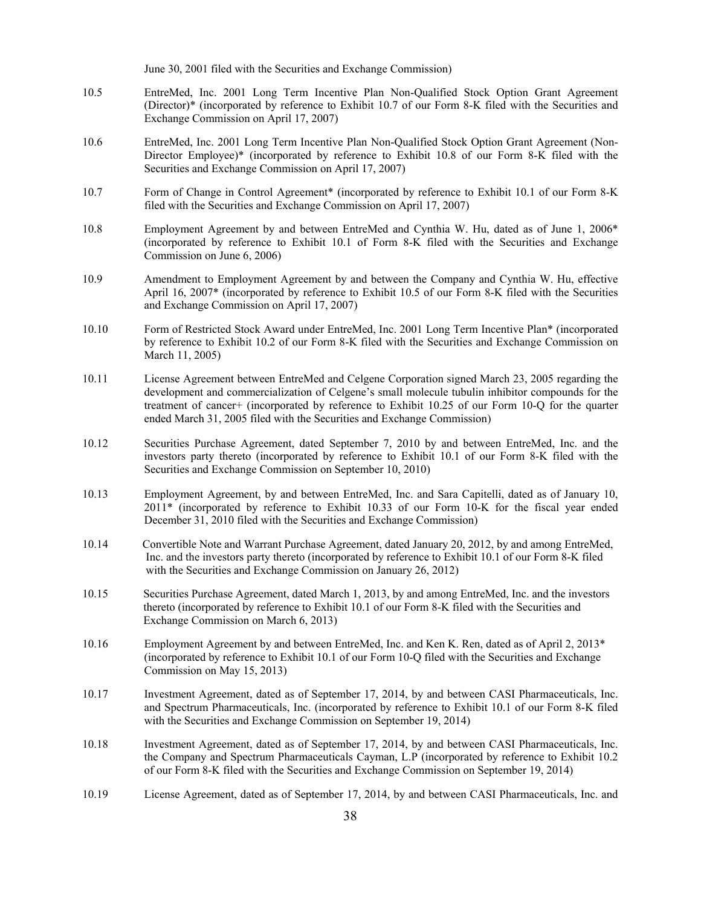June 30, 2001 filed with the Securities and Exchange Commission)

- 10.5 EntreMed, Inc. 2001 Long Term Incentive Plan Non-Qualified Stock Option Grant Agreement (Director)\* (incorporated by reference to Exhibit 10.7 of our Form 8-K filed with the Securities and Exchange Commission on April 17, 2007)
- 10.6 EntreMed, Inc. 2001 Long Term Incentive Plan Non-Qualified Stock Option Grant Agreement (Non-Director Employee)\* (incorporated by reference to Exhibit 10.8 of our Form 8-K filed with the Securities and Exchange Commission on April 17, 2007)
- 10.7 Form of Change in Control Agreement\* (incorporated by reference to Exhibit 10.1 of our Form 8-K filed with the Securities and Exchange Commission on April 17, 2007)
- 10.8 Employment Agreement by and between EntreMed and Cynthia W. Hu, dated as of June 1, 2006\* (incorporated by reference to Exhibit 10.1 of Form 8-K filed with the Securities and Exchange Commission on June 6, 2006)
- 10.9 Amendment to Employment Agreement by and between the Company and Cynthia W. Hu, effective April 16, 2007\* (incorporated by reference to Exhibit 10.5 of our Form 8-K filed with the Securities and Exchange Commission on April 17, 2007)
- 10.10 Form of Restricted Stock Award under EntreMed, Inc. 2001 Long Term Incentive Plan\* (incorporated by reference to Exhibit 10.2 of our Form 8-K filed with the Securities and Exchange Commission on March 11, 2005)
- 10.11 License Agreement between EntreMed and Celgene Corporation signed March 23, 2005 regarding the development and commercialization of Celgene's small molecule tubulin inhibitor compounds for the treatment of cancer+ (incorporated by reference to Exhibit 10.25 of our Form 10-Q for the quarter ended March 31, 2005 filed with the Securities and Exchange Commission)
- 10.12 Securities Purchase Agreement, dated September 7, 2010 by and between EntreMed, Inc. and the investors party thereto (incorporated by reference to Exhibit 10.1 of our Form 8-K filed with the Securities and Exchange Commission on September 10, 2010)
- 10.13 Employment Agreement, by and between EntreMed, Inc. and Sara Capitelli, dated as of January 10, 2011\* (incorporated by reference to Exhibit 10.33 of our Form 10-K for the fiscal year ended December 31, 2010 filed with the Securities and Exchange Commission)
- 10.14 Convertible Note and Warrant Purchase Agreement, dated January 20, 2012, by and among EntreMed, Inc. and the investors party thereto (incorporated by reference to Exhibit 10.1 of our Form 8-K filed with the Securities and Exchange Commission on January 26, 2012)
- 10.15 Securities Purchase Agreement, dated March 1, 2013, by and among EntreMed, Inc. and the investors thereto (incorporated by reference to Exhibit 10.1 of our Form 8-K filed with the Securities and Exchange Commission on March 6, 2013)
- 10.16 Employment Agreement by and between EntreMed, Inc. and Ken K. Ren, dated as of April 2, 2013\* (incorporated by reference to Exhibit 10.1 of our Form 10-Q filed with the Securities and Exchange Commission on May 15, 2013)
- 10.17 Investment Agreement, dated as of September 17, 2014, by and between CASI Pharmaceuticals, Inc. and Spectrum Pharmaceuticals, Inc. (incorporated by reference to Exhibit 10.1 of our Form 8-K filed with the Securities and Exchange Commission on September 19, 2014)
- 10.18 Investment Agreement, dated as of September 17, 2014, by and between CASI Pharmaceuticals, Inc. the Company and Spectrum Pharmaceuticals Cayman, L.P (incorporated by reference to Exhibit 10.2 of our Form 8-K filed with the Securities and Exchange Commission on September 19, 2014)
- 10.19 License Agreement, dated as of September 17, 2014, by and between CASI Pharmaceuticals, Inc. and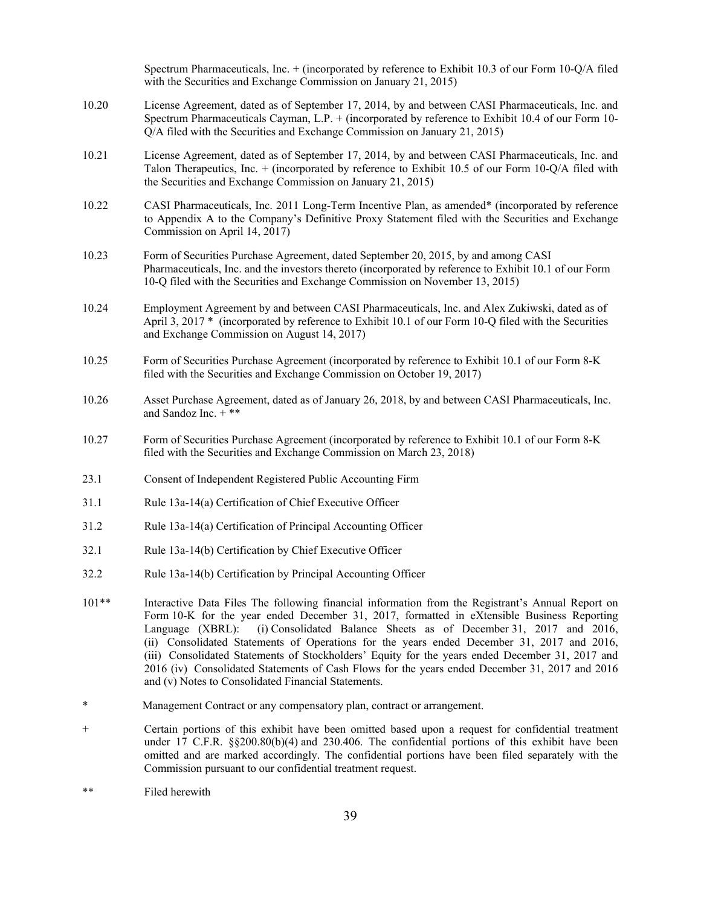Spectrum Pharmaceuticals, Inc. + (incorporated by reference to Exhibit 10.3 of our Form 10-Q/A filed with the Securities and Exchange Commission on January 21, 2015)

- 10.20 License Agreement, dated as of September 17, 2014, by and between CASI Pharmaceuticals, Inc. and Spectrum Pharmaceuticals Cayman, L.P. + (incorporated by reference to Exhibit 10.4 of our Form 10- Q/A filed with the Securities and Exchange Commission on January 21, 2015)
- 10.21 License Agreement, dated as of September 17, 2014, by and between CASI Pharmaceuticals, Inc. and Talon Therapeutics, Inc. + (incorporated by reference to Exhibit 10.5 of our Form 10-Q/A filed with the Securities and Exchange Commission on January 21, 2015)
- 10.22 CASI Pharmaceuticals, Inc. 2011 Long-Term Incentive Plan, as amended\* (incorporated by reference to Appendix A to the Company's Definitive Proxy Statement filed with the Securities and Exchange Commission on April 14, 2017)
- 10.23 Form of Securities Purchase Agreement, dated September 20, 2015, by and among CASI Pharmaceuticals, Inc. and the investors thereto (incorporated by reference to Exhibit 10.1 of our Form 10-Q filed with the Securities and Exchange Commission on November 13, 2015)
- 10.24 Employment Agreement by and between CASI Pharmaceuticals, Inc. and Alex Zukiwski, dated as of April 3, 2017 \* (incorporated by reference to Exhibit 10.1 of our Form 10-Q filed with the Securities and Exchange Commission on August 14, 2017)
- 10.25 Form of Securities Purchase Agreement (incorporated by reference to Exhibit 10.1 of our Form 8-K filed with the Securities and Exchange Commission on October 19, 2017)
- 10.26 Asset Purchase Agreement, dated as of January 26, 2018, by and between CASI Pharmaceuticals, Inc. and Sandoz Inc.  $+$ \*\*
- 10.27 Form of Securities Purchase Agreement (incorporated by reference to Exhibit 10.1 of our Form 8-K filed with the Securities and Exchange Commission on March 23, 2018)
- 23.1 Consent of Independent Registered Public Accounting Firm
- 31.1 Rule 13a-14(a) Certification of Chief Executive Officer
- 31.2 Rule 13a-14(a) Certification of Principal Accounting Officer
- 32.1 Rule 13a-14(b) Certification by Chief Executive Officer
- 32.2 Rule 13a-14(b) Certification by Principal Accounting Officer
- 101\*\* Interactive Data Files The following financial information from the Registrant's Annual Report on Form 10-K for the year ended December 31, 2017, formatted in eXtensible Business Reporting Language (XBRL): (i) Consolidated Balance Sheets as of December 31, 2017 and 2016, (ii) Consolidated Statements of Operations for the years ended December 31, 2017 and 2016, (iii) Consolidated Statements of Stockholders' Equity for the years ended December 31, 2017 and 2016 (iv) Consolidated Statements of Cash Flows for the years ended December 31, 2017 and 2016 and (v) Notes to Consolidated Financial Statements.
- \* Management Contract or any compensatory plan, contract or arrangement.
- + Certain portions of this exhibit have been omitted based upon a request for confidential treatment under 17 C.F.R. §§200.80(b)(4) and 230.406. The confidential portions of this exhibit have been omitted and are marked accordingly. The confidential portions have been filed separately with the Commission pursuant to our confidential treatment request.
- \*\* Filed herewith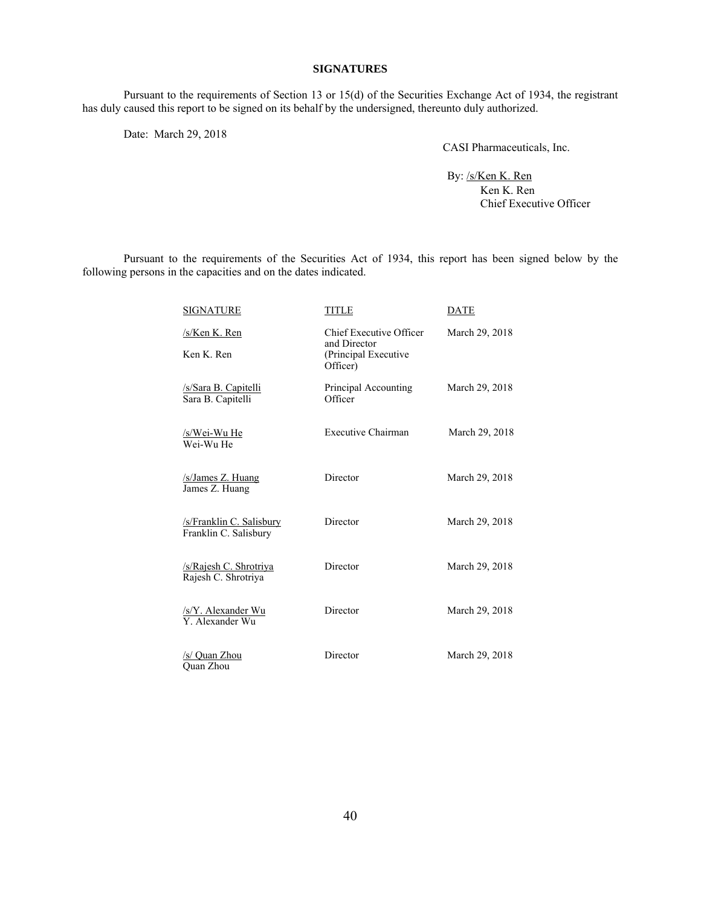### **SIGNATURES**

Pursuant to the requirements of Section 13 or 15(d) of the Securities Exchange Act of 1934, the registrant has duly caused this report to be signed on its behalf by the undersigned, thereunto duly authorized.

Date: March 29, 2018

CASI Pharmaceuticals, Inc.

By: /s/Ken K. Ren Ken K. Ren Chief Executive Officer

Pursuant to the requirements of the Securities Act of 1934, this report has been signed below by the following persons in the capacities and on the dates indicated.

| <b>SIGNATURE</b>                                             | <b>TITLE</b>                                                                | <b>DATE</b>    |
|--------------------------------------------------------------|-----------------------------------------------------------------------------|----------------|
| /s/Ken K. Ren<br>Ken K. Ren                                  | Chief Executive Officer<br>and Director<br>(Principal Executive<br>Officer) | March 29, 2018 |
| /s/Sara B. Capitelli<br>Sara B. Capitelli                    | Principal Accounting<br>Officer                                             | March 29, 2018 |
| /s/Wei-Wu He<br>Wei-Wu He                                    | Executive Chairman                                                          | March 29, 2018 |
| /s/James Z. Huang<br>James Z. Huang                          | Director                                                                    | March 29, 2018 |
| /s/Franklin C. Salisbury<br>Franklin C. Salisbury            | Director                                                                    | March 29, 2018 |
| /s/Rajesh C. Shrotriya<br>Rajesh C. Shrotriya                | Director                                                                    | March 29, 2018 |
| $\frac{\text{S/Y}}{\text{Y}}$ . Alexander Wu Y. Alexander Wu | Director                                                                    | March 29, 2018 |
| <u>/s/ Quan Zhou</u><br><b>Ouan Zhou</b>                     | Director                                                                    | March 29, 2018 |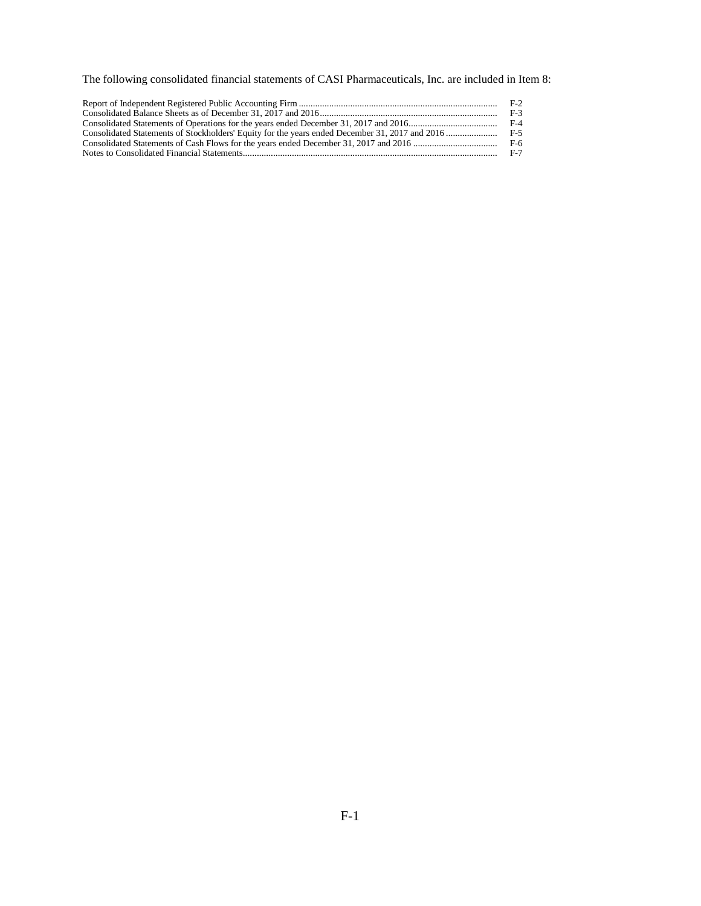The following consolidated financial statements of CASI Pharmaceuticals, Inc. are included in Item 8:

| $F-3$ |
|-------|
|       |
|       |
| F-6   |
| $F-7$ |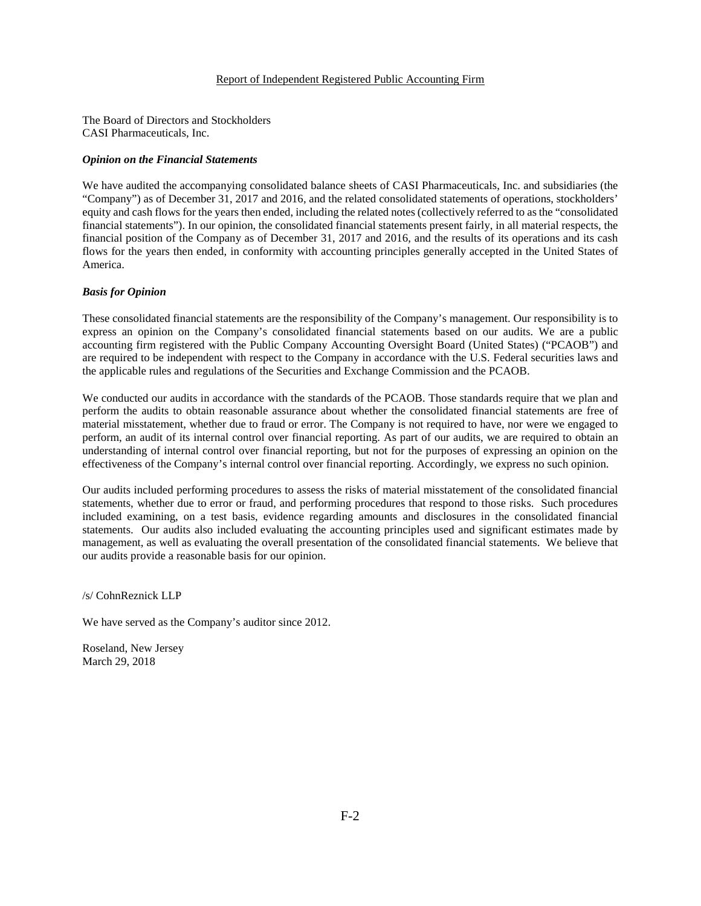#### Report of Independent Registered Public Accounting Firm

The Board of Directors and Stockholders CASI Pharmaceuticals, Inc.

#### *Opinion on the Financial Statements*

We have audited the accompanying consolidated balance sheets of CASI Pharmaceuticals, Inc. and subsidiaries (the "Company") as of December 31, 2017 and 2016, and the related consolidated statements of operations, stockholders' equity and cash flows for the years then ended, including the related notes (collectively referred to as the "consolidated financial statements"). In our opinion, the consolidated financial statements present fairly, in all material respects, the financial position of the Company as of December 31, 2017 and 2016, and the results of its operations and its cash flows for the years then ended, in conformity with accounting principles generally accepted in the United States of America.

#### *Basis for Opinion*

These consolidated financial statements are the responsibility of the Company's management. Our responsibility is to express an opinion on the Company's consolidated financial statements based on our audits. We are a public accounting firm registered with the Public Company Accounting Oversight Board (United States) ("PCAOB") and are required to be independent with respect to the Company in accordance with the U.S. Federal securities laws and the applicable rules and regulations of the Securities and Exchange Commission and the PCAOB.

We conducted our audits in accordance with the standards of the PCAOB. Those standards require that we plan and perform the audits to obtain reasonable assurance about whether the consolidated financial statements are free of material misstatement, whether due to fraud or error. The Company is not required to have, nor were we engaged to perform, an audit of its internal control over financial reporting. As part of our audits, we are required to obtain an understanding of internal control over financial reporting, but not for the purposes of expressing an opinion on the effectiveness of the Company's internal control over financial reporting. Accordingly, we express no such opinion.

Our audits included performing procedures to assess the risks of material misstatement of the consolidated financial statements, whether due to error or fraud, and performing procedures that respond to those risks. Such procedures included examining, on a test basis, evidence regarding amounts and disclosures in the consolidated financial statements. Our audits also included evaluating the accounting principles used and significant estimates made by management, as well as evaluating the overall presentation of the consolidated financial statements. We believe that our audits provide a reasonable basis for our opinion.

/s/ CohnReznick LLP

We have served as the Company's auditor since 2012.

Roseland, New Jersey March 29, 2018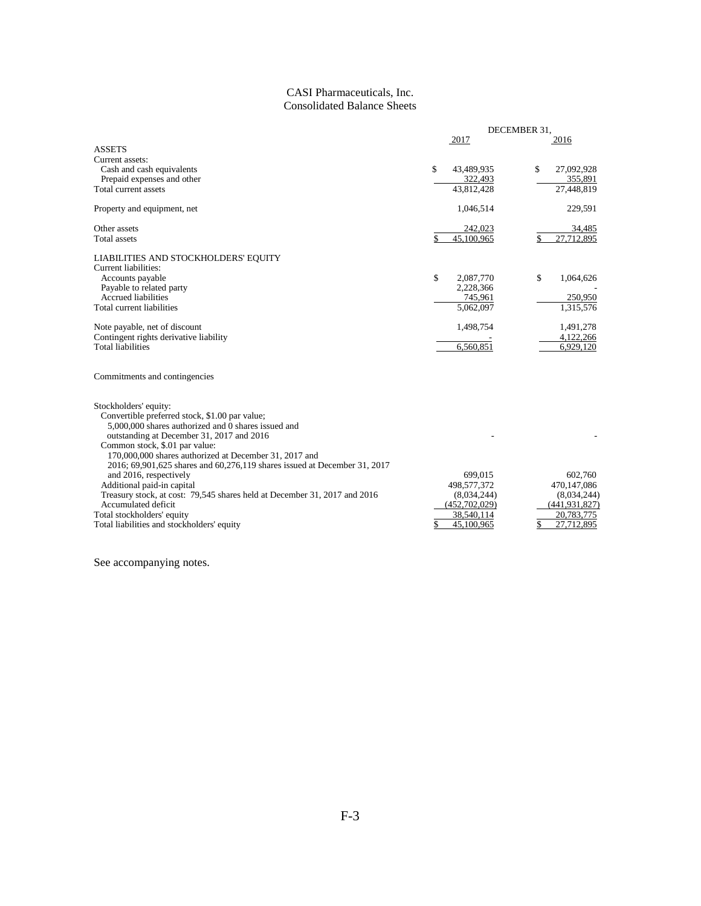# CASI Pharmaceuticals, Inc. Consolidated Balance Sheets

|                                                                                                  |                  | DECEMBER 31,     |
|--------------------------------------------------------------------------------------------------|------------------|------------------|
|                                                                                                  | 2017             | 2016             |
| <b>ASSETS</b>                                                                                    |                  |                  |
| Current assets:                                                                                  |                  |                  |
| Cash and cash equivalents                                                                        | \$<br>43,489,935 | \$<br>27,092,928 |
| Prepaid expenses and other                                                                       | 322,493          | 355,891          |
| Total current assets                                                                             | 43,812,428       | 27,448,819       |
| Property and equipment, net                                                                      | 1,046,514        | 229,591          |
| Other assets                                                                                     | 242,023          | 34,485           |
| <b>Total</b> assets                                                                              | \$<br>45.100.965 | 27.712.895<br>\$ |
| LIABILITIES AND STOCKHOLDERS' EQUITY                                                             |                  |                  |
| Current liabilities:                                                                             |                  |                  |
| Accounts payable                                                                                 | \$<br>2,087,770  | \$<br>1,064,626  |
| Payable to related party                                                                         | 2,228,366        |                  |
| <b>Accrued liabilities</b>                                                                       | 745,961          | 250,950          |
| Total current liabilities                                                                        | 5,062,097        | 1,315,576        |
| Note payable, net of discount                                                                    | 1,498,754        | 1,491,278        |
| Contingent rights derivative liability                                                           |                  | 4,122,266        |
| <b>Total liabilities</b>                                                                         | 6.560.851        | 6.929.120        |
| Commitments and contingencies                                                                    |                  |                  |
| Stockholders' equity:                                                                            |                  |                  |
| Convertible preferred stock, \$1.00 par value;                                                   |                  |                  |
| 5,000,000 shares authorized and 0 shares issued and<br>outstanding at December 31, 2017 and 2016 |                  |                  |
| Common stock, \$.01 par value:                                                                   |                  |                  |
| 170,000,000 shares authorized at December 31, 2017 and                                           |                  |                  |
| 2016; 69,901,625 shares and 60,276,119 shares issued at December 31, 2017                        |                  |                  |
| and 2016, respectively                                                                           | 699,015          | 602,760          |
| Additional paid-in capital                                                                       | 498,577,372      | 470,147,086      |
| Treasury stock, at cost: 79,545 shares held at December 31, 2017 and 2016                        | (8,034,244)      | (8,034,244)      |
| Accumulated deficit                                                                              | (452,702,029)    | (441, 931, 827)  |
| Total stockholders' equity                                                                       | 38,540,114       | 20,783,775       |
| Total liabilities and stockholders' equity                                                       | \$<br>45,100,965 | 27.712.895       |
|                                                                                                  |                  |                  |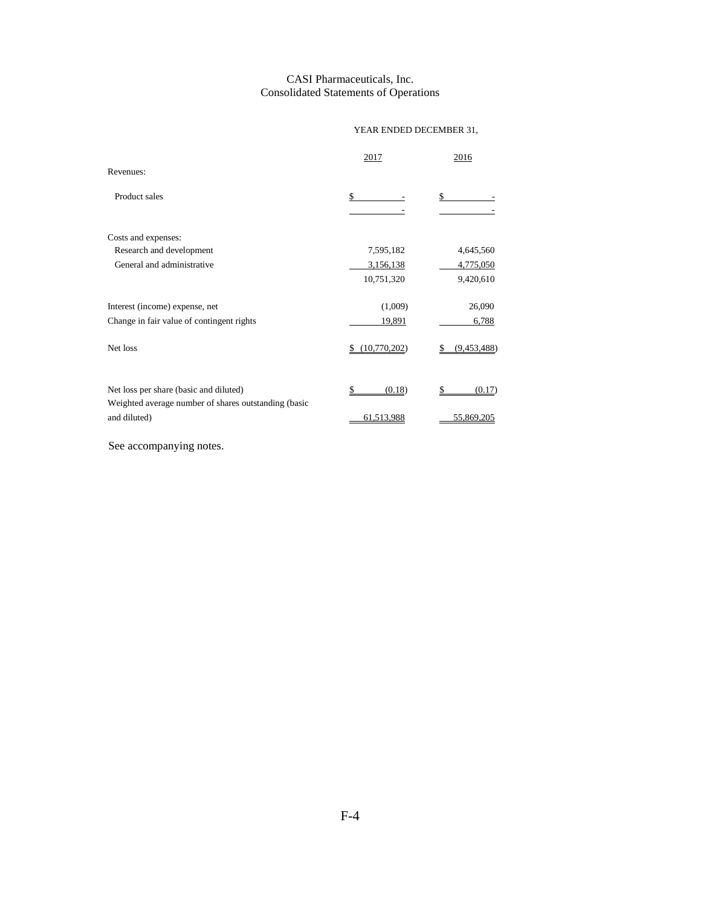# CASI Pharmaceuticals, Inc. Consolidated Statements of Operations

# YEAR ENDED DECEMBER 31,

|                                                                                                | 2017         | 2016         |
|------------------------------------------------------------------------------------------------|--------------|--------------|
| Revenues:                                                                                      |              |              |
| Product sales                                                                                  | \$           | \$           |
| Costs and expenses:                                                                            |              |              |
| Research and development                                                                       | 7,595,182    | 4,645,560    |
| General and administrative                                                                     | 3,156,138    | 4,775,050    |
|                                                                                                | 10,751,320   | 9,420,610    |
| Interest (income) expense, net                                                                 | (1,009)      | 26,090       |
| Change in fair value of contingent rights                                                      | 19,891       | 6,788        |
| Net loss                                                                                       | (10,770,202) | (9,453,488)  |
| Net loss per share (basic and diluted)<br>Weighted average number of shares outstanding (basic | (0.18)       | \$<br>(0.17) |
| and diluted)                                                                                   | 61,513,988   | 55,869,205   |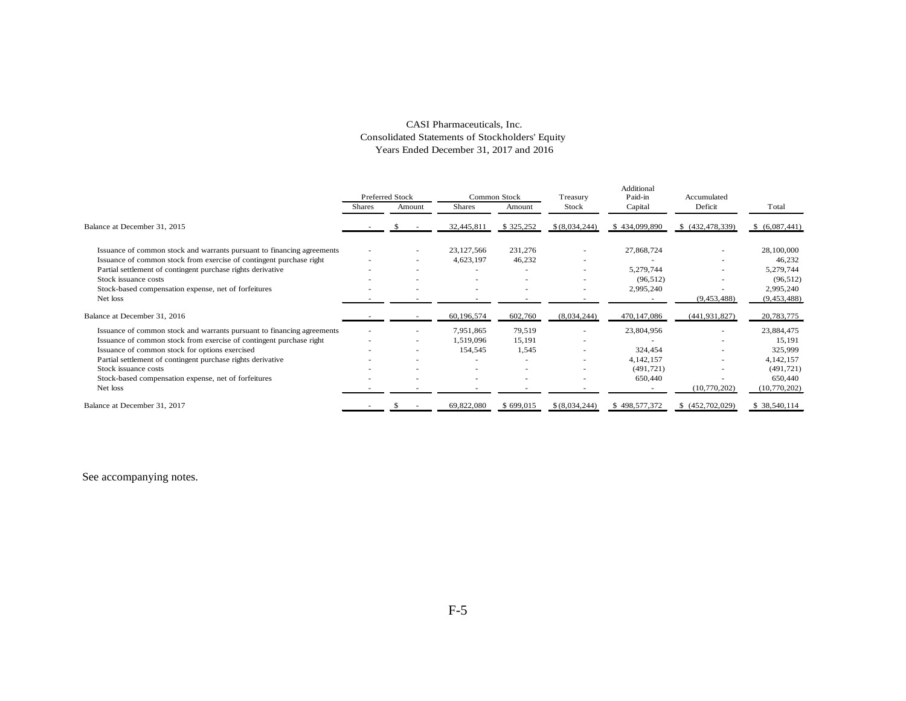## CASI Pharmaceuticals, Inc. Consolidated Statements of Stockholders' Equity Years Ended December 31, 2017 and 2016

|                                                                        |               | <b>Preferred Stock</b>   |                | Common Stock | Treasury       | Additional<br>Paid-in | Accumulated              |                |
|------------------------------------------------------------------------|---------------|--------------------------|----------------|--------------|----------------|-----------------------|--------------------------|----------------|
|                                                                        | <b>Shares</b> | Amount                   | <b>Shares</b>  | Amount       | Stock          | Capital               | Deficit                  | Total          |
| Balance at December 31, 2015                                           |               |                          | 32,445,811     | \$325,252    | \$(8,034,244)  | \$434,099,890         | \$ (432,478,339)         | \$ (6,087,441) |
| Issuance of common stock and warrants pursuant to financing agreements |               | $\overline{\phantom{a}}$ | 23,127,566     | 231,276      | ×.             | 27,868,724            |                          | 28,100,000     |
| Issuance of common stock from exercise of contingent purchase right    |               | $\overline{\phantom{a}}$ | 4,623,197      | 46,232       | ۰              | ۰                     |                          | 46,232         |
| Partial settlement of contingent purchase rights derivative            |               |                          |                |              |                | 5,279,744             |                          | 5,279,744      |
| Stock issuance costs                                                   |               |                          |                |              |                | (96, 512)             |                          | (96, 512)      |
| Stock-based compensation expense, net of forfeitures                   |               |                          |                |              | $\sim$         | 2,995,240             |                          | 2,995,240      |
| Net loss                                                               |               |                          |                |              |                |                       | (9,453,488)              | (9,453,488)    |
| Balance at December 31, 2016                                           |               |                          | 60,196,574     | 602,760      | (8,034,244)    | 470,147,086           | (441, 931, 827)          | 20,783,775     |
| Issuance of common stock and warrants pursuant to financing agreements |               |                          | 7,951,865      | 79,519       |                | 23,804,956            |                          | 23,884,475     |
| Issuance of common stock from exercise of contingent purchase right    |               | $\overline{\phantom{a}}$ | 1,519,096      | 15,191       |                |                       |                          | 15,191         |
| Issuance of common stock for options exercised                         |               | $\sim$                   | 154,545        | 1,545        |                | 324,454               |                          | 325,999        |
| Partial settlement of contingent purchase rights derivative            |               | $\sim$                   |                |              |                | 4, 142, 157           |                          | 4, 142, 157    |
| Stock issuance costs                                                   |               | $\sim$                   | ٠              |              | ٠              | (491, 721)            | $\overline{\phantom{a}}$ | (491, 721)     |
| Stock-based compensation expense, net of forfeitures                   |               | $\sim$                   | $\blacksquare$ |              |                | 650,440               |                          | 650,440        |
| Net loss                                                               |               |                          |                |              |                |                       | (10,770,202)             | (10,770,202)   |
| Balance at December 31, 2017                                           |               |                          | 69,822,080     | \$699,015    | \$ (8,034,244) | \$498,577,372         | \$(452,702,029)          | \$ 38,540,114  |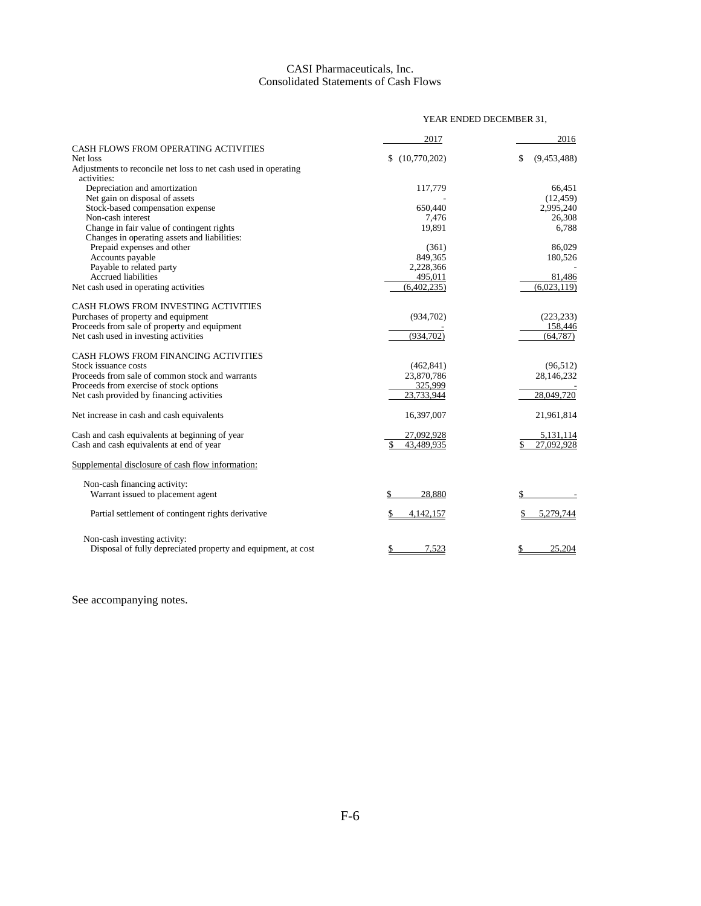# CASI Pharmaceuticals, Inc. Consolidated Statements of Cash Flows

|                                                                                | YEAR ENDED DECEMBER 31, |                   |  |
|--------------------------------------------------------------------------------|-------------------------|-------------------|--|
|                                                                                | 2017                    | 2016              |  |
| CASH FLOWS FROM OPERATING ACTIVITIES                                           |                         |                   |  |
| Net loss                                                                       | \$(10,770,202)          | (9,453,488)<br>\$ |  |
| Adjustments to reconcile net loss to net cash used in operating<br>activities: |                         |                   |  |
| Depreciation and amortization                                                  | 117,779                 | 66.451            |  |
| Net gain on disposal of assets                                                 |                         | (12, 459)         |  |
| Stock-based compensation expense                                               | 650,440                 | 2,995,240         |  |
| Non-cash interest                                                              | 7,476                   | 26,308            |  |
| Change in fair value of contingent rights                                      | 19,891                  | 6,788             |  |
| Changes in operating assets and liabilities:                                   |                         |                   |  |
| Prepaid expenses and other                                                     | (361)                   | 86.029            |  |
| Accounts payable                                                               | 849,365                 | 180,526           |  |
| Payable to related party                                                       | 2,228,366               |                   |  |
| <b>Accrued liabilities</b>                                                     | 495,011                 | 81,486            |  |
| Net cash used in operating activities                                          | (6,402,235)             | (6,023,119)       |  |
|                                                                                |                         |                   |  |
| CASH FLOWS FROM INVESTING ACTIVITIES                                           |                         |                   |  |
| Purchases of property and equipment                                            | (934,702)               | (223, 233)        |  |
| Proceeds from sale of property and equipment                                   |                         | 158,446           |  |
| Net cash used in investing activities                                          | (934, 702)              | (64, 787)         |  |
| CASH FLOWS FROM FINANCING ACTIVITIES                                           |                         |                   |  |
| Stock issuance costs                                                           | (462, 841)              | (96, 512)         |  |
| Proceeds from sale of common stock and warrants                                | 23,870,786              | 28,146,232        |  |
| Proceeds from exercise of stock options                                        | 325,999                 |                   |  |
| Net cash provided by financing activities                                      | 23,733,944              | 28,049,720        |  |
| Net increase in cash and cash equivalents                                      | 16,397,007              | 21,961,814        |  |
| Cash and cash equivalents at beginning of year                                 | 27,092,928              | 5,131,114         |  |
| Cash and cash equivalents at end of year                                       | 43.489.935<br>\$        | 27.092.928<br>\$  |  |
| Supplemental disclosure of cash flow information:                              |                         |                   |  |
| Non-cash financing activity:                                                   |                         |                   |  |
| Warrant issued to placement agent                                              | 28.880                  | \$                |  |
| Partial settlement of contingent rights derivative                             | 4,142,157               | 5,279,744         |  |
| Non-cash investing activity:                                                   |                         |                   |  |
| Disposal of fully depreciated property and equipment, at cost                  | 7,523<br>\$             | 25,204<br>\$      |  |
|                                                                                |                         |                   |  |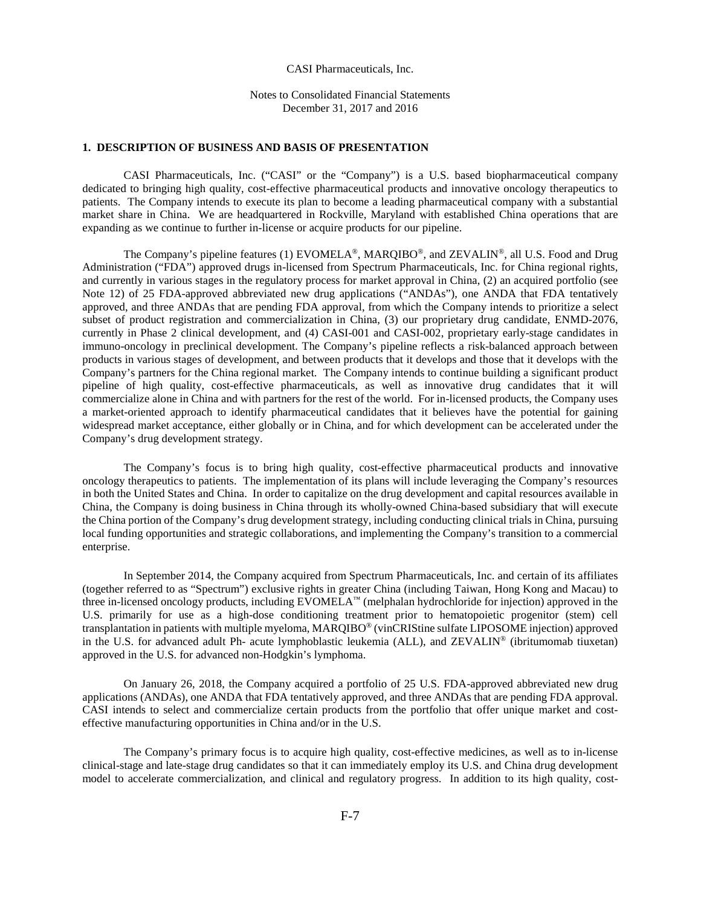#### CASI Pharmaceuticals, Inc.

Notes to Consolidated Financial Statements December 31, 2017 and 2016

### **1. DESCRIPTION OF BUSINESS AND BASIS OF PRESENTATION**

CASI Pharmaceuticals, Inc. ("CASI" or the "Company") is a U.S. based biopharmaceutical company dedicated to bringing high quality, cost-effective pharmaceutical products and innovative oncology therapeutics to patients. The Company intends to execute its plan to become a leading pharmaceutical company with a substantial market share in China. We are headquartered in Rockville, Maryland with established China operations that are expanding as we continue to further in-license or acquire products for our pipeline.

The Company's pipeline features (1) EVOMELA®, MARQIBO®, and ZEVALIN®, all U.S. Food and Drug Administration ("FDA") approved drugs in-licensed from Spectrum Pharmaceuticals, Inc. for China regional rights, and currently in various stages in the regulatory process for market approval in China, (2) an acquired portfolio (see Note 12) of 25 FDA-approved abbreviated new drug applications ("ANDAs"), one ANDA that FDA tentatively approved, and three ANDAs that are pending FDA approval, from which the Company intends to prioritize a select subset of product registration and commercialization in China, (3) our proprietary drug candidate, ENMD-2076, currently in Phase 2 clinical development, and (4) CASI-001 and CASI-002, proprietary early-stage candidates in immuno-oncology in preclinical development. The Company's pipeline reflects a risk-balanced approach between products in various stages of development, and between products that it develops and those that it develops with the Company's partners for the China regional market. The Company intends to continue building a significant product pipeline of high quality, cost-effective pharmaceuticals, as well as innovative drug candidates that it will commercialize alone in China and with partners for the rest of the world. For in-licensed products, the Company uses a market-oriented approach to identify pharmaceutical candidates that it believes have the potential for gaining widespread market acceptance, either globally or in China, and for which development can be accelerated under the Company's drug development strategy.

The Company's focus is to bring high quality, cost-effective pharmaceutical products and innovative oncology therapeutics to patients. The implementation of its plans will include leveraging the Company's resources in both the United States and China. In order to capitalize on the drug development and capital resources available in China, the Company is doing business in China through its wholly-owned China-based subsidiary that will execute the China portion of the Company's drug development strategy, including conducting clinical trials in China, pursuing local funding opportunities and strategic collaborations, and implementing the Company's transition to a commercial enterprise.

In September 2014, the Company acquired from Spectrum Pharmaceuticals, Inc. and certain of its affiliates (together referred to as "Spectrum") exclusive rights in greater China (including Taiwan, Hong Kong and Macau) to three in-licensed oncology products, including EVOMELA™ (melphalan hydrochloride for injection) approved in the U.S. primarily for use as a high-dose conditioning treatment prior to hematopoietic progenitor (stem) cell transplantation in patients with multiple myeloma, MARQIBO® (vinCRIStine sulfate LIPOSOME injection) approved in the U.S. for advanced adult Ph- acute lymphoblastic leukemia (ALL), and ZEVALIN® (ibritumomab tiuxetan) approved in the U.S. for advanced non-Hodgkin's lymphoma.

On January 26, 2018, the Company acquired a portfolio of 25 U.S. FDA-approved abbreviated new drug applications (ANDAs), one ANDA that FDA tentatively approved, and three ANDAs that are pending FDA approval. CASI intends to select and commercialize certain products from the portfolio that offer unique market and costeffective manufacturing opportunities in China and/or in the U.S.

The Company's primary focus is to acquire high quality, cost-effective medicines, as well as to in-license clinical-stage and late-stage drug candidates so that it can immediately employ its U.S. and China drug development model to accelerate commercialization, and clinical and regulatory progress. In addition to its high quality, cost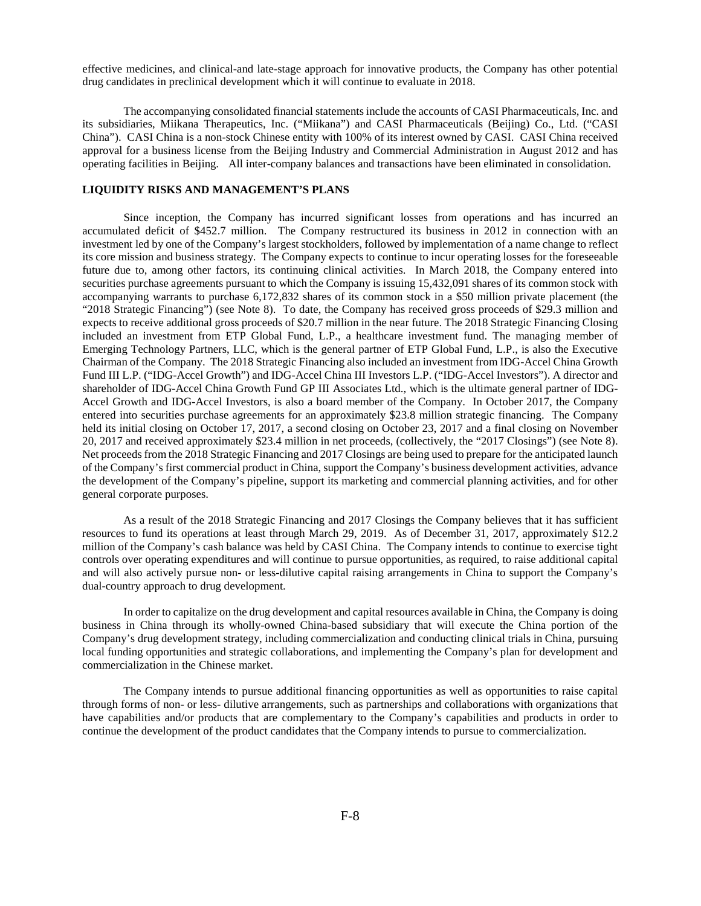effective medicines, and clinical-and late-stage approach for innovative products, the Company has other potential drug candidates in preclinical development which it will continue to evaluate in 2018.

The accompanying consolidated financial statements include the accounts of CASI Pharmaceuticals, Inc. and its subsidiaries, Miikana Therapeutics, Inc. ("Miikana") and CASI Pharmaceuticals (Beijing) Co., Ltd. ("CASI China"). CASI China is a non-stock Chinese entity with 100% of its interest owned by CASI. CASI China received approval for a business license from the Beijing Industry and Commercial Administration in August 2012 and has operating facilities in Beijing. All inter-company balances and transactions have been eliminated in consolidation.

# **LIQUIDITY RISKS AND MANAGEMENT'S PLANS**

Since inception, the Company has incurred significant losses from operations and has incurred an accumulated deficit of \$452.7 million. The Company restructured its business in 2012 in connection with an investment led by one of the Company's largest stockholders, followed by implementation of a name change to reflect its core mission and business strategy. The Company expects to continue to incur operating losses for the foreseeable future due to, among other factors, its continuing clinical activities. In March 2018, the Company entered into securities purchase agreements pursuant to which the Company is issuing 15,432,091 shares of its common stock with accompanying warrants to purchase 6,172,832 shares of its common stock in a \$50 million private placement (the "2018 Strategic Financing") (see Note 8). To date, the Company has received gross proceeds of \$29.3 million and expects to receive additional gross proceeds of \$20.7 million in the near future. The 2018 Strategic Financing Closing included an investment from ETP Global Fund, L.P., a healthcare investment fund. The managing member of Emerging Technology Partners, LLC, which is the general partner of ETP Global Fund, L.P., is also the Executive Chairman of the Company. The 2018 Strategic Financing also included an investment from IDG-Accel China Growth Fund III L.P. ("IDG-Accel Growth") and IDG-Accel China III Investors L.P. ("IDG-Accel Investors"). A director and shareholder of IDG-Accel China Growth Fund GP III Associates Ltd., which is the ultimate general partner of IDG-Accel Growth and IDG-Accel Investors, is also a board member of the Company. In October 2017, the Company entered into securities purchase agreements for an approximately \$23.8 million strategic financing. The Company held its initial closing on October 17, 2017, a second closing on October 23, 2017 and a final closing on November 20, 2017 and received approximately \$23.4 million in net proceeds, (collectively, the "2017 Closings") (see Note 8). Net proceeds from the 2018 Strategic Financing and 2017 Closings are being used to prepare for the anticipated launch of the Company's first commercial product in China, support the Company's business development activities, advance the development of the Company's pipeline, support its marketing and commercial planning activities, and for other general corporate purposes.

As a result of the 2018 Strategic Financing and 2017 Closings the Company believes that it has sufficient resources to fund its operations at least through March 29, 2019. As of December 31, 2017, approximately \$12.2 million of the Company's cash balance was held by CASI China. The Company intends to continue to exercise tight controls over operating expenditures and will continue to pursue opportunities, as required, to raise additional capital and will also actively pursue non- or less-dilutive capital raising arrangements in China to support the Company's dual-country approach to drug development.

In order to capitalize on the drug development and capital resources available in China, the Company is doing business in China through its wholly-owned China-based subsidiary that will execute the China portion of the Company's drug development strategy, including commercialization and conducting clinical trials in China, pursuing local funding opportunities and strategic collaborations, and implementing the Company's plan for development and commercialization in the Chinese market.

The Company intends to pursue additional financing opportunities as well as opportunities to raise capital through forms of non- or less- dilutive arrangements, such as partnerships and collaborations with organizations that have capabilities and/or products that are complementary to the Company's capabilities and products in order to continue the development of the product candidates that the Company intends to pursue to commercialization.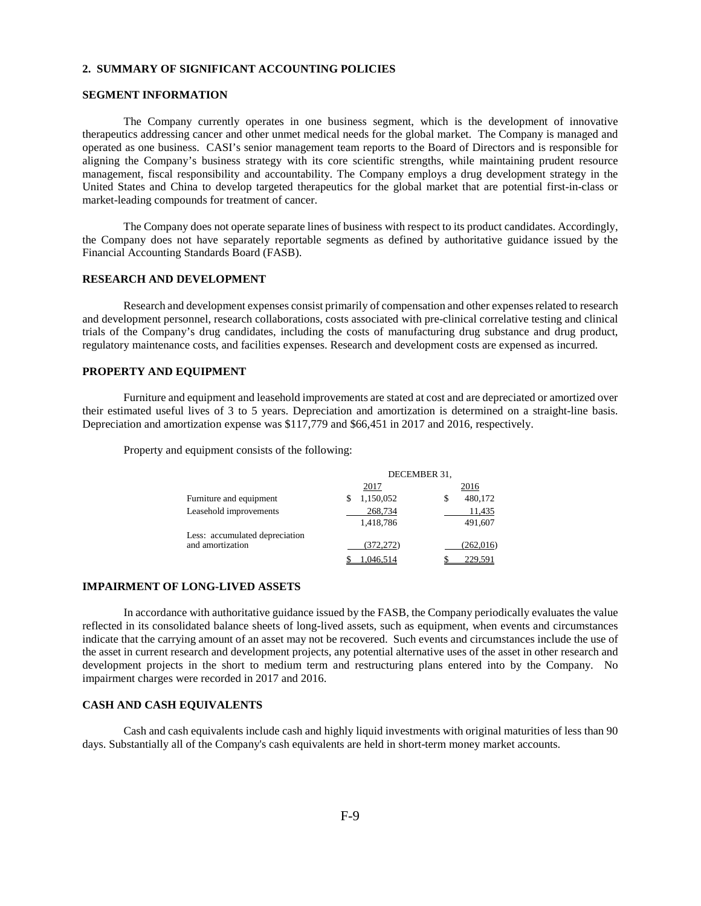#### **2. SUMMARY OF SIGNIFICANT ACCOUNTING POLICIES**

## **SEGMENT INFORMATION**

The Company currently operates in one business segment, which is the development of innovative therapeutics addressing cancer and other unmet medical needs for the global market. The Company is managed and operated as one business. CASI's senior management team reports to the Board of Directors and is responsible for aligning the Company's business strategy with its core scientific strengths, while maintaining prudent resource management, fiscal responsibility and accountability. The Company employs a drug development strategy in the United States and China to develop targeted therapeutics for the global market that are potential first-in-class or market-leading compounds for treatment of cancer.

The Company does not operate separate lines of business with respect to its product candidates. Accordingly, the Company does not have separately reportable segments as defined by authoritative guidance issued by the Financial Accounting Standards Board (FASB).

#### **RESEARCH AND DEVELOPMENT**

Research and development expenses consist primarily of compensation and other expenses related to research and development personnel, research collaborations, costs associated with pre-clinical correlative testing and clinical trials of the Company's drug candidates, including the costs of manufacturing drug substance and drug product, regulatory maintenance costs, and facilities expenses. Research and development costs are expensed as incurred.

## **PROPERTY AND EQUIPMENT**

Furniture and equipment and leasehold improvements are stated at cost and are depreciated or amortized over their estimated useful lives of 3 to 5 years. Depreciation and amortization is determined on a straight-line basis. Depreciation and amortization expense was \$117,779 and \$66,451 in 2017 and 2016, respectively.

Property and equipment consists of the following:

|                                | DECEMBER 31, |               |  |
|--------------------------------|--------------|---------------|--|
|                                | 2017         | 2016          |  |
| Furniture and equipment        | 1,150,052    | 480,172<br>\$ |  |
| Leasehold improvements         | 268,734      | 11,435        |  |
|                                | 1,418,786    | 491,607       |  |
| Less: accumulated depreciation |              |               |  |
| and amortization               | (372, 272)   | (262, 016)    |  |
|                                | 1.046.514    | 229.591       |  |

#### **IMPAIRMENT OF LONG-LIVED ASSETS**

In accordance with authoritative guidance issued by the FASB, the Company periodically evaluates the value reflected in its consolidated balance sheets of long-lived assets, such as equipment, when events and circumstances indicate that the carrying amount of an asset may not be recovered. Such events and circumstances include the use of the asset in current research and development projects, any potential alternative uses of the asset in other research and development projects in the short to medium term and restructuring plans entered into by the Company. No impairment charges were recorded in 2017 and 2016.

### **CASH AND CASH EQUIVALENTS**

Cash and cash equivalents include cash and highly liquid investments with original maturities of less than 90 days. Substantially all of the Company's cash equivalents are held in short-term money market accounts.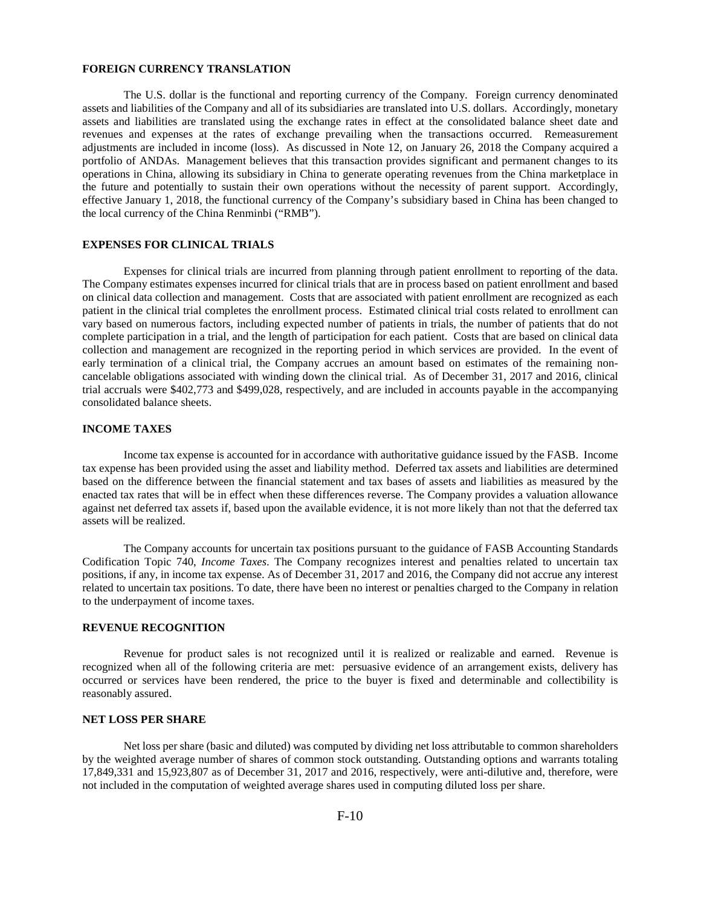#### **FOREIGN CURRENCY TRANSLATION**

The U.S. dollar is the functional and reporting currency of the Company. Foreign currency denominated assets and liabilities of the Company and all of its subsidiaries are translated into U.S. dollars. Accordingly, monetary assets and liabilities are translated using the exchange rates in effect at the consolidated balance sheet date and revenues and expenses at the rates of exchange prevailing when the transactions occurred. Remeasurement adjustments are included in income (loss). As discussed in Note 12, on January 26, 2018 the Company acquired a portfolio of ANDAs. Management believes that this transaction provides significant and permanent changes to its operations in China, allowing its subsidiary in China to generate operating revenues from the China marketplace in the future and potentially to sustain their own operations without the necessity of parent support. Accordingly, effective January 1, 2018, the functional currency of the Company's subsidiary based in China has been changed to the local currency of the China Renminbi ("RMB").

## **EXPENSES FOR CLINICAL TRIALS**

Expenses for clinical trials are incurred from planning through patient enrollment to reporting of the data. The Company estimates expenses incurred for clinical trials that are in process based on patient enrollment and based on clinical data collection and management. Costs that are associated with patient enrollment are recognized as each patient in the clinical trial completes the enrollment process. Estimated clinical trial costs related to enrollment can vary based on numerous factors, including expected number of patients in trials, the number of patients that do not complete participation in a trial, and the length of participation for each patient. Costs that are based on clinical data collection and management are recognized in the reporting period in which services are provided. In the event of early termination of a clinical trial, the Company accrues an amount based on estimates of the remaining noncancelable obligations associated with winding down the clinical trial. As of December 31, 2017 and 2016, clinical trial accruals were \$402,773 and \$499,028, respectively, and are included in accounts payable in the accompanying consolidated balance sheets.

# **INCOME TAXES**

Income tax expense is accounted for in accordance with authoritative guidance issued by the FASB. Income tax expense has been provided using the asset and liability method. Deferred tax assets and liabilities are determined based on the difference between the financial statement and tax bases of assets and liabilities as measured by the enacted tax rates that will be in effect when these differences reverse. The Company provides a valuation allowance against net deferred tax assets if, based upon the available evidence, it is not more likely than not that the deferred tax assets will be realized.

The Company accounts for uncertain tax positions pursuant to the guidance of FASB Accounting Standards Codification Topic 740, *Income Taxes*. The Company recognizes interest and penalties related to uncertain tax positions, if any, in income tax expense. As of December 31, 2017 and 2016, the Company did not accrue any interest related to uncertain tax positions. To date, there have been no interest or penalties charged to the Company in relation to the underpayment of income taxes.

#### **REVENUE RECOGNITION**

Revenue for product sales is not recognized until it is realized or realizable and earned. Revenue is recognized when all of the following criteria are met: persuasive evidence of an arrangement exists, delivery has occurred or services have been rendered, the price to the buyer is fixed and determinable and collectibility is reasonably assured.

#### **NET LOSS PER SHARE**

Net loss per share (basic and diluted) was computed by dividing net loss attributable to common shareholders by the weighted average number of shares of common stock outstanding. Outstanding options and warrants totaling 17,849,331 and 15,923,807 as of December 31, 2017 and 2016, respectively, were anti-dilutive and, therefore, were not included in the computation of weighted average shares used in computing diluted loss per share.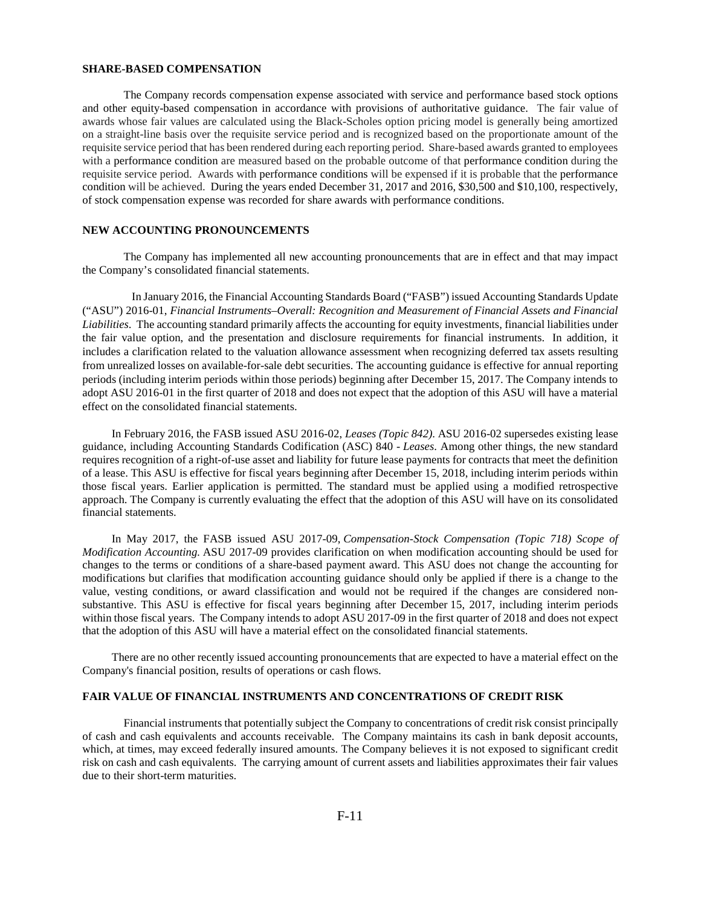#### **SHARE-BASED COMPENSATION**

The Company records compensation expense associated with service and performance based stock options and other equity-based compensation in accordance with provisions of authoritative guidance. The fair value of awards whose fair values are calculated using the Black-Scholes option pricing model is generally being amortized on a straight-line basis over the requisite service period and is recognized based on the proportionate amount of the requisite service period that has been rendered during each reporting period. Share-based awards granted to employees with a performance condition are measured based on the probable outcome of that performance condition during the requisite service period. Awards with performance conditions will be expensed if it is probable that the performance condition will be achieved. During the years ended December 31, 2017 and 2016, \$30,500 and \$10,100, respectively, of stock compensation expense was recorded for share awards with performance conditions.

## **NEW ACCOUNTING PRONOUNCEMENTS**

The Company has implemented all new accounting pronouncements that are in effect and that may impact the Company's consolidated financial statements.

 In January 2016, the Financial Accounting Standards Board ("FASB") issued Accounting Standards Update ("ASU") 2016-01, *Financial Instruments–Overall: Recognition and Measurement of Financial Assets and Financial Liabilities*. The accounting standard primarily affects the accounting for equity investments, financial liabilities under the fair value option, and the presentation and disclosure requirements for financial instruments. In addition, it includes a clarification related to the valuation allowance assessment when recognizing deferred tax assets resulting from unrealized losses on available-for-sale debt securities. The accounting guidance is effective for annual reporting periods (including interim periods within those periods) beginning after December 15, 2017. The Company intends to adopt ASU 2016-01 in the first quarter of 2018 and does not expect that the adoption of this ASU will have a material effect on the consolidated financial statements.

In February 2016, the FASB issued ASU 2016-02, *Leases (Topic 842)*. ASU 2016-02 supersedes existing lease guidance, including Accounting Standards Codification (ASC) 840 - *Leases*. Among other things, the new standard requires recognition of a right-of-use asset and liability for future lease payments for contracts that meet the definition of a lease. This ASU is effective for fiscal years beginning after December 15, 2018, including interim periods within those fiscal years. Earlier application is permitted. The standard must be applied using a modified retrospective approach. The Company is currently evaluating the effect that the adoption of this ASU will have on its consolidated financial statements.

In May 2017, the FASB issued ASU 2017-09, *Compensation-Stock Compensation (Topic 718) Scope of Modification Accounting.* ASU 2017-09 provides clarification on when modification accounting should be used for changes to the terms or conditions of a share-based payment award. This ASU does not change the accounting for modifications but clarifies that modification accounting guidance should only be applied if there is a change to the value, vesting conditions, or award classification and would not be required if the changes are considered nonsubstantive. This ASU is effective for fiscal years beginning after December 15, 2017, including interim periods within those fiscal years. The Company intends to adopt ASU 2017-09 in the first quarter of 2018 and does not expect that the adoption of this ASU will have a material effect on the consolidated financial statements.

There are no other recently issued accounting pronouncements that are expected to have a material effect on the Company's financial position, results of operations or cash flows.

#### **FAIR VALUE OF FINANCIAL INSTRUMENTS AND CONCENTRATIONS OF CREDIT RISK**

Financial instruments that potentially subject the Company to concentrations of credit risk consist principally of cash and cash equivalents and accounts receivable. The Company maintains its cash in bank deposit accounts, which, at times, may exceed federally insured amounts. The Company believes it is not exposed to significant credit risk on cash and cash equivalents. The carrying amount of current assets and liabilities approximates their fair values due to their short-term maturities.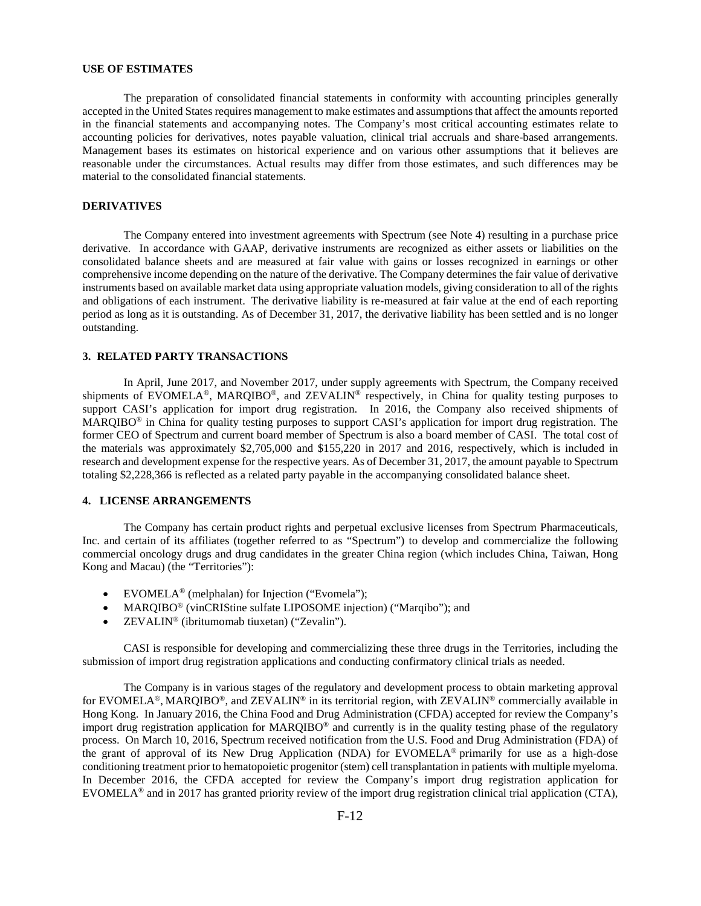#### **USE OF ESTIMATES**

The preparation of consolidated financial statements in conformity with accounting principles generally accepted in the United States requires management to make estimates and assumptions that affect the amounts reported in the financial statements and accompanying notes. The Company's most critical accounting estimates relate to accounting policies for derivatives, notes payable valuation, clinical trial accruals and share-based arrangements. Management bases its estimates on historical experience and on various other assumptions that it believes are reasonable under the circumstances. Actual results may differ from those estimates, and such differences may be material to the consolidated financial statements.

## **DERIVATIVES**

The Company entered into investment agreements with Spectrum (see Note 4) resulting in a purchase price derivative. In accordance with GAAP, derivative instruments are recognized as either assets or liabilities on the consolidated balance sheets and are measured at fair value with gains or losses recognized in earnings or other comprehensive income depending on the nature of the derivative. The Company determines the fair value of derivative instruments based on available market data using appropriate valuation models, giving consideration to all of the rights and obligations of each instrument. The derivative liability is re-measured at fair value at the end of each reporting period as long as it is outstanding. As of December 31, 2017, the derivative liability has been settled and is no longer outstanding.

#### **3. RELATED PARTY TRANSACTIONS**

In April, June 2017, and November 2017, under supply agreements with Spectrum, the Company received shipments of EVOMELA®, MARQIBO®, and ZEVALIN® respectively, in China for quality testing purposes to support CASI's application for import drug registration. In 2016, the Company also received shipments of MARQIBO® in China for quality testing purposes to support CASI's application for import drug registration. The former CEO of Spectrum and current board member of Spectrum is also a board member of CASI. The total cost of the materials was approximately \$2,705,000 and \$155,220 in 2017 and 2016, respectively, which is included in research and development expense for the respective years. As of December 31, 2017, the amount payable to Spectrum totaling \$2,228,366 is reflected as a related party payable in the accompanying consolidated balance sheet.

#### **4. LICENSE ARRANGEMENTS**

The Company has certain product rights and perpetual exclusive licenses from Spectrum Pharmaceuticals, Inc. and certain of its affiliates (together referred to as "Spectrum") to develop and commercialize the following commercial oncology drugs and drug candidates in the greater China region (which includes China, Taiwan, Hong Kong and Macau) (the "Territories"):

- EVOMELA<sup>®</sup> (melphalan) for Injection ("Evomela");
- MARQIBO® (vinCRIStine sulfate LIPOSOME injection) ("Marqibo"); and
- ZEVALIN® (ibritumomab tiuxetan) ("Zevalin").

CASI is responsible for developing and commercializing these three drugs in the Territories, including the submission of import drug registration applications and conducting confirmatory clinical trials as needed.

The Company is in various stages of the regulatory and development process to obtain marketing approval for EVOMELA<sup>®</sup>, MARQIBO<sup>®</sup>, and ZEVALIN<sup>®</sup> in its territorial region, with ZEVALIN<sup>®</sup> commercially available in Hong Kong. In January 2016, the China Food and Drug Administration (CFDA) accepted for review the Company's import drug registration application for MARQIBO® and currently is in the quality testing phase of the regulatory process. On March 10, 2016, Spectrum received notification from the U.S. Food and Drug Administration (FDA) of the grant of approval of its New Drug Application (NDA) for EVOMELA® primarily for use as a high-dose conditioning treatment prior to hematopoietic progenitor (stem) cell transplantation in patients with multiple myeloma. In December 2016, the CFDA accepted for review the Company's import drug registration application for EVOMELA® and in 2017 has granted priority review of the import drug registration clinical trial application (CTA),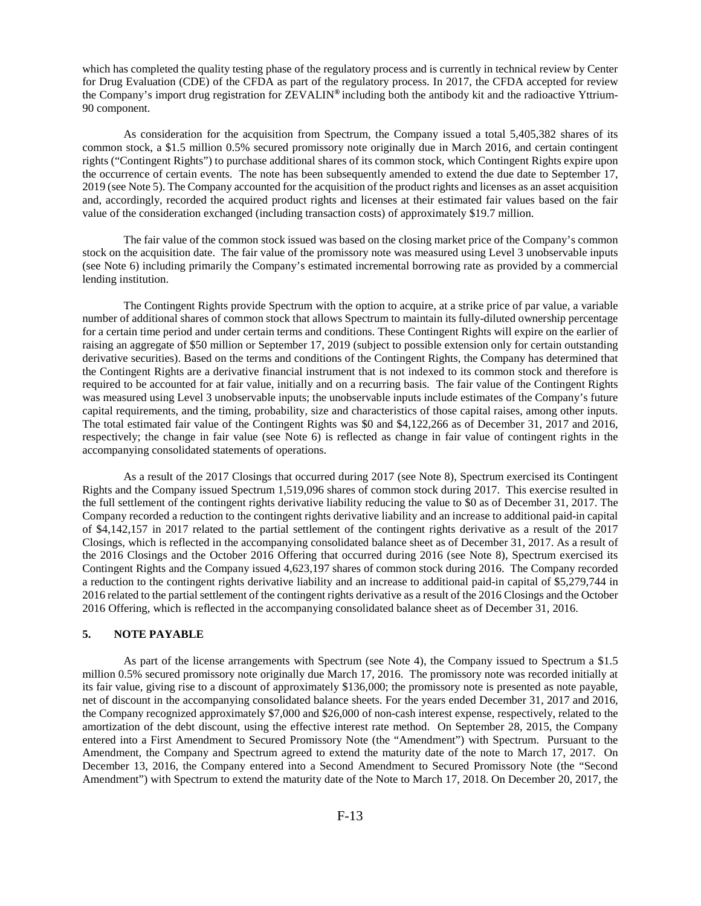which has completed the quality testing phase of the regulatory process and is currently in technical review by Center for Drug Evaluation (CDE) of the CFDA as part of the regulatory process. In 2017, the CFDA accepted for review the Company's import drug registration for ZEVALIN**®** including both the antibody kit and the radioactive Yttrium-90 component.

As consideration for the acquisition from Spectrum, the Company issued a total 5,405,382 shares of its common stock, a \$1.5 million 0.5% secured promissory note originally due in March 2016, and certain contingent rights ("Contingent Rights") to purchase additional shares of its common stock, which Contingent Rights expire upon the occurrence of certain events. The note has been subsequently amended to extend the due date to September 17, 2019 (see Note 5). The Company accounted for the acquisition of the product rights and licenses as an asset acquisition and, accordingly, recorded the acquired product rights and licenses at their estimated fair values based on the fair value of the consideration exchanged (including transaction costs) of approximately \$19.7 million.

The fair value of the common stock issued was based on the closing market price of the Company's common stock on the acquisition date. The fair value of the promissory note was measured using Level 3 unobservable inputs (see Note 6) including primarily the Company's estimated incremental borrowing rate as provided by a commercial lending institution.

The Contingent Rights provide Spectrum with the option to acquire, at a strike price of par value, a variable number of additional shares of common stock that allows Spectrum to maintain its fully-diluted ownership percentage for a certain time period and under certain terms and conditions. These Contingent Rights will expire on the earlier of raising an aggregate of \$50 million or September 17, 2019 (subject to possible extension only for certain outstanding derivative securities). Based on the terms and conditions of the Contingent Rights, the Company has determined that the Contingent Rights are a derivative financial instrument that is not indexed to its common stock and therefore is required to be accounted for at fair value, initially and on a recurring basis. The fair value of the Contingent Rights was measured using Level 3 unobservable inputs; the unobservable inputs include estimates of the Company's future capital requirements, and the timing, probability, size and characteristics of those capital raises, among other inputs. The total estimated fair value of the Contingent Rights was \$0 and \$4,122,266 as of December 31, 2017 and 2016, respectively; the change in fair value (see Note 6) is reflected as change in fair value of contingent rights in the accompanying consolidated statements of operations.

As a result of the 2017 Closings that occurred during 2017 (see Note 8), Spectrum exercised its Contingent Rights and the Company issued Spectrum 1,519,096 shares of common stock during 2017. This exercise resulted in the full settlement of the contingent rights derivative liability reducing the value to \$0 as of December 31, 2017. The Company recorded a reduction to the contingent rights derivative liability and an increase to additional paid-in capital of \$4,142,157 in 2017 related to the partial settlement of the contingent rights derivative as a result of the 2017 Closings, which is reflected in the accompanying consolidated balance sheet as of December 31, 2017. As a result of the 2016 Closings and the October 2016 Offering that occurred during 2016 (see Note 8), Spectrum exercised its Contingent Rights and the Company issued 4,623,197 shares of common stock during 2016. The Company recorded a reduction to the contingent rights derivative liability and an increase to additional paid-in capital of \$5,279,744 in 2016 related to the partial settlement of the contingent rights derivative as a result of the 2016 Closings and the October 2016 Offering, which is reflected in the accompanying consolidated balance sheet as of December 31, 2016.

# **5. NOTE PAYABLE**

As part of the license arrangements with Spectrum (see Note 4), the Company issued to Spectrum a \$1.5 million 0.5% secured promissory note originally due March 17, 2016. The promissory note was recorded initially at its fair value, giving rise to a discount of approximately \$136,000; the promissory note is presented as note payable, net of discount in the accompanying consolidated balance sheets. For the years ended December 31, 2017 and 2016, the Company recognized approximately \$7,000 and \$26,000 of non-cash interest expense, respectively, related to the amortization of the debt discount, using the effective interest rate method. On September 28, 2015, the Company entered into a First Amendment to Secured Promissory Note (the "Amendment") with Spectrum. Pursuant to the Amendment, the Company and Spectrum agreed to extend the maturity date of the note to March 17, 2017. On December 13, 2016, the Company entered into a Second Amendment to Secured Promissory Note (the "Second Amendment") with Spectrum to extend the maturity date of the Note to March 17, 2018. On December 20, 2017, the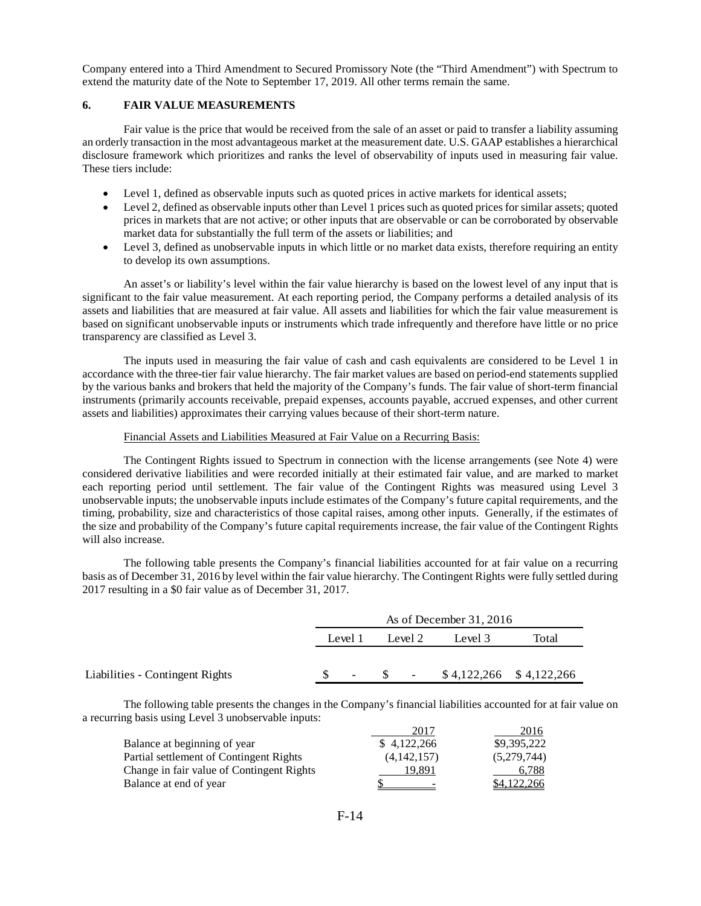Company entered into a Third Amendment to Secured Promissory Note (the "Third Amendment") with Spectrum to extend the maturity date of the Note to September 17, 2019. All other terms remain the same.

## **6. FAIR VALUE MEASUREMENTS**

Fair value is the price that would be received from the sale of an asset or paid to transfer a liability assuming an orderly transaction in the most advantageous market at the measurement date. U.S. GAAP establishes a hierarchical disclosure framework which prioritizes and ranks the level of observability of inputs used in measuring fair value. These tiers include:

- Level 1, defined as observable inputs such as quoted prices in active markets for identical assets;
- Level 2, defined as observable inputs other than Level 1 prices such as quoted prices for similar assets; quoted prices in markets that are not active; or other inputs that are observable or can be corroborated by observable market data for substantially the full term of the assets or liabilities; and
- Level 3, defined as unobservable inputs in which little or no market data exists, therefore requiring an entity to develop its own assumptions.

An asset's or liability's level within the fair value hierarchy is based on the lowest level of any input that is significant to the fair value measurement. At each reporting period, the Company performs a detailed analysis of its assets and liabilities that are measured at fair value. All assets and liabilities for which the fair value measurement is based on significant unobservable inputs or instruments which trade infrequently and therefore have little or no price transparency are classified as Level 3.

The inputs used in measuring the fair value of cash and cash equivalents are considered to be Level 1 in accordance with the three-tier fair value hierarchy. The fair market values are based on period-end statements supplied by the various banks and brokers that held the majority of the Company's funds. The fair value of short-term financial instruments (primarily accounts receivable, prepaid expenses, accounts payable, accrued expenses, and other current assets and liabilities) approximates their carrying values because of their short-term nature.

### Financial Assets and Liabilities Measured at Fair Value on a Recurring Basis:

The Contingent Rights issued to Spectrum in connection with the license arrangements (see Note 4) were considered derivative liabilities and were recorded initially at their estimated fair value, and are marked to market each reporting period until settlement. The fair value of the Contingent Rights was measured using Level 3 unobservable inputs; the unobservable inputs include estimates of the Company's future capital requirements, and the timing, probability, size and characteristics of those capital raises, among other inputs. Generally, if the estimates of the size and probability of the Company's future capital requirements increase, the fair value of the Contingent Rights will also increase.

The following table presents the Company's financial liabilities accounted for at fair value on a recurring basis as of December 31, 2016 by level within the fair value hierarchy. The Contingent Rights were fully settled during 2017 resulting in a \$0 fair value as of December 31, 2017.

|                                 | As of December $31,2016$ |                          |  |         |                             |       |
|---------------------------------|--------------------------|--------------------------|--|---------|-----------------------------|-------|
|                                 |                          | Level 1                  |  | Level 2 | Level 3                     | Total |
|                                 |                          |                          |  |         |                             |       |
| Liabilities - Contingent Rights |                          | $\overline{\phantom{a}}$ |  |         | $-$ \$4,122,266 \$4,122,266 |       |

The following table presents the changes in the Company's financial liabilities accounted for at fair value on a recurring basis using Level 3 unobservable inputs:

|                                           | 2017                     | 2016        |
|-------------------------------------------|--------------------------|-------------|
| Balance at beginning of year              | \$4.122,266              | \$9,395,222 |
| Partial settlement of Contingent Rights   | (4,142,157)              | (5,279,744) |
| Change in fair value of Contingent Rights | 19.891                   | 6.788       |
| Balance at end of year                    | $\overline{\phantom{a}}$ | \$4,122,266 |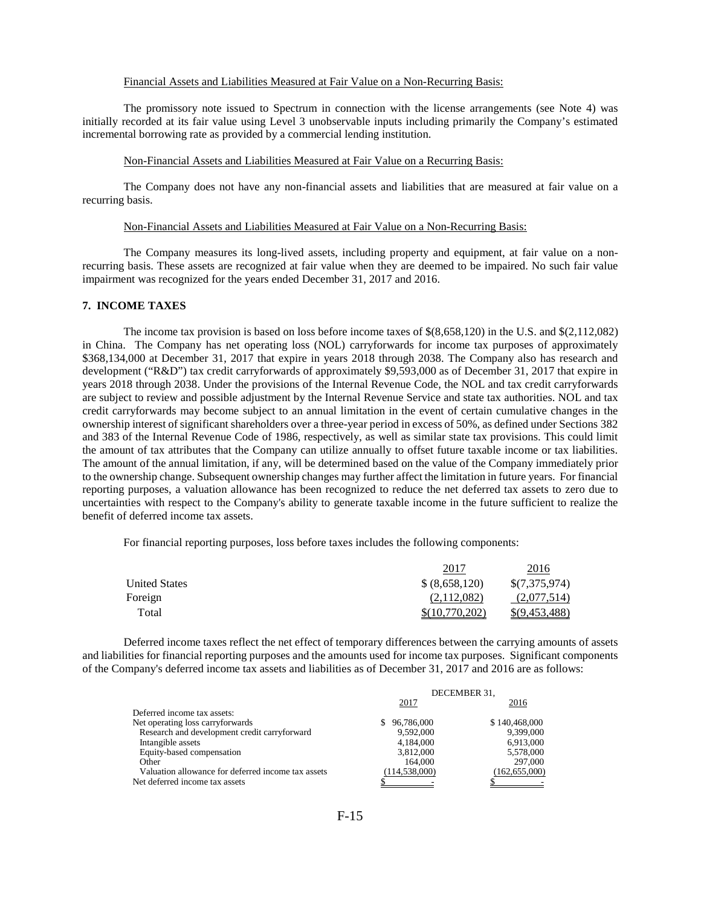### Financial Assets and Liabilities Measured at Fair Value on a Non-Recurring Basis:

The promissory note issued to Spectrum in connection with the license arrangements (see Note 4) was initially recorded at its fair value using Level 3 unobservable inputs including primarily the Company's estimated incremental borrowing rate as provided by a commercial lending institution.

#### Non-Financial Assets and Liabilities Measured at Fair Value on a Recurring Basis:

The Company does not have any non-financial assets and liabilities that are measured at fair value on a recurring basis.

### Non-Financial Assets and Liabilities Measured at Fair Value on a Non-Recurring Basis:

The Company measures its long-lived assets, including property and equipment, at fair value on a nonrecurring basis. These assets are recognized at fair value when they are deemed to be impaired. No such fair value impairment was recognized for the years ended December 31, 2017 and 2016.

# **7. INCOME TAXES**

The income tax provision is based on loss before income taxes of \$(8,658,120) in the U.S. and \$(2,112,082) in China. The Company has net operating loss (NOL) carryforwards for income tax purposes of approximately \$368,134,000 at December 31, 2017 that expire in years 2018 through 2038. The Company also has research and development ("R&D") tax credit carryforwards of approximately \$9,593,000 as of December 31, 2017 that expire in years 2018 through 2038. Under the provisions of the Internal Revenue Code, the NOL and tax credit carryforwards are subject to review and possible adjustment by the Internal Revenue Service and state tax authorities. NOL and tax credit carryforwards may become subject to an annual limitation in the event of certain cumulative changes in the ownership interest of significant shareholders over a three-year period in excess of 50%, as defined under Sections 382 and 383 of the Internal Revenue Code of 1986, respectively, as well as similar state tax provisions. This could limit the amount of tax attributes that the Company can utilize annually to offset future taxable income or tax liabilities. The amount of the annual limitation, if any, will be determined based on the value of the Company immediately prior to the ownership change. Subsequent ownership changes may further affect the limitation in future years. For financial reporting purposes, a valuation allowance has been recognized to reduce the net deferred tax assets to zero due to uncertainties with respect to the Company's ability to generate taxable income in the future sufficient to realize the benefit of deferred income tax assets.

For financial reporting purposes, loss before taxes includes the following components:

|                      | 2017           | 2016            |
|----------------------|----------------|-----------------|
| <b>United States</b> | \$ (8,658,120) | \$(7,375,974)   |
| Foreign              | (2.112.082)    | (2,077,514)     |
| Total                | \$(10,770,202) | $\$(9.453.488)$ |

Deferred income taxes reflect the net effect of temporary differences between the carrying amounts of assets and liabilities for financial reporting purposes and the amounts used for income tax purposes. Significant components of the Company's deferred income tax assets and liabilities as of December 31, 2017 and 2016 are as follows:

|                                                    | DECEMBER 31.     |                 |  |
|----------------------------------------------------|------------------|-----------------|--|
|                                                    | 2017             | 2016            |  |
| Deferred income tax assets:                        |                  |                 |  |
| Net operating loss carryforwards                   | 96.786.000<br>S. | \$140,468,000   |  |
| Research and development credit carryforward       | 9.592.000        | 9.399.000       |  |
| Intangible assets                                  | 4.184.000        | 6,913,000       |  |
| Equity-based compensation                          | 3,812,000        | 5,578,000       |  |
| Other                                              | 164,000          | 297,000         |  |
| Valuation allowance for deferred income tax assets | (114.538.000)    | (162, 655, 000) |  |
| Net deferred income tax assets                     |                  |                 |  |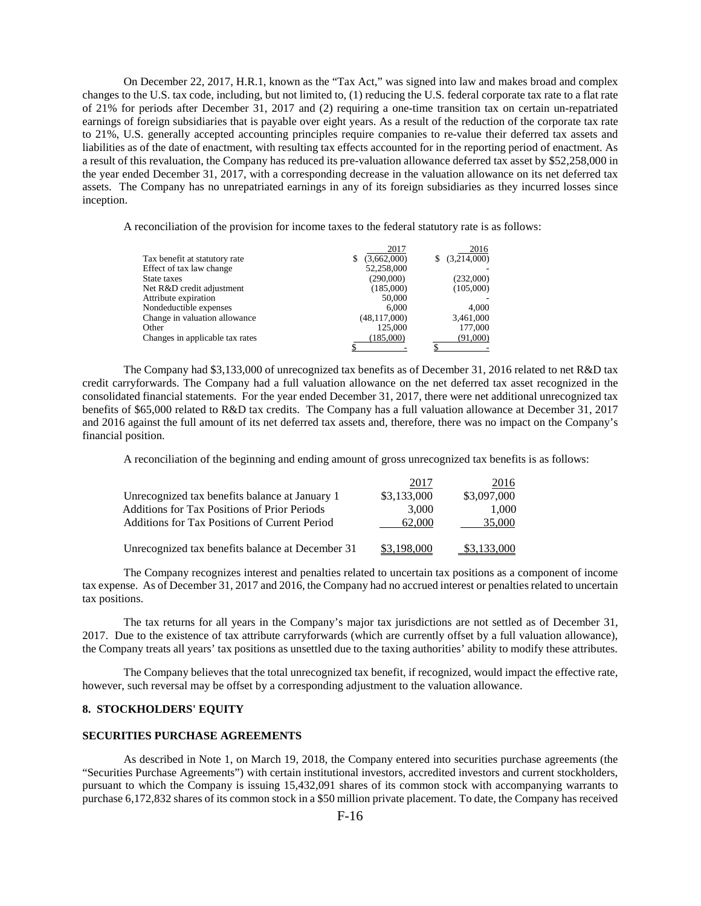On December 22, 2017, H.R.1, known as the "Tax Act," was signed into law and makes broad and complex changes to the U.S. tax code, including, but not limited to, (1) reducing the U.S. federal corporate tax rate to a flat rate of 21% for periods after December 31, 2017 and (2) requiring a one-time transition tax on certain un-repatriated earnings of foreign subsidiaries that is payable over eight years. As a result of the reduction of the corporate tax rate to 21%, U.S. generally accepted accounting principles require companies to re-value their deferred tax assets and liabilities as of the date of enactment, with resulting tax effects accounted for in the reporting period of enactment. As a result of this revaluation, the Company has reduced its pre-valuation allowance deferred tax asset by \$52,258,000 in the year ended December 31, 2017, with a corresponding decrease in the valuation allowance on its net deferred tax assets. The Company has no unrepatriated earnings in any of its foreign subsidiaries as they incurred losses since inception.

A reconciliation of the provision for income taxes to the federal statutory rate is as follows:

|                                 | 2017           | 2016             |
|---------------------------------|----------------|------------------|
| Tax benefit at statutory rate   | (3,662,000)    | (3,214,000)<br>S |
| Effect of tax law change        | 52,258,000     |                  |
| State taxes                     | (290,000)      | (232,000)        |
| Net R&D credit adjustment       | (185,000)      | (105,000)        |
| Attribute expiration            | 50,000         |                  |
| Nondeductible expenses          | 6.000          | 4.000            |
| Change in valuation allowance   | (48, 117, 000) | 3,461,000        |
| Other                           | 125,000        | 177,000          |
| Changes in applicable tax rates | (185,000)      | (91,000)         |
|                                 |                |                  |

The Company had \$3,133,000 of unrecognized tax benefits as of December 31, 2016 related to net R&D tax credit carryforwards. The Company had a full valuation allowance on the net deferred tax asset recognized in the consolidated financial statements. For the year ended December 31, 2017, there were net additional unrecognized tax benefits of \$65,000 related to R&D tax credits. The Company has a full valuation allowance at December 31, 2017 and 2016 against the full amount of its net deferred tax assets and, therefore, there was no impact on the Company's financial position.

A reconciliation of the beginning and ending amount of gross unrecognized tax benefits is as follows:

|                                                  | 2017        | 2016        |
|--------------------------------------------------|-------------|-------------|
| Unrecognized tax benefits balance at January 1   | \$3,133,000 | \$3,097,000 |
| Additions for Tax Positions of Prior Periods     | 3.000       | 1.000       |
| Additions for Tax Positions of Current Period    | 62,000      | 35,000      |
|                                                  |             |             |
| Unrecognized tax benefits balance at December 31 | \$3.198.000 |             |

The Company recognizes interest and penalties related to uncertain tax positions as a component of income tax expense. As of December 31, 2017 and 2016, the Company had no accrued interest or penaltiesrelated to uncertain tax positions.

The tax returns for all years in the Company's major tax jurisdictions are not settled as of December 31, 2017. Due to the existence of tax attribute carryforwards (which are currently offset by a full valuation allowance), the Company treats all years' tax positions as unsettled due to the taxing authorities' ability to modify these attributes.

The Company believes that the total unrecognized tax benefit, if recognized, would impact the effective rate, however, such reversal may be offset by a corresponding adjustment to the valuation allowance.

#### **8. STOCKHOLDERS' EQUITY**

## **SECURITIES PURCHASE AGREEMENTS**

As described in Note 1, on March 19, 2018, the Company entered into securities purchase agreements (the "Securities Purchase Agreements") with certain institutional investors, accredited investors and current stockholders, pursuant to which the Company is issuing 15,432,091 shares of its common stock with accompanying warrants to purchase 6,172,832 shares of its common stock in a \$50 million private placement. To date, the Company has received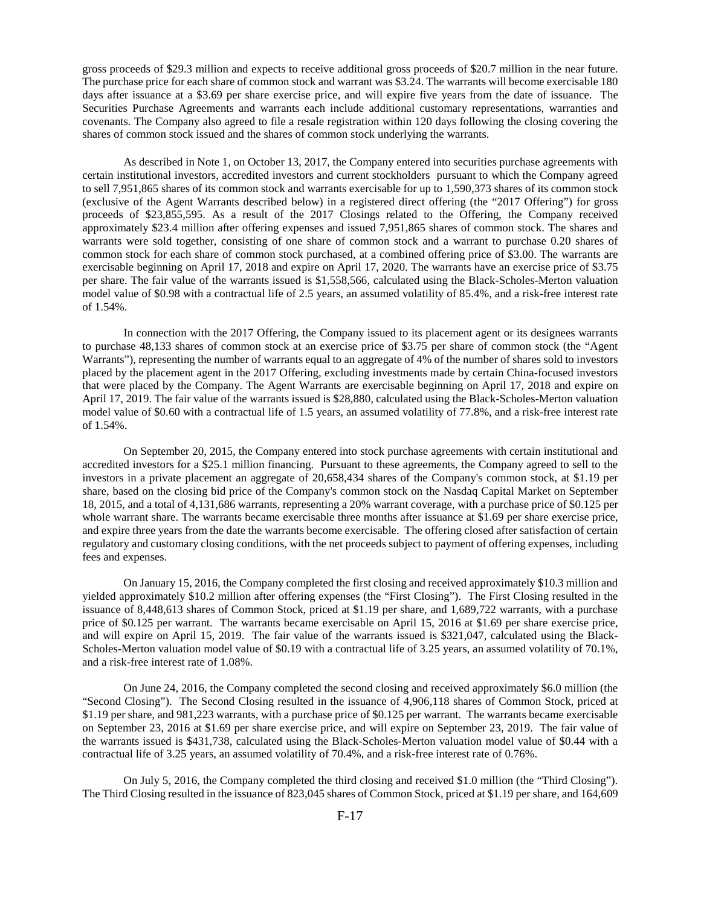gross proceeds of \$29.3 million and expects to receive additional gross proceeds of \$20.7 million in the near future. The purchase price for each share of common stock and warrant was \$3.24. The warrants will become exercisable 180 days after issuance at a \$3.69 per share exercise price, and will expire five years from the date of issuance. The Securities Purchase Agreements and warrants each include additional customary representations, warranties and covenants. The Company also agreed to file a resale registration within 120 days following the closing covering the shares of common stock issued and the shares of common stock underlying the warrants.

As described in Note 1, on October 13, 2017, the Company entered into securities purchase agreements with certain institutional investors, accredited investors and current stockholders pursuant to which the Company agreed to sell 7,951,865 shares of its common stock and warrants exercisable for up to 1,590,373 shares of its common stock (exclusive of the Agent Warrants described below) in a registered direct offering (the "2017 Offering") for gross proceeds of \$23,855,595. As a result of the 2017 Closings related to the Offering, the Company received approximately \$23.4 million after offering expenses and issued 7,951,865 shares of common stock. The shares and warrants were sold together, consisting of one share of common stock and a warrant to purchase 0.20 shares of common stock for each share of common stock purchased, at a combined offering price of \$3.00. The warrants are exercisable beginning on April 17, 2018 and expire on April 17, 2020. The warrants have an exercise price of \$3.75 per share. The fair value of the warrants issued is \$1,558,566, calculated using the Black-Scholes-Merton valuation model value of \$0.98 with a contractual life of 2.5 years, an assumed volatility of 85.4%, and a risk-free interest rate of 1.54%.

In connection with the 2017 Offering, the Company issued to its placement agent or its designees warrants to purchase 48,133 shares of common stock at an exercise price of \$3.75 per share of common stock (the "Agent Warrants"), representing the number of warrants equal to an aggregate of 4% of the number of shares sold to investors placed by the placement agent in the 2017 Offering, excluding investments made by certain China-focused investors that were placed by the Company. The Agent Warrants are exercisable beginning on April 17, 2018 and expire on April 17, 2019. The fair value of the warrants issued is \$28,880, calculated using the Black-Scholes-Merton valuation model value of \$0.60 with a contractual life of 1.5 years, an assumed volatility of 77.8%, and a risk-free interest rate of 1.54%.

On September 20, 2015, the Company entered into stock purchase agreements with certain institutional and accredited investors for a \$25.1 million financing. Pursuant to these agreements, the Company agreed to sell to the investors in a private placement an aggregate of 20,658,434 shares of the Company's common stock, at \$1.19 per share, based on the closing bid price of the Company's common stock on the Nasdaq Capital Market on September 18, 2015, and a total of 4,131,686 warrants, representing a 20% warrant coverage, with a purchase price of \$0.125 per whole warrant share. The warrants became exercisable three months after issuance at \$1.69 per share exercise price, and expire three years from the date the warrants become exercisable. The offering closed after satisfaction of certain regulatory and customary closing conditions, with the net proceeds subject to payment of offering expenses, including fees and expenses.

On January 15, 2016, the Company completed the first closing and received approximately \$10.3 million and yielded approximately \$10.2 million after offering expenses (the "First Closing"). The First Closing resulted in the issuance of 8,448,613 shares of Common Stock, priced at \$1.19 per share, and 1,689,722 warrants, with a purchase price of \$0.125 per warrant. The warrants became exercisable on April 15, 2016 at \$1.69 per share exercise price, and will expire on April 15, 2019. The fair value of the warrants issued is \$321,047, calculated using the Black-Scholes-Merton valuation model value of \$0.19 with a contractual life of 3.25 years, an assumed volatility of 70.1%, and a risk-free interest rate of 1.08%.

On June 24, 2016, the Company completed the second closing and received approximately \$6.0 million (the "Second Closing"). The Second Closing resulted in the issuance of 4,906,118 shares of Common Stock, priced at \$1.19 per share, and 981,223 warrants, with a purchase price of \$0.125 per warrant. The warrants became exercisable on September 23, 2016 at \$1.69 per share exercise price, and will expire on September 23, 2019. The fair value of the warrants issued is \$431,738, calculated using the Black-Scholes-Merton valuation model value of \$0.44 with a contractual life of 3.25 years, an assumed volatility of 70.4%, and a risk-free interest rate of 0.76%.

On July 5, 2016, the Company completed the third closing and received \$1.0 million (the "Third Closing"). The Third Closing resulted in the issuance of 823,045 shares of Common Stock, priced at \$1.19 per share, and 164,609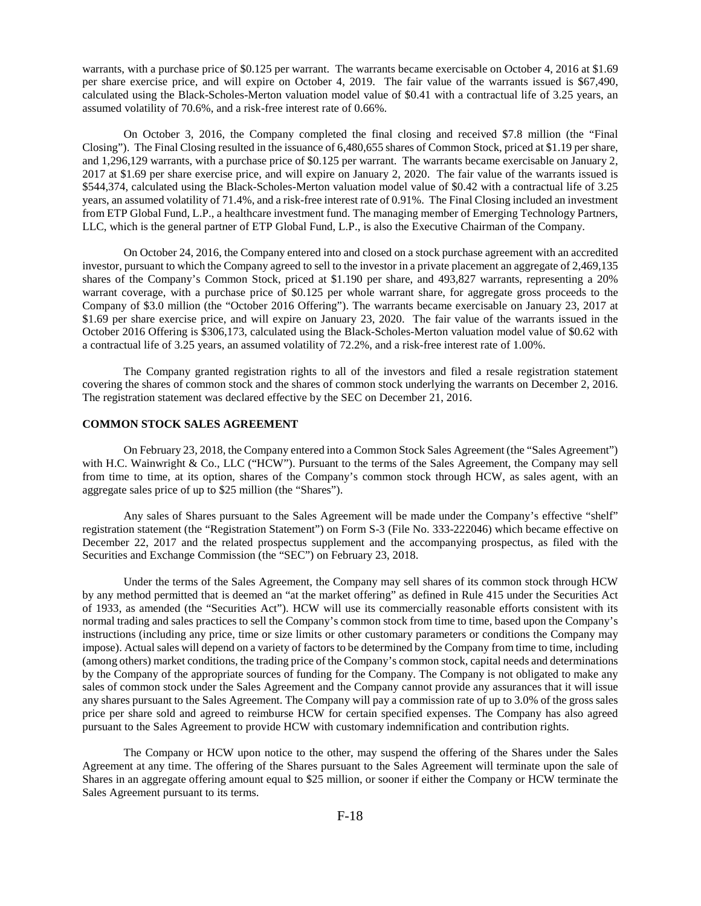warrants, with a purchase price of \$0.125 per warrant. The warrants became exercisable on October 4, 2016 at \$1.69 per share exercise price, and will expire on October 4, 2019. The fair value of the warrants issued is \$67,490, calculated using the Black-Scholes-Merton valuation model value of \$0.41 with a contractual life of 3.25 years, an assumed volatility of 70.6%, and a risk-free interest rate of 0.66%.

On October 3, 2016, the Company completed the final closing and received \$7.8 million (the "Final Closing"). The Final Closing resulted in the issuance of 6,480,655 shares of Common Stock, priced at \$1.19 per share, and 1,296,129 warrants, with a purchase price of \$0.125 per warrant. The warrants became exercisable on January 2, 2017 at \$1.69 per share exercise price, and will expire on January 2, 2020. The fair value of the warrants issued is \$544,374, calculated using the Black-Scholes-Merton valuation model value of \$0.42 with a contractual life of 3.25 years, an assumed volatility of 71.4%, and a risk-free interest rate of 0.91%. The Final Closing included an investment from ETP Global Fund, L.P., a healthcare investment fund. The managing member of Emerging Technology Partners, LLC, which is the general partner of ETP Global Fund, L.P., is also the Executive Chairman of the Company.

On October 24, 2016, the Company entered into and closed on a stock purchase agreement with an accredited investor, pursuant to which the Company agreed to sell to the investor in a private placement an aggregate of 2,469,135 shares of the Company's Common Stock, priced at \$1.190 per share, and 493,827 warrants, representing a 20% warrant coverage, with a purchase price of \$0.125 per whole warrant share, for aggregate gross proceeds to the Company of \$3.0 million (the "October 2016 Offering"). The warrants became exercisable on January 23, 2017 at \$1.69 per share exercise price, and will expire on January 23, 2020. The fair value of the warrants issued in the October 2016 Offering is \$306,173, calculated using the Black-Scholes-Merton valuation model value of \$0.62 with a contractual life of 3.25 years, an assumed volatility of 72.2%, and a risk-free interest rate of 1.00%.

The Company granted registration rights to all of the investors and filed a resale registration statement covering the shares of common stock and the shares of common stock underlying the warrants on December 2, 2016. The registration statement was declared effective by the SEC on December 21, 2016.

### **COMMON STOCK SALES AGREEMENT**

On February 23, 2018, the Company entered into a Common Stock Sales Agreement (the "Sales Agreement") with H.C. Wainwright & Co., LLC ("HCW"). Pursuant to the terms of the Sales Agreement, the Company may sell from time to time, at its option, shares of the Company's common stock through HCW, as sales agent, with an aggregate sales price of up to \$25 million (the "Shares").

Any sales of Shares pursuant to the Sales Agreement will be made under the Company's effective "shelf" registration statement (the "Registration Statement") on Form S-3 (File No. 333-222046) which became effective on December 22, 2017 and the related prospectus supplement and the accompanying prospectus, as filed with the Securities and Exchange Commission (the "SEC") on February 23, 2018.

Under the terms of the Sales Agreement, the Company may sell shares of its common stock through HCW by any method permitted that is deemed an "at the market offering" as defined in Rule 415 under the Securities Act of 1933, as amended (the "Securities Act"). HCW will use its commercially reasonable efforts consistent with its normal trading and sales practices to sell the Company's common stock from time to time, based upon the Company's instructions (including any price, time or size limits or other customary parameters or conditions the Company may impose). Actual sales will depend on a variety of factors to be determined by the Company from time to time, including (among others) market conditions, the trading price of the Company's common stock, capital needs and determinations by the Company of the appropriate sources of funding for the Company. The Company is not obligated to make any sales of common stock under the Sales Agreement and the Company cannot provide any assurances that it will issue any shares pursuant to the Sales Agreement. The Company will pay a commission rate of up to 3.0% of the gross sales price per share sold and agreed to reimburse HCW for certain specified expenses. The Company has also agreed pursuant to the Sales Agreement to provide HCW with customary indemnification and contribution rights.

The Company or HCW upon notice to the other, may suspend the offering of the Shares under the Sales Agreement at any time. The offering of the Shares pursuant to the Sales Agreement will terminate upon the sale of Shares in an aggregate offering amount equal to \$25 million, or sooner if either the Company or HCW terminate the Sales Agreement pursuant to its terms.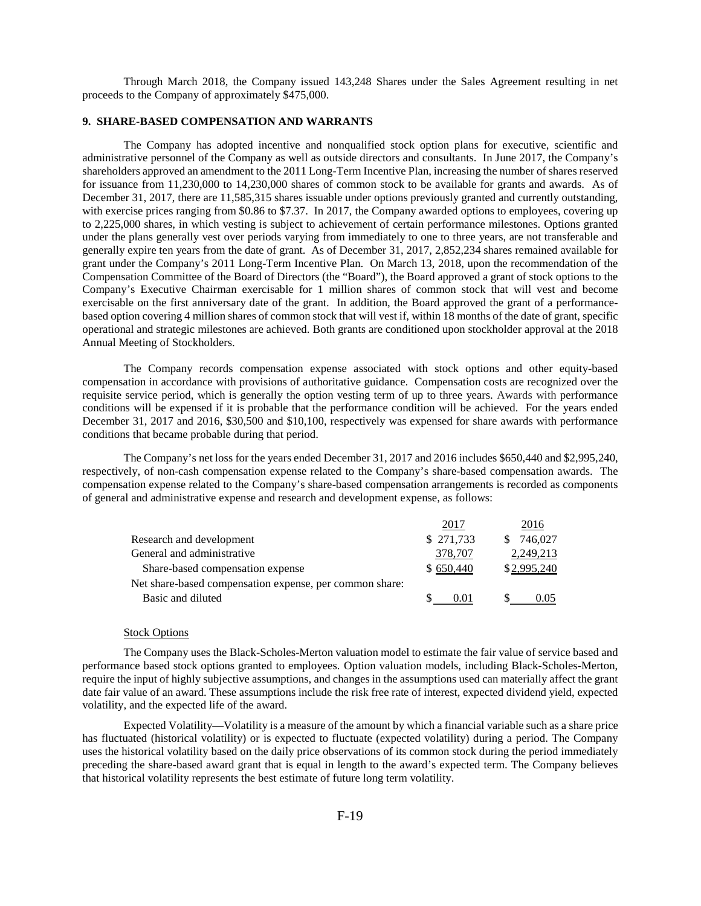Through March 2018, the Company issued 143,248 Shares under the Sales Agreement resulting in net proceeds to the Company of approximately \$475,000.

## **9. SHARE-BASED COMPENSATION AND WARRANTS**

The Company has adopted incentive and nonqualified stock option plans for executive, scientific and administrative personnel of the Company as well as outside directors and consultants. In June 2017, the Company's shareholders approved an amendment to the 2011 Long-Term Incentive Plan, increasing the number of shares reserved for issuance from 11,230,000 to 14,230,000 shares of common stock to be available for grants and awards. As of December 31, 2017, there are 11,585,315 shares issuable under options previously granted and currently outstanding, with exercise prices ranging from \$0.86 to \$7.37. In 2017, the Company awarded options to employees, covering up to 2,225,000 shares, in which vesting is subject to achievement of certain performance milestones. Options granted under the plans generally vest over periods varying from immediately to one to three years, are not transferable and generally expire ten years from the date of grant. As of December 31, 2017, 2,852,234 shares remained available for grant under the Company's 2011 Long-Term Incentive Plan. On March 13, 2018, upon the recommendation of the Compensation Committee of the Board of Directors (the "Board"), the Board approved a grant of stock options to the Company's Executive Chairman exercisable for 1 million shares of common stock that will vest and become exercisable on the first anniversary date of the grant. In addition, the Board approved the grant of a performancebased option covering 4 million shares of common stock that will vest if, within 18 months of the date of grant, specific operational and strategic milestones are achieved. Both grants are conditioned upon stockholder approval at the 2018 Annual Meeting of Stockholders.

The Company records compensation expense associated with stock options and other equity-based compensation in accordance with provisions of authoritative guidance. Compensation costs are recognized over the requisite service period, which is generally the option vesting term of up to three years. Awards with performance conditions will be expensed if it is probable that the performance condition will be achieved. For the years ended December 31, 2017 and 2016, \$30,500 and \$10,100, respectively was expensed for share awards with performance conditions that became probable during that period.

The Company's net loss for the years ended December 31, 2017 and 2016 includes \$650,440 and \$2,995,240, respectively, of non-cash compensation expense related to the Company's share-based compensation awards. The compensation expense related to the Company's share-based compensation arrangements is recorded as components of general and administrative expense and research and development expense, as follows:

|                                                         | 2017      | 2016           |
|---------------------------------------------------------|-----------|----------------|
| Research and development                                | \$271,733 | 746.027<br>SS. |
| General and administrative                              | 378,707   | 2,249,213      |
| Share-based compensation expense                        | \$650,440 | \$2,995,240    |
| Net share-based compensation expense, per common share: |           |                |
| Basic and diluted                                       | 001       | 005            |

#### Stock Options

The Company uses the Black-Scholes-Merton valuation model to estimate the fair value of service based and performance based stock options granted to employees. Option valuation models, including Black-Scholes-Merton, require the input of highly subjective assumptions, and changes in the assumptions used can materially affect the grant date fair value of an award. These assumptions include the risk free rate of interest, expected dividend yield, expected volatility, and the expected life of the award.

Expected Volatility—Volatility is a measure of the amount by which a financial variable such as a share price has fluctuated (historical volatility) or is expected to fluctuate (expected volatility) during a period. The Company uses the historical volatility based on the daily price observations of its common stock during the period immediately preceding the share-based award grant that is equal in length to the award's expected term. The Company believes that historical volatility represents the best estimate of future long term volatility.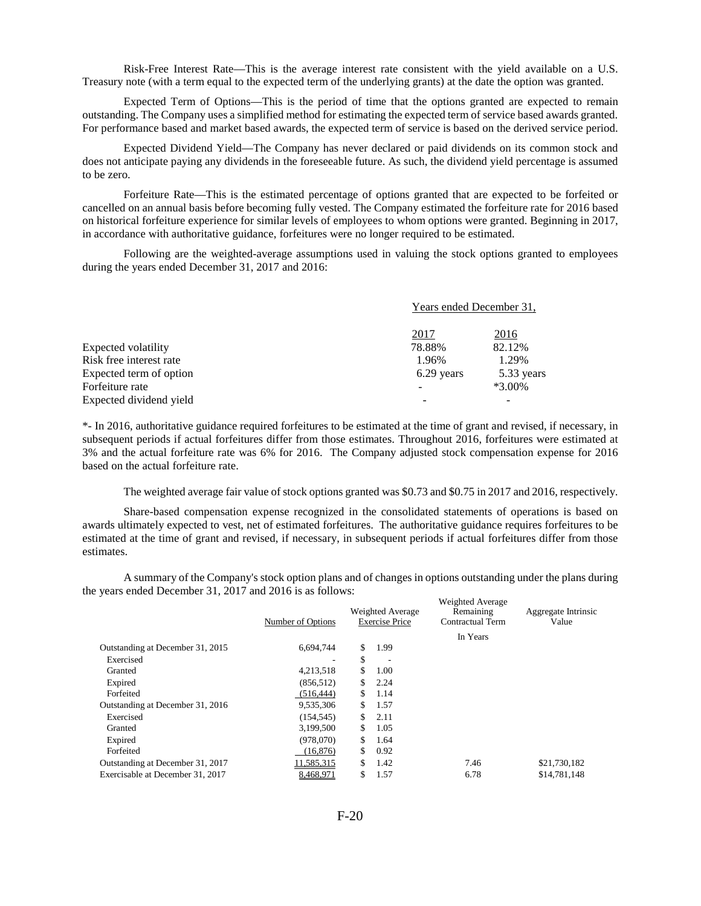Risk-Free Interest Rate—This is the average interest rate consistent with the yield available on a U.S. Treasury note (with a term equal to the expected term of the underlying grants) at the date the option was granted.

Expected Term of Options—This is the period of time that the options granted are expected to remain outstanding. The Company uses a simplified method for estimating the expected term of service based awards granted. For performance based and market based awards, the expected term of service is based on the derived service period.

Expected Dividend Yield—The Company has never declared or paid dividends on its common stock and does not anticipate paying any dividends in the foreseeable future. As such, the dividend yield percentage is assumed to be zero.

Forfeiture Rate—This is the estimated percentage of options granted that are expected to be forfeited or cancelled on an annual basis before becoming fully vested. The Company estimated the forfeiture rate for 2016 based on historical forfeiture experience for similar levels of employees to whom options were granted. Beginning in 2017, in accordance with authoritative guidance, forfeitures were no longer required to be estimated.

Following are the weighted-average assumptions used in valuing the stock options granted to employees during the years ended December 31, 2017 and 2016:

|                         | Years ended December 31, |            |
|-------------------------|--------------------------|------------|
|                         | 2017                     | 2016       |
| Expected volatility     | 78.88%                   | 82.12%     |
| Risk free interest rate | 1.96%                    | 1.29%      |
| Expected term of option | 6.29 years               | 5.33 years |
| Forfeiture rate         |                          | $*3.00\%$  |
| Expected dividend yield |                          |            |

\*- In 2016, authoritative guidance required forfeitures to be estimated at the time of grant and revised, if necessary, in subsequent periods if actual forfeitures differ from those estimates. Throughout 2016, forfeitures were estimated at 3% and the actual forfeiture rate was 6% for 2016. The Company adjusted stock compensation expense for 2016 based on the actual forfeiture rate.

The weighted average fair value of stock options granted was \$0.73 and \$0.75 in 2017 and 2016, respectively.

Share-based compensation expense recognized in the consolidated statements of operations is based on awards ultimately expected to vest, net of estimated forfeitures. The authoritative guidance requires forfeitures to be estimated at the time of grant and revised, if necessary, in subsequent periods if actual forfeitures differ from those estimates.

A summary of the Company's stock option plans and of changes in options outstanding under the plans during the years ended December 31, 2017 and 2016 is as follows:

|                                  | Number of Options | Weighted Average<br><b>Exercise Price</b> | Weighted Average<br>Remaining<br>Contractual Term | Aggregate Intrinsic<br>Value |
|----------------------------------|-------------------|-------------------------------------------|---------------------------------------------------|------------------------------|
|                                  |                   |                                           | In Years                                          |                              |
| Outstanding at December 31, 2015 | 6,694,744         | \$<br>1.99                                |                                                   |                              |
| Exercised                        | ۰                 | \$                                        |                                                   |                              |
| Granted                          | 4,213,518         | \$<br>1.00                                |                                                   |                              |
| Expired                          | (856, 512)        | \$<br>2.24                                |                                                   |                              |
| Forfeited                        | (516, 444)        | \$<br>1.14                                |                                                   |                              |
| Outstanding at December 31, 2016 | 9,535,306         | \$<br>1.57                                |                                                   |                              |
| Exercised                        | (154, 545)        | \$<br>2.11                                |                                                   |                              |
| Granted                          | 3,199,500         | \$<br>1.05                                |                                                   |                              |
| Expired                          | (978.070)         | \$<br>1.64                                |                                                   |                              |
| Forfeited                        | (16, 876)         | \$<br>0.92                                |                                                   |                              |
| Outstanding at December 31, 2017 | 11,585,315        | \$<br>1.42                                | 7.46                                              | \$21,730,182                 |
| Exercisable at December 31, 2017 | 8,468,971         | \$<br>1.57                                | 6.78                                              | \$14,781,148                 |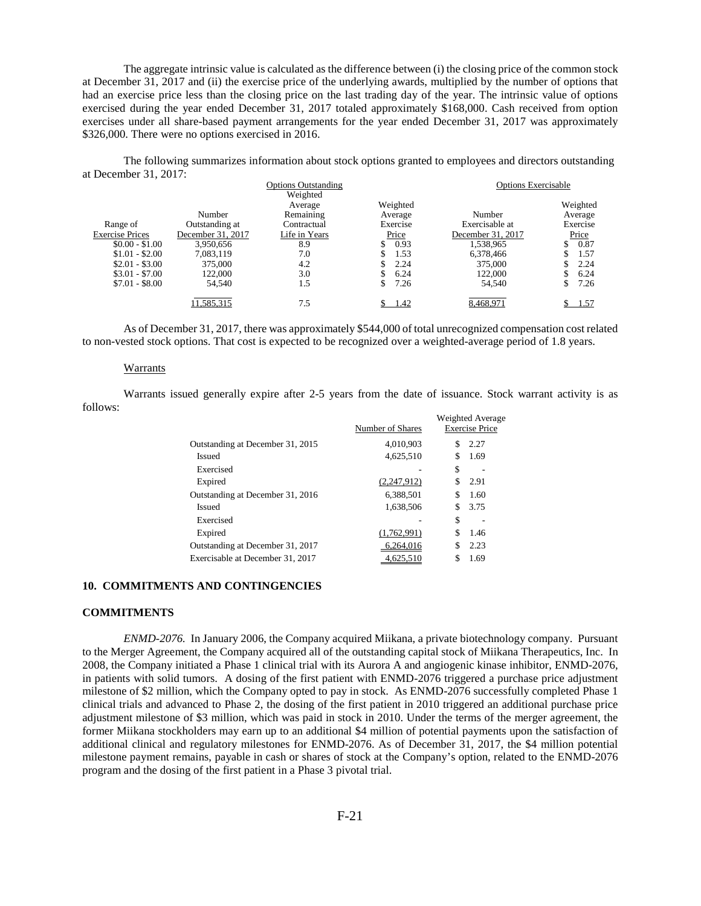The aggregate intrinsic value is calculated as the difference between (i) the closing price of the common stock at December 31, 2017 and (ii) the exercise price of the underlying awards, multiplied by the number of options that had an exercise price less than the closing price on the last trading day of the year. The intrinsic value of options exercised during the year ended December 31, 2017 totaled approximately \$168,000. Cash received from option exercises under all share-based payment arrangements for the year ended December 31, 2017 was approximately \$326,000. There were no options exercised in 2016.

The following summarizes information about stock options granted to employees and directors outstanding at December 31, 2017:

|                        |                   | <b>Options Outstanding</b> |          | <b>Options Exercisable</b> |           |
|------------------------|-------------------|----------------------------|----------|----------------------------|-----------|
|                        |                   | Weighted                   |          |                            |           |
|                        |                   | Average                    | Weighted |                            | Weighted  |
|                        | <b>Number</b>     | Remaining                  | Average  | Number                     | Average   |
| Range of               | Outstanding at    | Contractual                | Exercise | Exercisable at             | Exercise  |
| <b>Exercise Prices</b> | December 31, 2017 | Life in Years              | Price    | December 31, 2017          | Price     |
| $$0.00 - $1.00$        | 3.950.656         | 8.9                        | 0.93     | 1,538,965                  | 0.87      |
| $$1.01 - $2.00$        | 7,083,119         | 7.0                        | 1.53     | 6,378,466                  | 1.57      |
| $$2.01 - $3.00$        | 375,000           | 4.2                        | 2.24     | 375,000                    | 2.24      |
| $$3.01 - $7.00$        | 122,000           | 3.0                        | 6.24     | 122,000                    | 6.24      |
| $$7.01 - $8.00$        | 54.540            | 1.5                        | 7.26     | 54.540                     | 7.26<br>C |
|                        | 11.585.315        | 7.5                        | 1.42     | 8,468,971                  | 1.57      |

As of December 31, 2017, there was approximately \$544,000 of total unrecognized compensation cost related to non-vested stock options. That cost is expected to be recognized over a weighted-average period of 1.8 years.

#### Warrants

Warrants issued generally expire after 2-5 years from the date of issuance. Stock warrant activity is as follows:

|                                  | Number of Shares |    | <b>Weighted Average</b><br><b>Exercise Price</b> |
|----------------------------------|------------------|----|--------------------------------------------------|
| Outstanding at December 31, 2015 | 4.010.903        | S  | 2.27                                             |
| Issued                           | 4.625.510        | S  | 1.69                                             |
| Exercised                        |                  | \$ |                                                  |
| Expired                          | (2,247,912)      | S  | 2.91                                             |
| Outstanding at December 31, 2016 | 6.388.501        | \$ | 1.60                                             |
| <b>Issued</b>                    | 1.638.506        | S  | 3.75                                             |
| Exercised                        |                  | \$ |                                                  |
| Expired                          | (1,762,991)      | \$ | 1.46                                             |
| Outstanding at December 31, 2017 | 6.264.016        | S  | 2.23                                             |
| Exercisable at December 31, 2017 | 4.625.510        |    | 1.69                                             |

### **10. COMMITMENTS AND CONTINGENCIES**

#### **COMMITMENTS**

*ENMD-2076.* In January 2006, the Company acquired Miikana, a private biotechnology company. Pursuant to the Merger Agreement, the Company acquired all of the outstanding capital stock of Miikana Therapeutics, Inc. In 2008, the Company initiated a Phase 1 clinical trial with its Aurora A and angiogenic kinase inhibitor, ENMD-2076, in patients with solid tumors. A dosing of the first patient with ENMD-2076 triggered a purchase price adjustment milestone of \$2 million, which the Company opted to pay in stock. As ENMD-2076 successfully completed Phase 1 clinical trials and advanced to Phase 2, the dosing of the first patient in 2010 triggered an additional purchase price adjustment milestone of \$3 million, which was paid in stock in 2010. Under the terms of the merger agreement, the former Miikana stockholders may earn up to an additional \$4 million of potential payments upon the satisfaction of additional clinical and regulatory milestones for ENMD-2076. As of December 31, 2017, the \$4 million potential milestone payment remains, payable in cash or shares of stock at the Company's option, related to the ENMD-2076 program and the dosing of the first patient in a Phase 3 pivotal trial.